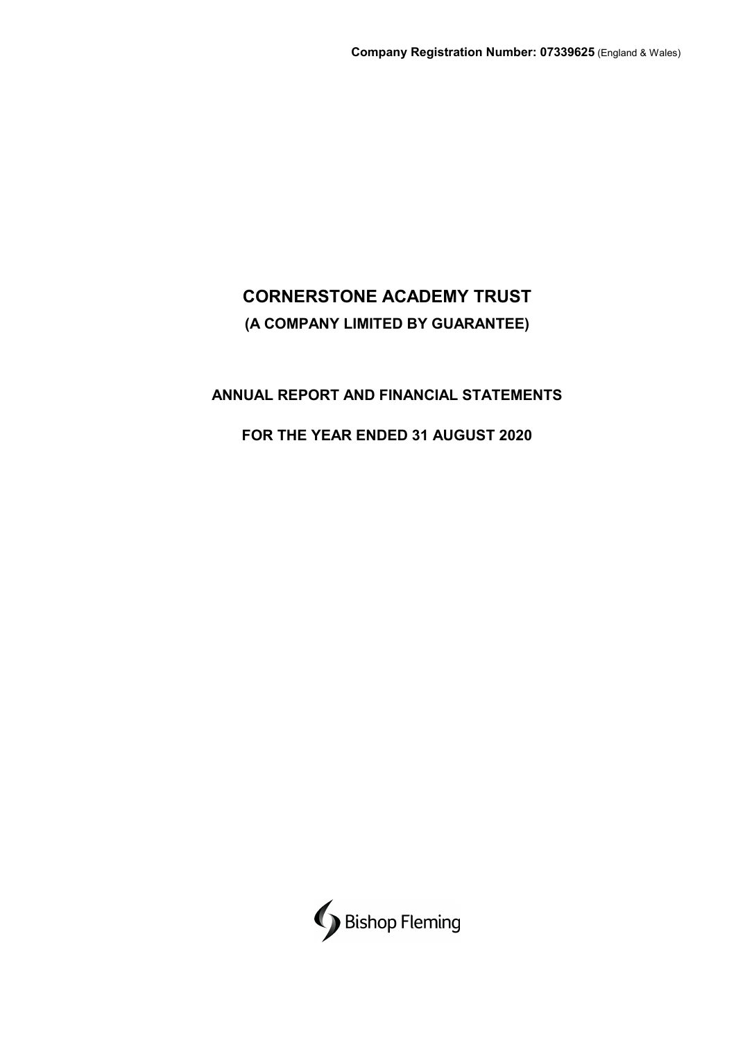# **ANNUAL REPORT AND FINANCIAL STATEMENTS**

# **FOR THE YEAR ENDED 31 AUGUST 2020**

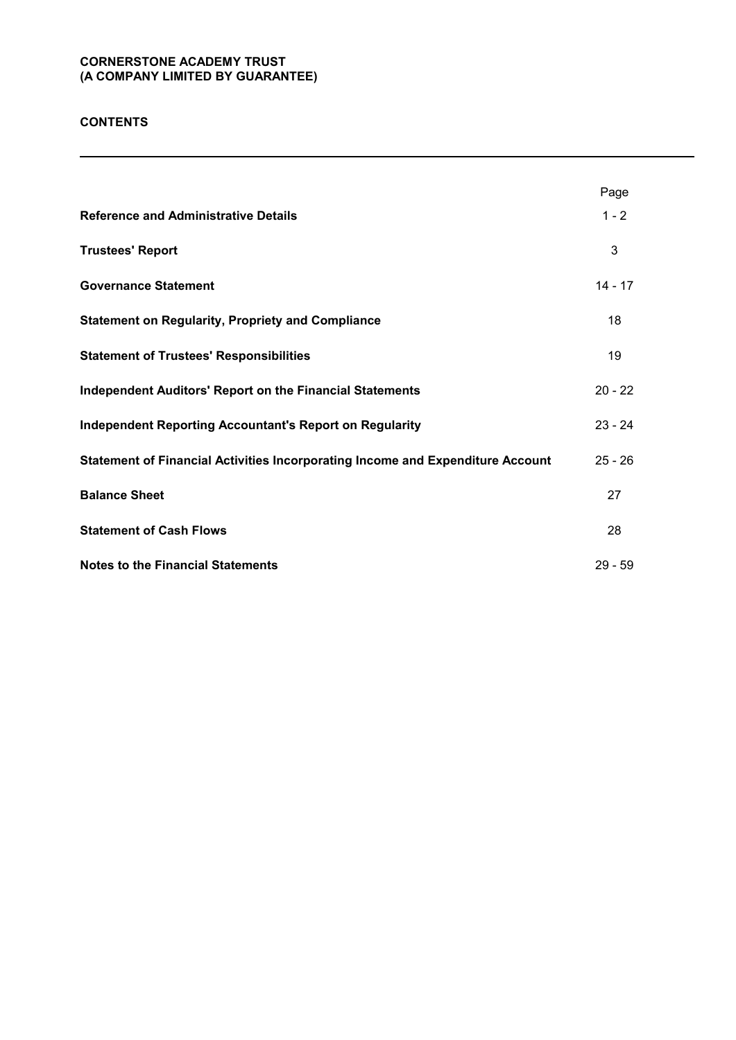# **CONTENTS**

|                                                                                | Page      |
|--------------------------------------------------------------------------------|-----------|
| <b>Reference and Administrative Details</b>                                    | $1 - 2$   |
| <b>Trustees' Report</b>                                                        | 3         |
| <b>Governance Statement</b>                                                    | $14 - 17$ |
| <b>Statement on Regularity, Propriety and Compliance</b>                       | 18        |
| <b>Statement of Trustees' Responsibilities</b>                                 | 19        |
| <b>Independent Auditors' Report on the Financial Statements</b>                | $20 - 22$ |
| <b>Independent Reporting Accountant's Report on Regularity</b>                 | $23 - 24$ |
| Statement of Financial Activities Incorporating Income and Expenditure Account | $25 - 26$ |
| <b>Balance Sheet</b>                                                           | 27        |
| <b>Statement of Cash Flows</b>                                                 | 28        |
| <b>Notes to the Financial Statements</b>                                       | $29 - 59$ |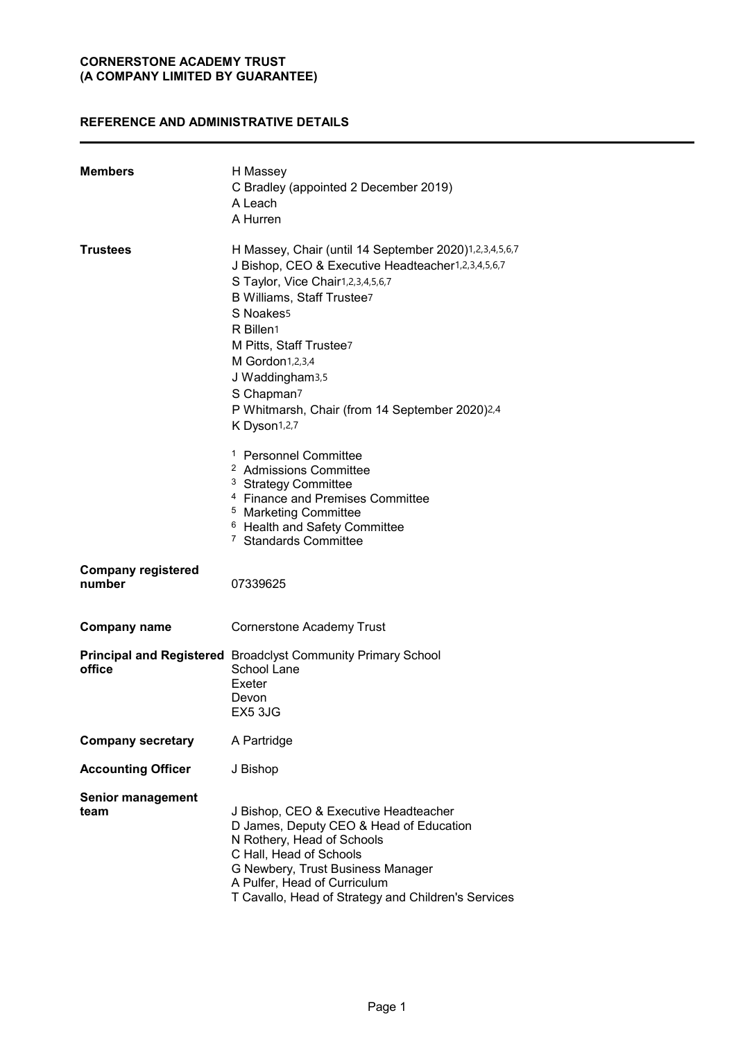# **REFERENCE AND ADMINISTRATIVE DETAILS**

| <b>Members</b>                      | H Massey<br>C Bradley (appointed 2 December 2019)<br>A Leach<br>A Hurren                                                                                                                                                                                                                                                                                               |
|-------------------------------------|------------------------------------------------------------------------------------------------------------------------------------------------------------------------------------------------------------------------------------------------------------------------------------------------------------------------------------------------------------------------|
| Trustees                            | H Massey, Chair (until 14 September 2020)1,2,3,4,5,6,7<br>J Bishop, CEO & Executive Headteacher1,2,3,4,5,6,7<br>S Taylor, Vice Chair1,2,3,4,5,6,7<br>B Williams, Staff Trustee7<br>S Noakes5<br>R Billen1<br>M Pitts, Staff Trustee7<br>M Gordon1,2,3,4<br>J Waddingham3,5<br>S Chapman <sub>7</sub><br>P Whitmarsh, Chair (from 14 September 2020)2,4<br>K Dyson1,2,7 |
|                                     | <sup>1</sup> Personnel Committee<br><sup>2</sup> Admissions Committee<br><sup>3</sup> Strategy Committee<br><sup>4</sup> Finance and Premises Committee<br><sup>5</sup> Marketing Committee<br><sup>6</sup> Health and Safety Committee<br><sup>7</sup> Standards Committee                                                                                            |
| <b>Company registered</b><br>number | 07339625                                                                                                                                                                                                                                                                                                                                                               |
| <b>Company name</b>                 | <b>Cornerstone Academy Trust</b>                                                                                                                                                                                                                                                                                                                                       |
| office                              | <b>Principal and Registered</b> Broadclyst Community Primary School<br>School Lane<br>Exeter<br>Devon<br>EX5 3JG                                                                                                                                                                                                                                                       |
| <b>Company secretary</b>            | A Partridge                                                                                                                                                                                                                                                                                                                                                            |
| <b>Accounting Officer</b>           | J Bishop                                                                                                                                                                                                                                                                                                                                                               |
| <b>Senior management</b><br>team    | J Bishop, CEO & Executive Headteacher<br>D James, Deputy CEO & Head of Education<br>N Rothery, Head of Schools<br>C Hall, Head of Schools<br>G Newbery, Trust Business Manager<br>A Pulfer, Head of Curriculum<br>T Cavallo, Head of Strategy and Children's Services                                                                                                  |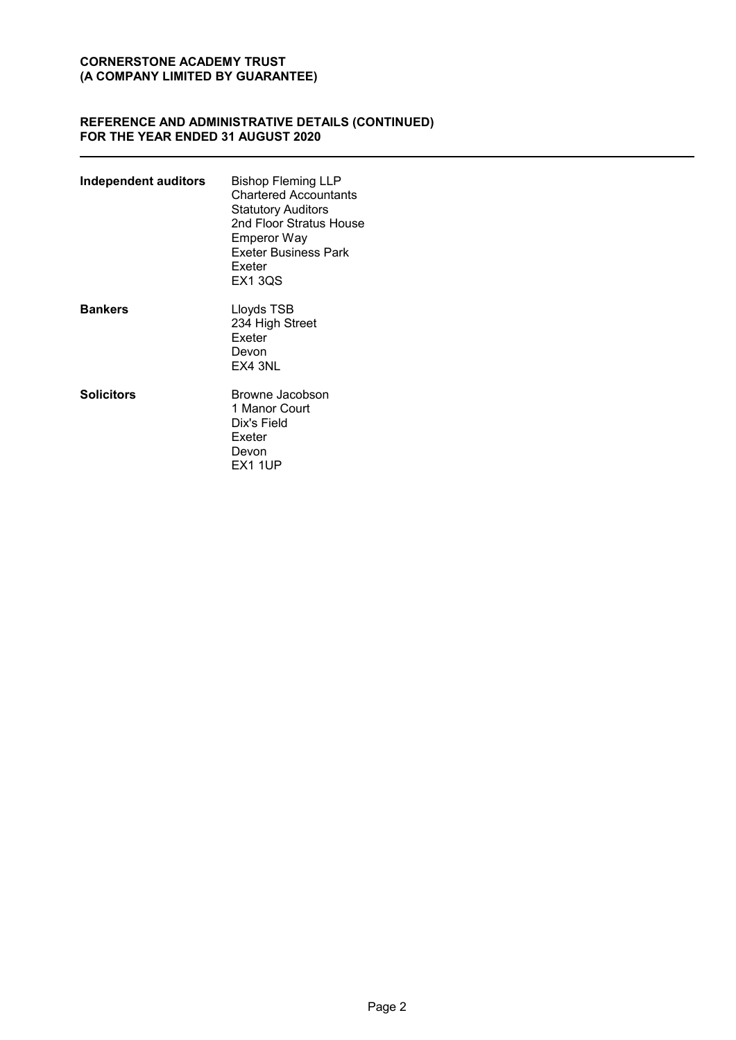## **REFERENCE AND ADMINISTRATIVE DETAILS (CONTINUED) FOR THE YEAR ENDED 31 AUGUST 2020**

| <b>Independent auditors</b> | <b>Bishop Fleming LLP</b><br><b>Chartered Accountants</b><br>Statutory Auditors<br>2nd Floor Stratus House<br>Emperor Way<br>Exeter Business Park<br>Exeter<br>EX1 3QS |
|-----------------------------|------------------------------------------------------------------------------------------------------------------------------------------------------------------------|
| <b>Bankers</b>              | Lloyds TSB<br>234 High Street<br><b>Exeter</b><br>Devon<br>EX4 3NL                                                                                                     |
| <b>Solicitors</b>           | Browne Jacobson<br>1 Manor Court<br>Dix's Field<br>Exeter<br>Devon<br><b>EX1 1UP</b>                                                                                   |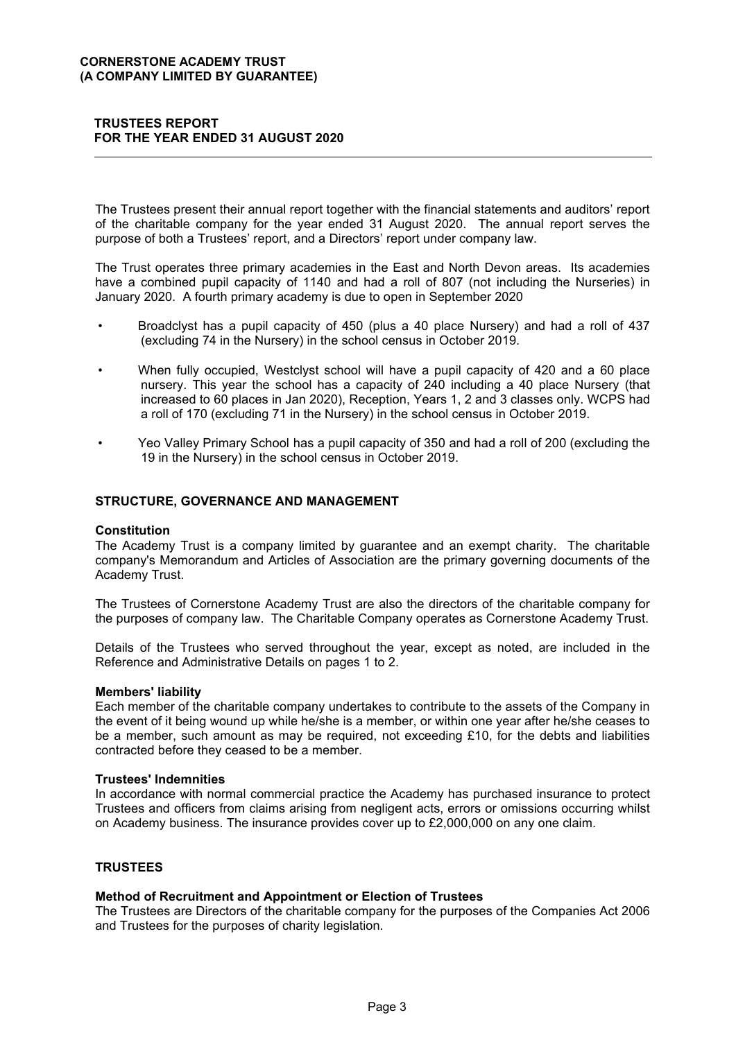## **TRUSTEES REPORT** FOR THE YEAR ENDED 31 AUGUST 2020

The Trustees present their annual report together with the financial statements and auditors' report of the charitable company for the year ended 31 August 2020. The annual report serves the purpose of both a Trustees' report, and a Directors' report under company law.

The Trust operates three primary academies in the East and North Devon areas. Its academies have a combined pupil capacity of 1140 and had a roll of 807 (not including the Nurseries) in January 2020. A fourth primary academy is due to open in September 2020

- Broadclyst has a pupil capacity of 450 (plus a 40 place Nursery) and had a roll of 437 (excluding 74 in the Nursery) in the school census in October 2019.
- When fully occupied, Westclyst school will have a pupil capacity of 420 and a 60 place nursery. This year the school has a capacity of 240 including a 40 place Nursery (that increased to 60 places in Jan 2020). Reception, Years 1, 2 and 3 classes only. WCPS had a roll of 170 (excluding 71 in the Nursery) in the school census in October 2019.
- Yeo Valley Primary School has a pupil capacity of 350 and had a roll of 200 (excluding the 19 in the Nursery) in the school census in October 2019.

## STRUCTURE, GOVERNANCE AND MANAGEMENT

#### **Constitution**

The Academy Trust is a company limited by guarantee and an exempt charity. The charitable company's Memorandum and Articles of Association are the primary governing documents of the Academy Trust.

The Trustees of Cornerstone Academy Trust are also the directors of the charitable company for the purposes of company law. The Charitable Company operates as Cornerstone Academy Trust.

Details of the Trustees who served throughout the year, except as noted, are included in the Reference and Administrative Details on pages 1 to 2.

#### **Members' liability**

Each member of the charitable company undertakes to contribute to the assets of the Company in the event of it being wound up while he/she is a member, or within one year after he/she ceases to be a member, such amount as may be required, not exceeding £10, for the debts and liabilities contracted before they ceased to be a member.

#### **Trustees' Indemnities**

In accordance with normal commercial practice the Academy has purchased insurance to protect Trustees and officers from claims arising from negligent acts, errors or omissions occurring whilst on Academy business. The insurance provides cover up to £2,000,000 on any one claim.

#### **TRUSTEES**

#### Method of Recruitment and Appointment or Election of Trustees

The Trustees are Directors of the charitable company for the purposes of the Companies Act 2006 and Trustees for the purposes of charity legislation.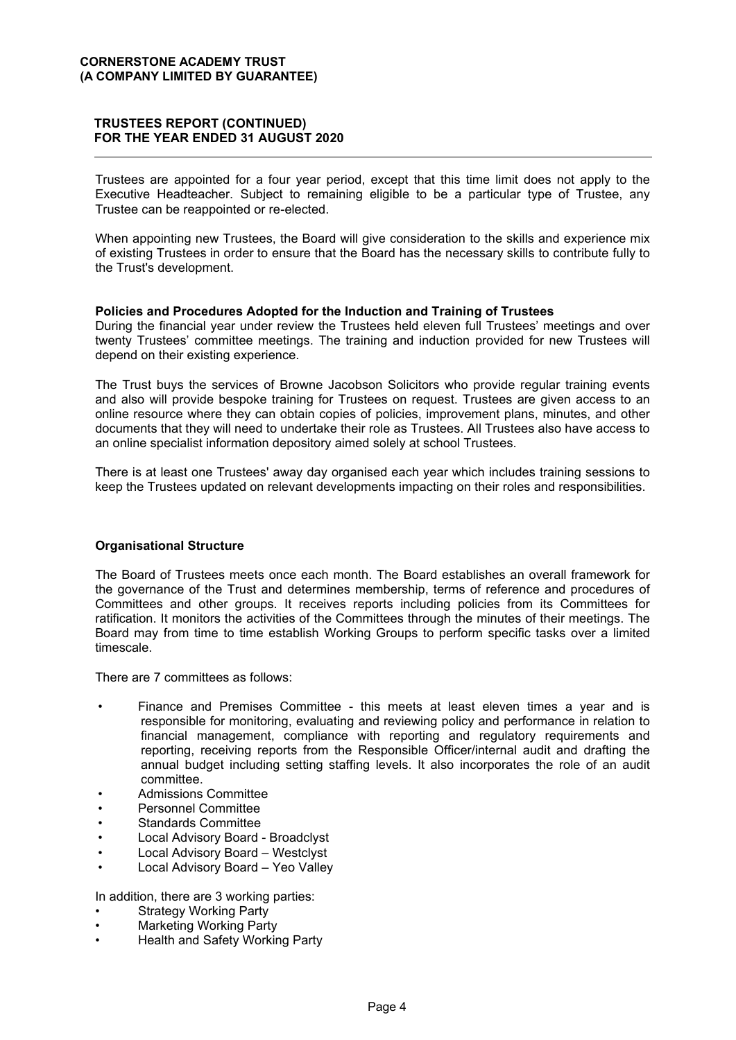## **TRUSTEES REPORT (CONTINUED)** FOR THE YEAR ENDED 31 AUGUST 2020

Trustees are appointed for a four year period, except that this time limit does not apply to the Executive Headteacher. Subject to remaining eligible to be a particular type of Trustee, any Trustee can be reappointed or re-elected.

When appointing new Trustees, the Board will give consideration to the skills and experience mix of existing Trustees in order to ensure that the Board has the necessary skills to contribute fully to the Trust's development.

## Policies and Procedures Adopted for the Induction and Training of Trustees

During the financial year under review the Trustees held eleven full Trustees' meetings and over twenty Trustees' committee meetings. The training and induction provided for new Trustees will depend on their existing experience.

The Trust buys the services of Browne Jacobson Solicitors who provide regular training events and also will provide bespoke training for Trustees on request. Trustees are given access to an online resource where they can obtain copies of policies, improvement plans, minutes, and other documents that they will need to undertake their role as Trustees. All Trustees also have access to an online specialist information depository aimed solely at school Trustees.

There is at least one Trustees' away day organised each year which includes training sessions to keep the Trustees updated on relevant developments impacting on their roles and responsibilities.

## **Organisational Structure**

The Board of Trustees meets once each month. The Board establishes an overall framework for the governance of the Trust and determines membership, terms of reference and procedures of Committees and other groups. It receives reports including policies from its Committees for ratification. It monitors the activities of the Committees through the minutes of their meetings. The Board may from time to time establish Working Groups to perform specific tasks over a limited timescale.

There are 7 committees as follows:

- Finance and Premises Committee this meets at least eleven times a year and is responsible for monitoring, evaluating and reviewing policy and performance in relation to financial management, compliance with reporting and regulatory requirements and reporting, receiving reports from the Responsible Officer/internal audit and drafting the annual budget including setting staffing levels. It also incorporates the role of an audit committee.
- **Admissions Committee**
- Personnel Committee
- **Standards Committee**
- Local Advisory Board Broadclyst
- Local Advisory Board Westclyst
- Local Advisory Board Yeo Valley

In addition, there are 3 working parties:

- **Strategy Working Party**
- **Marketing Working Party**
- Health and Safety Working Party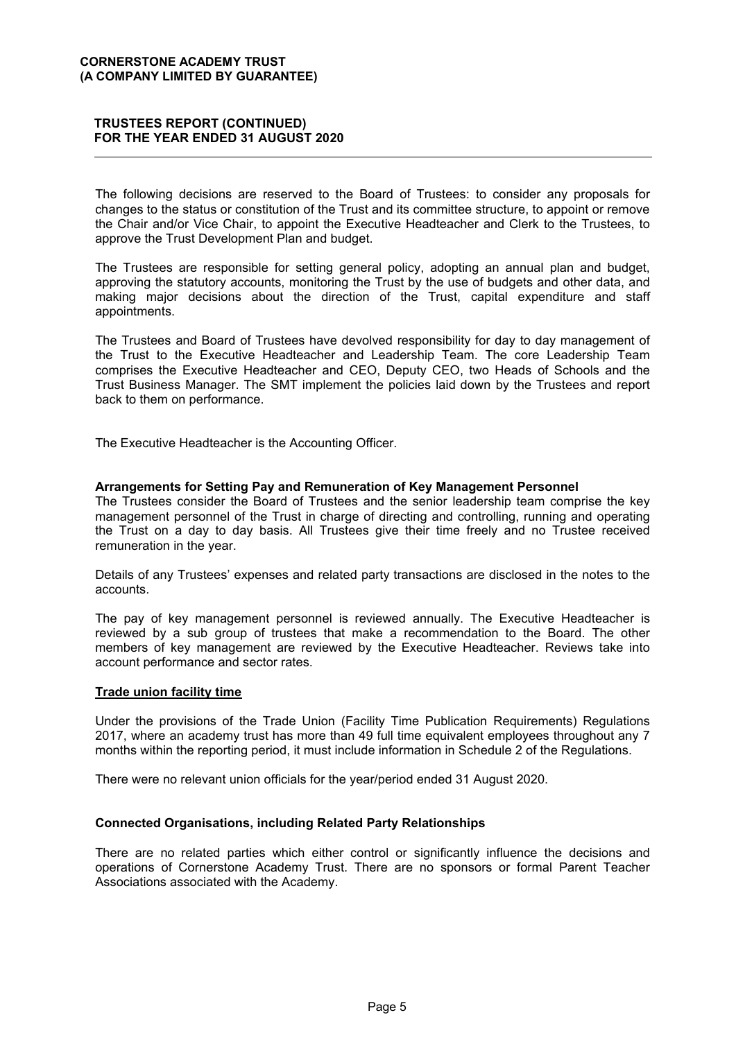The following decisions are reserved to the Board of Trustees: to consider any proposals for changes to the status or constitution of the Trust and its committee structure, to appoint or remove the Chair and/or Vice Chair, to appoint the Executive Headteacher and Clerk to the Trustees, to approve the Trust Development Plan and budget.

The Trustees are responsible for setting general policy, adopting an annual plan and budget, approving the statutory accounts, monitoring the Trust by the use of budgets and other data, and making major decisions about the direction of the Trust, capital expenditure and staff appointments.

The Trustees and Board of Trustees have devolved responsibility for day to day management of the Trust to the Executive Headteacher and Leadership Team. The core Leadership Team comprises the Executive Headteacher and CEO, Deputy CEO, two Heads of Schools and the Trust Business Manager. The SMT implement the policies laid down by the Trustees and report back to them on performance.

The Executive Headteacher is the Accounting Officer.

## Arrangements for Setting Pay and Remuneration of Key Management Personnel

The Trustees consider the Board of Trustees and the senior leadership team comprise the key management personnel of the Trust in charge of directing and controlling, running and operating the Trust on a day to day basis. All Trustees give their time freely and no Trustee received remuneration in the year.

Details of any Trustees' expenses and related party transactions are disclosed in the notes to the accounts.

The pay of key management personnel is reviewed annually. The Executive Headteacher is reviewed by a sub group of trustees that make a recommendation to the Board. The other members of key management are reviewed by the Executive Headteacher. Reviews take into account performance and sector rates.

#### **Trade union facility time**

Under the provisions of the Trade Union (Facility Time Publication Requirements) Requlations 2017, where an academy trust has more than 49 full time equivalent employees throughout any 7 months within the reporting period, it must include information in Schedule 2 of the Regulations.

There were no relevant union officials for the year/period ended 31 August 2020.

#### **Connected Organisations, including Related Party Relationships**

There are no related parties which either control or significantly influence the decisions and operations of Cornerstone Academy Trust. There are no sponsors or formal Parent Teacher Associations associated with the Academy.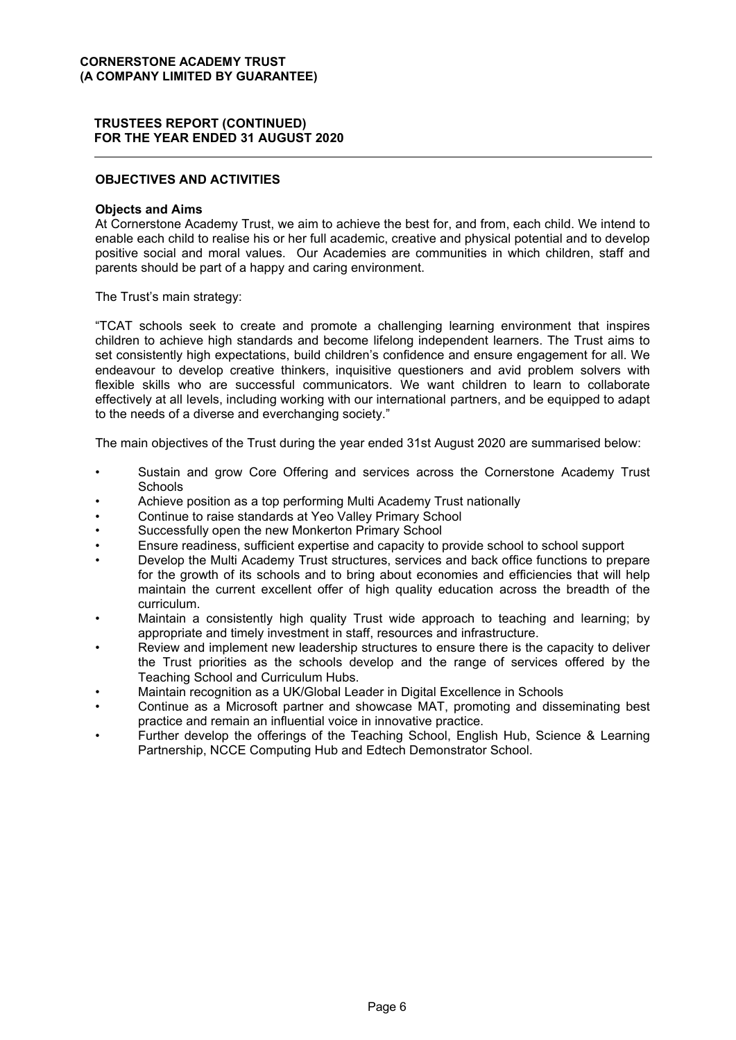## **OBJECTIVES AND ACTIVITIES**

#### **Objects and Aims**

At Cornerstone Academy Trust, we aim to achieve the best for, and from, each child. We intend to enable each child to realise his or her full academic, creative and physical potential and to develop positive social and moral values. Our Academies are communities in which children, staff and parents should be part of a happy and caring environment.

The Trust's main strategy:

"TCAT schools seek to create and promote a challenging learning environment that inspires children to achieve high standards and become lifelong independent learners. The Trust aims to set consistently high expectations, build children's confidence and ensure engagement for all. We endeavour to develop creative thinkers, inquisitive questioners and avid problem solvers with flexible skills who are successful communicators. We want children to learn to collaborate effectively at all levels, including working with our international partners, and be equipped to adapt to the needs of a diverse and everchanging society."

The main objectives of the Trust during the year ended 31st August 2020 are summarised below:

- Sustain and grow Core Offering and services across the Cornerstone Academy Trust Schools
- Achieve position as a top performing Multi Academy Trust nationally
- Continue to raise standards at Yeo Valley Primary School
- Successfully open the new Monkerton Primary School
- Ensure readiness, sufficient expertise and capacity to provide school to school support
- Develop the Multi Academy Trust structures, services and back office functions to prepare for the growth of its schools and to bring about economies and efficiencies that will help maintain the current excellent offer of high quality education across the breadth of the curriculum
- Maintain a consistently high quality Trust wide approach to teaching and learning; by appropriate and timely investment in staff, resources and infrastructure.
- Review and implement new leadership structures to ensure there is the capacity to deliver the Trust priorities as the schools develop and the range of services offered by the Teaching School and Curriculum Hubs.
- Maintain recognition as a UK/Global Leader in Digital Excellence in Schools
- Continue as a Microsoft partner and showcase MAT, promoting and disseminating best practice and remain an influential voice in innovative practice.
- Further develop the offerings of the Teaching School, English Hub, Science & Learning Partnership, NCCE Computing Hub and Edtech Demonstrator School.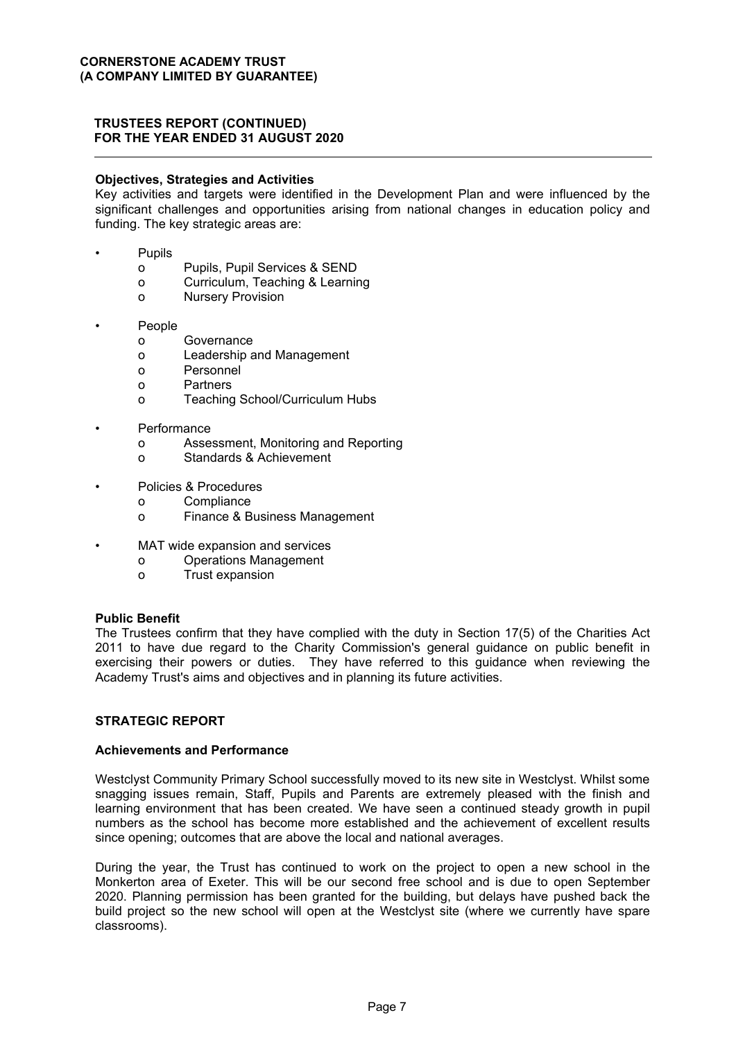## **Objectives, Strategies and Activities**

Key activities and targets were identified in the Development Plan and were influenced by the significant challenges and opportunities arising from national changes in education policy and funding. The key strategic areas are:

- Pupils
	- Pupils, Pupil Services & SEND  $\Omega$
	- Curriculum, Teaching & Learning  $\Omega$
	- **Nursery Provision**  $\Omega$
- People
	- $\Omega$ Governance
	- Leadership and Management  $\Omega$
	- $\circ$ Personnel
	- Partners  $\Omega$
	- Teaching School/Curriculum Hubs  $\Omega$
- Performance
	- $\Omega$ Assessment, Monitoring and Reporting
	- $\Omega$ Standards & Achievement
- Policies & Procedures
	- Compliance  $\mathsf{o}\xspace$
	- Finance & Business Management  $\Omega$
- MAT wide expansion and services
	- **Operations Management**
	- Trust expansion  $\Omega$

#### **Public Benefit**

The Trustees confirm that they have complied with the duty in Section 17(5) of the Charities Act 2011 to have due regard to the Charity Commission's general quidance on public benefit in exercising their powers or duties. They have referred to this guidance when reviewing the Academy Trust's aims and objectives and in planning its future activities.

## **STRATEGIC REPORT**

### **Achievements and Performance**

Westclyst Community Primary School successfully moved to its new site in Westclyst. Whilst some snagging issues remain, Staff, Pupils and Parents are extremely pleased with the finish and learning environment that has been created. We have seen a continued steady growth in pupil numbers as the school has become more established and the achievement of excellent results since opening; outcomes that are above the local and national averages.

During the year, the Trust has continued to work on the project to open a new school in the Monkerton area of Exeter. This will be our second free school and is due to open September 2020. Planning permission has been granted for the building, but delays have pushed back the build project so the new school will open at the Westclyst site (where we currently have spare classrooms).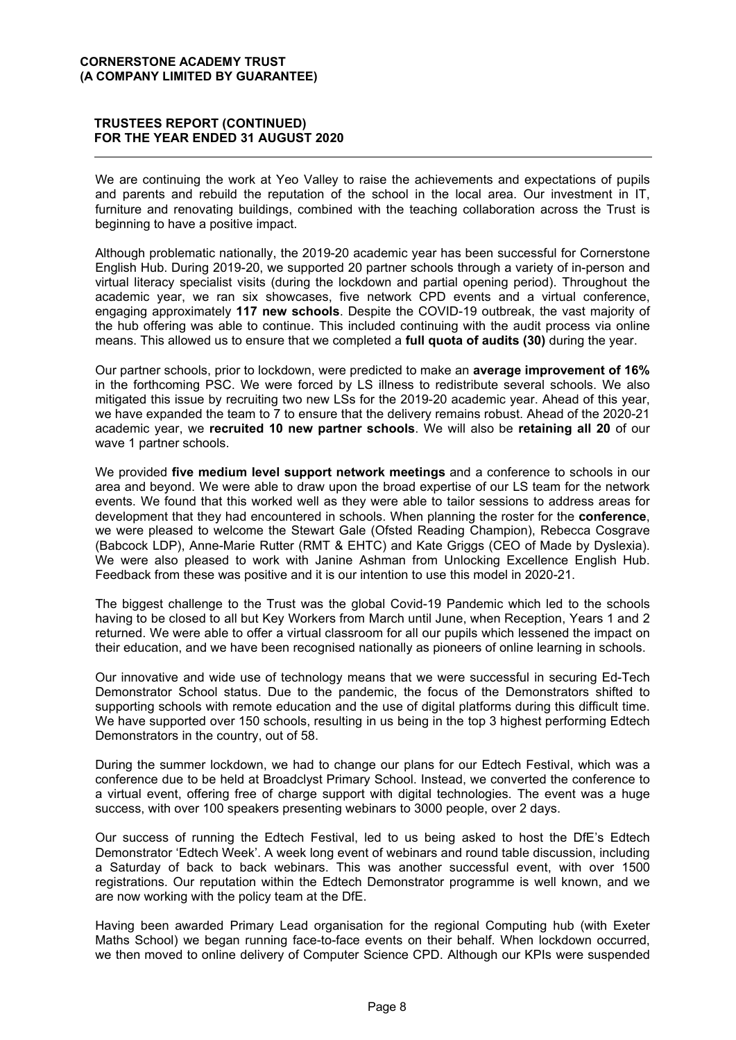## **TRUSTEES REPORT (CONTINUED)** FOR THE YEAR ENDED 31 AUGUST 2020

We are continuing the work at Yeo Valley to raise the achievements and expectations of pupils and parents and rebuild the reputation of the school in the local area. Our investment in IT, furniture and renovating buildings, combined with the teaching collaboration across the Trust is beginning to have a positive impact.

Although problematic nationally, the 2019-20 academic year has been successful for Cornerstone English Hub. During 2019-20, we supported 20 partner schools through a variety of in-person and virtual literacy specialist visits (during the lockdown and partial opening period). Throughout the academic year, we ran six showcases, five network CPD events and a virtual conference, engaging approximately 117 new schools. Despite the COVID-19 outbreak, the vast majority of the hub offering was able to continue. This included continuing with the audit process via online means. This allowed us to ensure that we completed a full quota of audits (30) during the year.

Our partner schools, prior to lockdown, were predicted to make an average improvement of 16% in the forthcoming PSC. We were forced by LS illness to redistribute several schools. We also mitigated this issue by recruiting two new LSs for the 2019-20 academic year. Ahead of this year, we have expanded the team to 7 to ensure that the delivery remains robust. Ahead of the 2020-21 academic year, we recruited 10 new partner schools. We will also be retaining all 20 of our wave 1 partner schools.

We provided five medium level support network meetings and a conference to schools in our area and beyond. We were able to draw upon the broad expertise of our LS team for the network events. We found that this worked well as they were able to tailor sessions to address areas for development that they had encountered in schools. When planning the roster for the **conference**. we were pleased to welcome the Stewart Gale (Ofsted Reading Champion), Rebecca Cosgrave (Babcock LDP), Anne-Marie Rutter (RMT & EHTC) and Kate Griggs (CEO of Made by Dyslexia). We were also pleased to work with Janine Ashman from Unlocking Excellence English Hub. Feedback from these was positive and it is our intention to use this model in 2020-21.

The biggest challenge to the Trust was the global Covid-19 Pandemic which led to the schools having to be closed to all but Key Workers from March until June, when Reception, Years 1 and 2 returned. We were able to offer a virtual classroom for all our pupils which lessened the impact on their education, and we have been recognised nationally as pioneers of online learning in schools.

Our innovative and wide use of technology means that we were successful in securing Ed-Tech Demonstrator School status. Due to the pandemic, the focus of the Demonstrators shifted to supporting schools with remote education and the use of digital platforms during this difficult time. We have supported over 150 schools, resulting in us being in the top 3 highest performing Edtech Demonstrators in the country, out of 58.

During the summer lockdown, we had to change our plans for our Edtech Festival, which was a conference due to be held at Broadclyst Primary School. Instead, we converted the conference to a virtual event, offering free of charge support with digital technologies. The event was a huge success, with over 100 speakers presenting webinars to 3000 people, over 2 days.

Our success of running the Edtech Festival, led to us being asked to host the DfE's Edtech Demonstrator 'Edtech Week'. A week long event of webinars and round table discussion, including a Saturday of back to back webinars. This was another successful event, with over 1500 registrations. Our reputation within the Edtech Demonstrator programme is well known, and we are now working with the policy team at the DfE.

Having been awarded Primary Lead organisation for the regional Computing hub (with Exeter Maths School) we began running face-to-face events on their behalf. When lockdown occurred, we then moved to online delivery of Computer Science CPD. Although our KPIs were suspended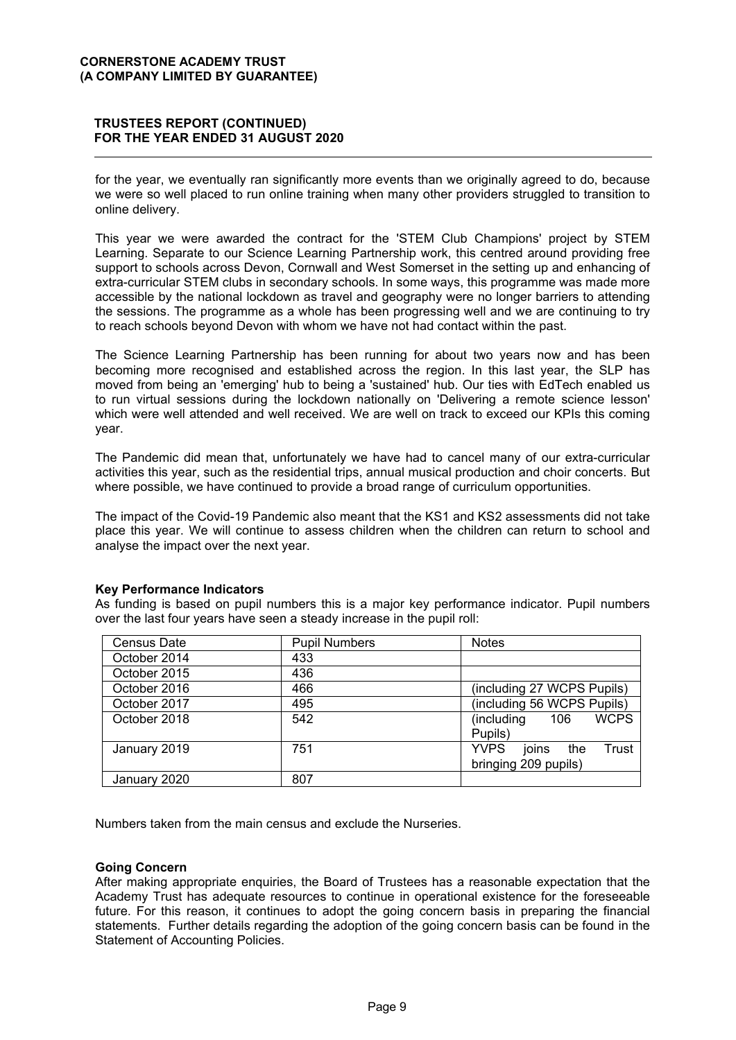## **TRUSTEES REPORT (CONTINUED)** FOR THE YEAR ENDED 31 AUGUST 2020

for the year, we eventually ran significantly more events than we originally agreed to do, because we were so well placed to run online training when many other providers struggled to transition to online delivery.

This year we were awarded the contract for the 'STEM Club Champions' project by STEM Learning. Separate to our Science Learning Partnership work, this centred around providing free support to schools across Devon, Cornwall and West Somerset in the setting up and enhancing of extra-curricular STEM clubs in secondary schools. In some ways, this programme was made more accessible by the national lockdown as travel and geography were no longer barriers to attending the sessions. The programme as a whole has been progressing well and we are continuing to try to reach schools beyond Devon with whom we have not had contact within the past.

The Science Learning Partnership has been running for about two years now and has been becoming more recognised and established across the region. In this last year, the SLP has moved from being an 'emerging' hub to being a 'sustained' hub. Our ties with EdTech enabled us to run virtual sessions during the lockdown nationally on 'Delivering a remote science lesson' which were well attended and well received. We are well on track to exceed our KPIs this coming year.

The Pandemic did mean that, unfortunately we have had to cancel many of our extra-curricular activities this year, such as the residential trips, annual musical production and choir concerts. But where possible, we have continued to provide a broad range of curriculum opportunities.

The impact of the Covid-19 Pandemic also meant that the KS1 and KS2 assessments did not take place this year. We will continue to assess children when the children can return to school and analyse the impact over the next year.

#### **Key Performance Indicators**

As funding is based on pupil numbers this is a major key performance indicator. Pupil numbers over the last four years have seen a steady increase in the pupil roll:

| Census Date  | <b>Pupil Numbers</b> | <b>Notes</b>                         |
|--------------|----------------------|--------------------------------------|
| October 2014 | 433                  |                                      |
| October 2015 | 436                  |                                      |
| October 2016 | 466                  | (including 27 WCPS Pupils)           |
| October 2017 | 495                  | (including 56 WCPS Pupils)           |
| October 2018 | 542                  | <b>WCPS</b><br>(including<br>106     |
|              |                      | Pupils)                              |
| January 2019 | 751                  | <b>YVPS</b><br>joins<br>Trust<br>the |
|              |                      | bringing 209 pupils)                 |
| January 2020 | 807                  |                                      |

Numbers taken from the main census and exclude the Nurseries.

#### **Going Concern**

After making appropriate enguiries, the Board of Trustees has a reasonable expectation that the Academy Trust has adequate resources to continue in operational existence for the foreseeable future. For this reason, it continues to adopt the going concern basis in preparing the financial statements. Further details regarding the adoption of the going concern basis can be found in the Statement of Accounting Policies.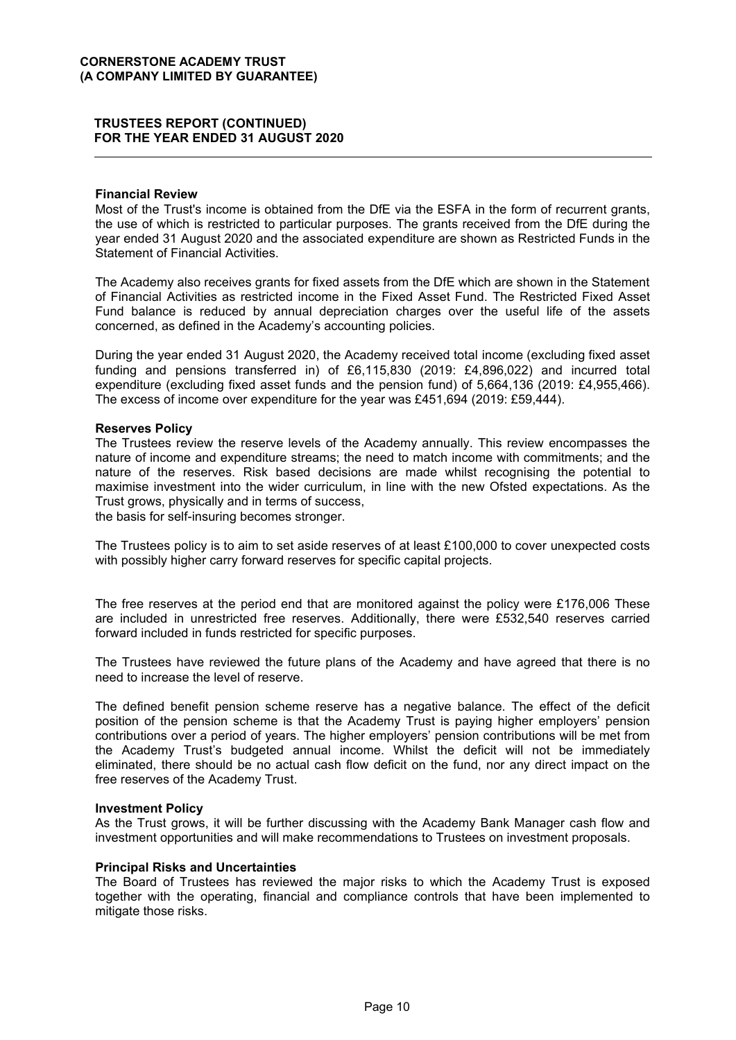#### **Financial Review**

Most of the Trust's income is obtained from the DfE via the ESFA in the form of recurrent grants, the use of which is restricted to particular purposes. The grants received from the DfE during the year ended 31 August 2020 and the associated expenditure are shown as Restricted Funds in the **Statement of Financial Activities.** 

The Academy also receives grants for fixed assets from the DfE which are shown in the Statement of Financial Activities as restricted income in the Fixed Asset Fund. The Restricted Fixed Asset Fund balance is reduced by annual depreciation charges over the useful life of the assets concerned, as defined in the Academy's accounting policies.

During the year ended 31 August 2020, the Academy received total income (excluding fixed asset funding and pensions transferred in) of  $£6,115,830$  (2019:  $£4,896,022$ ) and incurred total expenditure (excluding fixed asset funds and the pension fund) of 5,664,136 (2019: £4,955,466). The excess of income over expenditure for the year was £451,694 (2019: £59,444).

#### **Reserves Policy**

The Trustees review the reserve levels of the Academy annually. This review encompasses the nature of income and expenditure streams; the need to match income with commitments; and the nature of the reserves. Risk based decisions are made whilst recognising the potential to maximise investment into the wider curriculum, in line with the new Ofsted expectations. As the Trust grows, physically and in terms of success,

the basis for self-insuring becomes stronger.

The Trustees policy is to aim to set aside reserves of at least £100,000 to cover unexpected costs with possibly higher carry forward reserves for specific capital projects.

The free reserves at the period end that are monitored against the policy were £176,006 These are included in unrestricted free reserves. Additionally, there were £532,540 reserves carried forward included in funds restricted for specific purposes.

The Trustees have reviewed the future plans of the Academy and have agreed that there is no need to increase the level of reserve.

The defined benefit pension scheme reserve has a negative balance. The effect of the deficit position of the pension scheme is that the Academy Trust is paying higher employers' pension contributions over a period of years. The higher employers' pension contributions will be met from the Academy Trust's budgeted annual income. Whilst the deficit will not be immediately eliminated, there should be no actual cash flow deficit on the fund, nor any direct impact on the free reserves of the Academy Trust.

#### **Investment Policy**

As the Trust grows, it will be further discussing with the Academy Bank Manager cash flow and investment opportunities and will make recommendations to Trustees on investment proposals.

#### **Principal Risks and Uncertainties**

The Board of Trustees has reviewed the major risks to which the Academy Trust is exposed together with the operating, financial and compliance controls that have been implemented to mitigate those risks.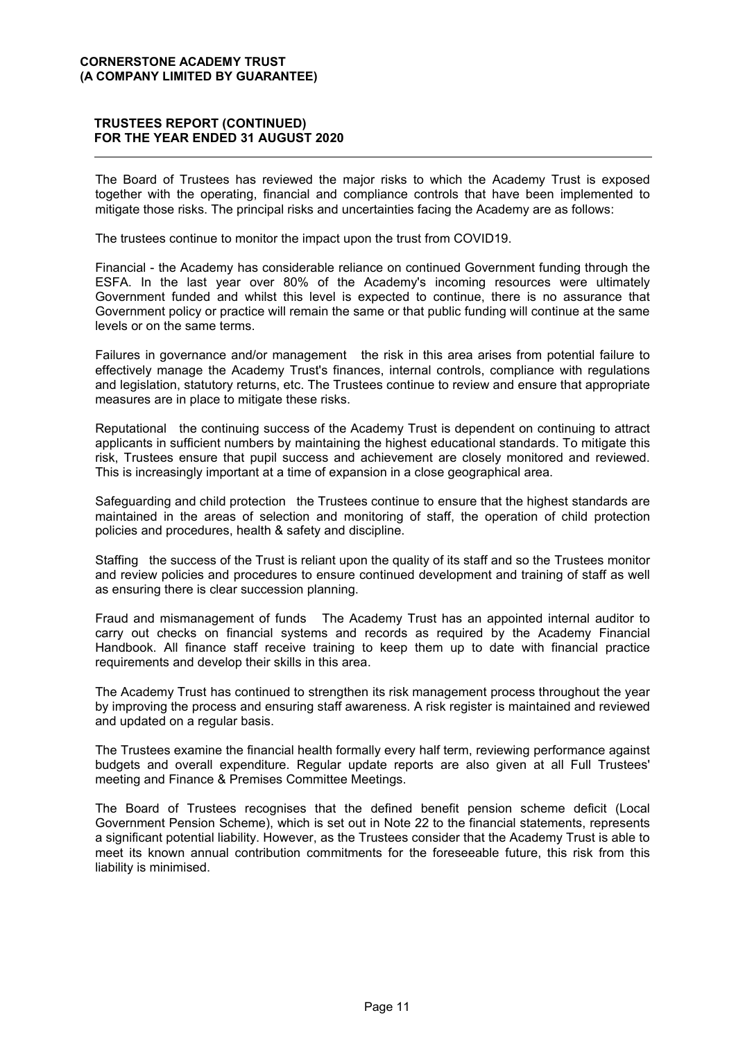## **TRUSTEES REPORT (CONTINUED)** FOR THE YEAR ENDED 31 AUGUST 2020

The Board of Trustees has reviewed the major risks to which the Academy Trust is exposed together with the operating, financial and compliance controls that have been implemented to mitigate those risks. The principal risks and uncertainties facing the Academy are as follows:

The trustees continue to monitor the impact upon the trust from COVID19.

Financial - the Academy has considerable reliance on continued Government funding through the ESFA. In the last year over 80% of the Academy's incoming resources were ultimately Government funded and whilst this level is expected to continue, there is no assurance that Government policy or practice will remain the same or that public funding will continue at the same levels or on the same terms.

Failures in governance and/or management the risk in this area arises from potential failure to effectively manage the Academy Trust's finances, internal controls, compliance with regulations and legislation, statutory returns, etc. The Trustees continue to review and ensure that appropriate measures are in place to mitigate these risks.

Reputational the continuing success of the Academy Trust is dependent on continuing to attract applicants in sufficient numbers by maintaining the highest educational standards. To mitigate this risk. Trustees ensure that pupil success and achievement are closely monitored and reviewed. This is increasingly important at a time of expansion in a close geographical area.

Safeguarding and child protection the Trustees continue to ensure that the highest standards are maintained in the areas of selection and monitoring of staff, the operation of child protection policies and procedures, health & safety and discipline.

Staffing the success of the Trust is reliant upon the quality of its staff and so the Trustees monitor and review policies and procedures to ensure continued development and training of staff as well as ensuring there is clear succession planning.

Fraud and mismanagement of funds The Academy Trust has an appointed internal auditor to carry out checks on financial systems and records as required by the Academy Financial Handbook. All finance staff receive training to keep them up to date with financial practice requirements and develop their skills in this area.

The Academy Trust has continued to strengthen its risk management process throughout the year by improving the process and ensuring staff awareness. A risk register is maintained and reviewed and updated on a regular basis.

The Trustees examine the financial health formally every half term, reviewing performance against budgets and overall expenditure. Regular update reports are also given at all Full Trustees' meeting and Finance & Premises Committee Meetings.

The Board of Trustees recognises that the defined benefit pension scheme deficit (Local Government Pension Scheme), which is set out in Note 22 to the financial statements, represents a significant potential liability. However, as the Trustees consider that the Academy Trust is able to meet its known annual contribution commitments for the foreseeable future, this risk from this liability is minimised.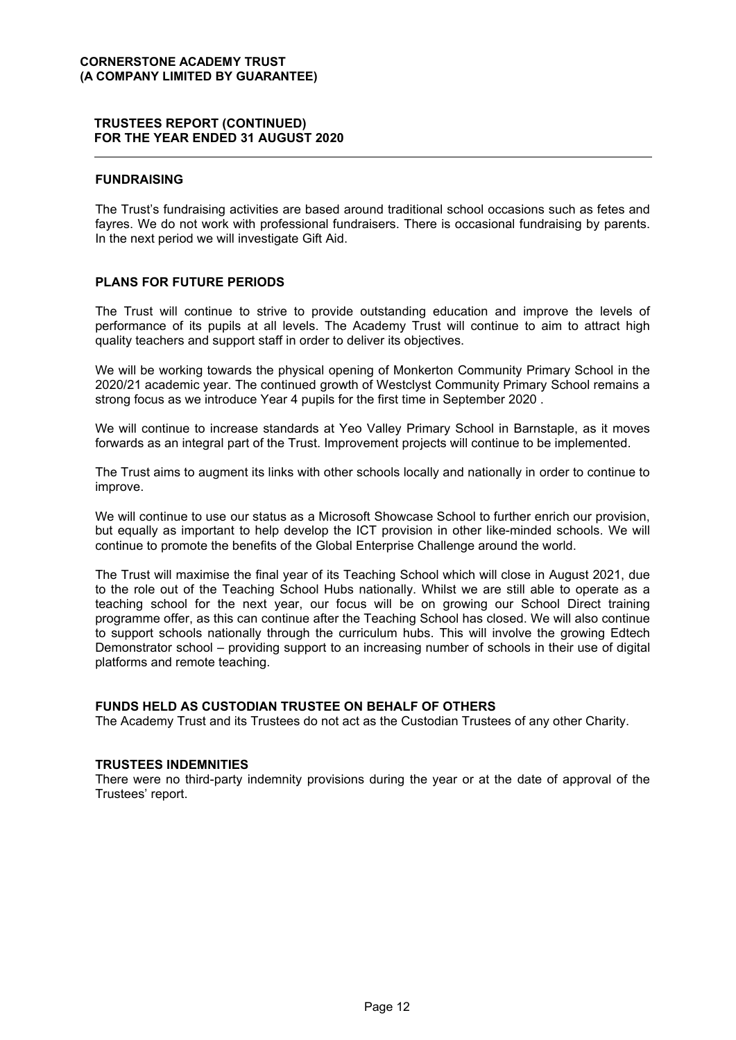## **FUNDRAISING**

The Trust's fundraising activities are based around traditional school occasions such as fetes and fayres. We do not work with professional fundraisers. There is occasional fundraising by parents. In the next period we will investigate Gift Aid.

## **PLANS FOR FUTURE PERIODS**

The Trust will continue to strive to provide outstanding education and improve the levels of performance of its pupils at all levels. The Academy Trust will continue to aim to attract high quality teachers and support staff in order to deliver its objectives.

We will be working towards the physical opening of Monkerton Community Primary School in the 2020/21 academic year. The continued growth of Westclyst Community Primary School remains a strong focus as we introduce Year 4 pupils for the first time in September 2020.

We will continue to increase standards at Yeo Valley Primary School in Barnstaple, as it moves forwards as an integral part of the Trust. Improvement projects will continue to be implemented.

The Trust aims to augment its links with other schools locally and nationally in order to continue to improve.

We will continue to use our status as a Microsoft Showcase School to further enrich our provision. but equally as important to help develop the ICT provision in other like-minded schools. We will continue to promote the benefits of the Global Enterprise Challenge around the world.

The Trust will maximise the final year of its Teaching School which will close in August 2021, due to the role out of the Teaching School Hubs nationally. Whilst we are still able to operate as a teaching school for the next year, our focus will be on growing our School Direct training programme offer, as this can continue after the Teaching School has closed. We will also continue to support schools nationally through the curriculum hubs. This will involve the growing Edtech Demonstrator school – providing support to an increasing number of schools in their use of digital platforms and remote teaching.

## **FUNDS HELD AS CUSTODIAN TRUSTEE ON BEHALF OF OTHERS**

The Academy Trust and its Trustees do not act as the Custodian Trustees of any other Charity.

#### **TRUSTEES INDEMNITIES**

There were no third-party indemnity provisions during the year or at the date of approval of the Trustees' report.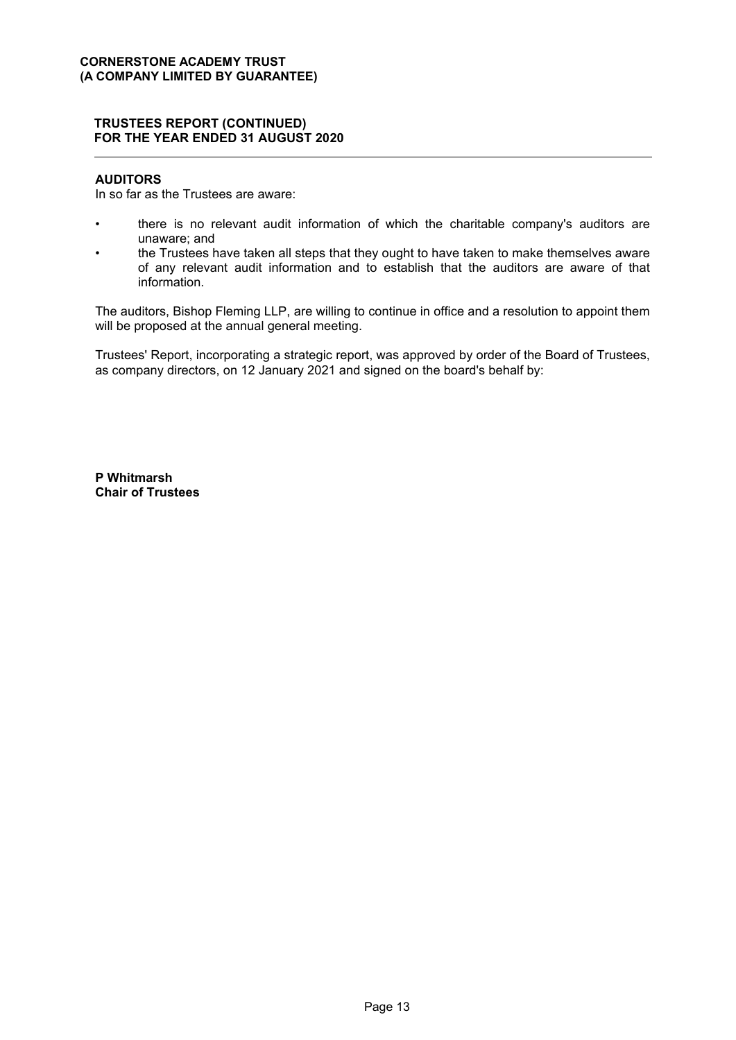## **AUDITORS**

In so far as the Trustees are aware:

- there is no relevant audit information of which the charitable company's auditors are unaware: and
- the Trustees have taken all steps that they ought to have taken to make themselves aware  $\ddot{\phantom{0}}$ of any relevant audit information and to establish that the auditors are aware of that information.

The auditors, Bishop Fleming LLP, are willing to continue in office and a resolution to appoint them will be proposed at the annual general meeting.

Trustees' Report, incorporating a strategic report, was approved by order of the Board of Trustees, as company directors, on 12 January 2021 and signed on the board's behalf by:

P Whitmarsh **Chair of Trustees**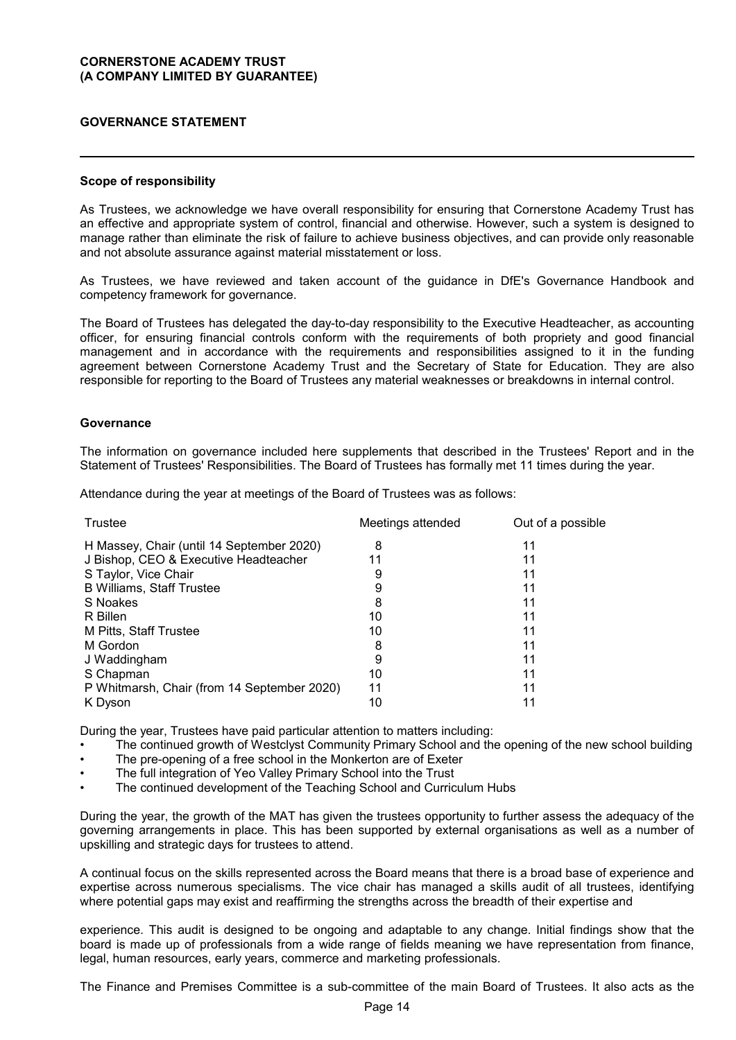## **GOVERNANCE STATEMENT**

#### **Scope of responsibility**

As Trustees, we acknowledge we have overall responsibility for ensuring that Cornerstone Academy Trust has an effective and appropriate system of control, financial and otherwise. However, such a system is designed to manage rather than eliminate the risk of failure to achieve business objectives, and can provide only reasonable and not absolute assurance against material misstatement or loss.

As Trustees, we have reviewed and taken account of the guidance in DfE's Governance Handbook and competency framework for governance.

The Board of Trustees has delegated the day-to-day responsibility to the Executive Headteacher, as accounting officer, for ensuring financial controls conform with the requirements of both propriety and good financial management and in accordance with the requirements and responsibilities assigned to it in the funding agreement between Cornerstone Academy Trust and the Secretary of State for Education. They are also responsible for reporting to the Board of Trustees any material weaknesses or breakdowns in internal control.

#### **Governance**

The information on governance included here supplements that described in the Trustees' Report and in the Statement of Trustees' Responsibilities. The Board of Trustees has formally met 11 times during the year.

Attendance during the year at meetings of the Board of Trustees was as follows:

| Trustee                                     | Meetings attended | Out of a possible |
|---------------------------------------------|-------------------|-------------------|
| H Massey, Chair (until 14 September 2020)   | 8                 | 11                |
| J Bishop, CEO & Executive Headteacher       | 11                | 11                |
| S Taylor, Vice Chair                        | 9                 | 11                |
| <b>B Williams, Staff Trustee</b>            | 9                 | 11                |
| S Noakes                                    | 8                 | 11                |
| R Billen                                    | 10                | 11                |
| M Pitts, Staff Trustee                      | 10                | 11                |
| M Gordon                                    | 8                 | 11                |
| J Waddingham                                | 9                 | 11                |
| S Chapman                                   | 10                | 11                |
| P Whitmarsh, Chair (from 14 September 2020) | 11                | 11                |
| K Dyson                                     | 10                | 11                |

During the year, Trustees have paid particular attention to matters including:

- The continued growth of Westclyst Community Primary School and the opening of the new school building
- The pre-opening of a free school in the Monkerton are of Exeter
- The full integration of Yeo Valley Primary School into the Trust
- The continued development of the Teaching School and Curriculum Hubs

During the year, the growth of the MAT has given the trustees opportunity to further assess the adequacy of the governing arrangements in place. This has been supported by external organisations as well as a number of upskilling and strategic days for trustees to attend.

A continual focus on the skills represented across the Board means that there is a broad base of experience and expertise across numerous specialisms. The vice chair has managed a skills audit of all trustees, identifying where potential gaps may exist and reaffirming the strengths across the breadth of their expertise and

experience. This audit is designed to be ongoing and adaptable to any change. Initial findings show that the board is made up of professionals from a wide range of fields meaning we have representation from finance, legal, human resources, early years, commerce and marketing professionals.

The Finance and Premises Committee is a sub-committee of the main Board of Trustees. It also acts as the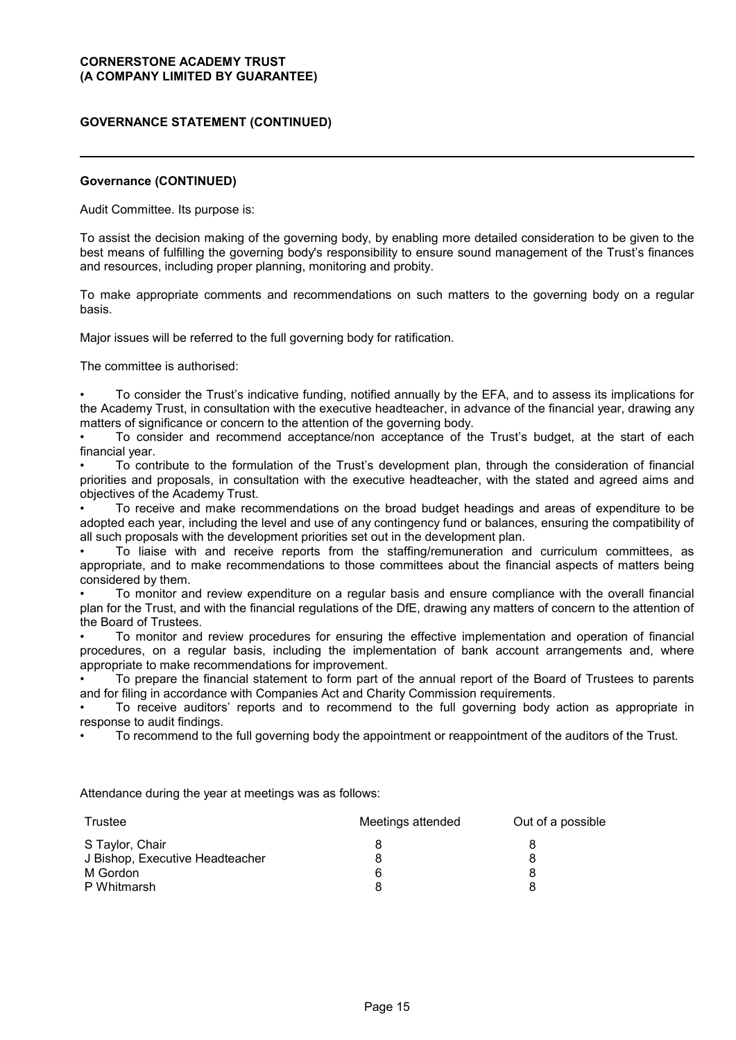## **GOVERNANCE STATEMENT (CONTINUED)**

#### **Governance (CONTINUED)**

Audit Committee. Its purpose is:

To assist the decision making of the governing body, by enabling more detailed consideration to be given to the best means of fulfilling the governing body's responsibility to ensure sound management of the Trust's finances and resources, including proper planning, monitoring and probity.

To make appropriate comments and recommendations on such matters to the governing body on a regular basis.

Major issues will be referred to the full governing body for ratification.

The committee is authorised:

• To consider the Trust's indicative funding, notified annually by the EFA, and to assess its implications for the Academy Trust, in consultation with the executive headteacher, in advance of the financial year, drawing any matters of significance or concern to the attention of the governing body.

• To consider and recommend acceptance/non acceptance of the Trust's budget, at the start of each financial year.

• To contribute to the formulation of the Trust's development plan, through the consideration of financial priorities and proposals, in consultation with the executive headteacher, with the stated and agreed aims and objectives of the Academy Trust.

• To receive and make recommendations on the broad budget headings and areas of expenditure to be adopted each year, including the level and use of any contingency fund or balances, ensuring the compatibility of all such proposals with the development priorities set out in the development plan.

• To liaise with and receive reports from the staffing/remuneration and curriculum committees, as appropriate, and to make recommendations to those committees about the financial aspects of matters being considered by them.

• To monitor and review expenditure on a regular basis and ensure compliance with the overall financial plan for the Trust, and with the financial regulations of the DfE, drawing any matters of concern to the attention of the Board of Trustees.

• To monitor and review procedures for ensuring the effective implementation and operation of financial procedures, on a regular basis, including the implementation of bank account arrangements and, where appropriate to make recommendations for improvement.

• To prepare the financial statement to form part of the annual report of the Board of Trustees to parents and for filing in accordance with Companies Act and Charity Commission requirements.

• To receive auditors' reports and to recommend to the full governing body action as appropriate in response to audit findings.

• To recommend to the full governing body the appointment or reappointment of the auditors of the Trust.

Attendance during the year at meetings was as follows:

| Trustee                         | Meetings attended | Out of a possible |
|---------------------------------|-------------------|-------------------|
| S Taylor, Chair                 |                   |                   |
| J Bishop, Executive Headteacher |                   |                   |
| M Gordon                        | 6                 |                   |
| P Whitmarsh                     |                   |                   |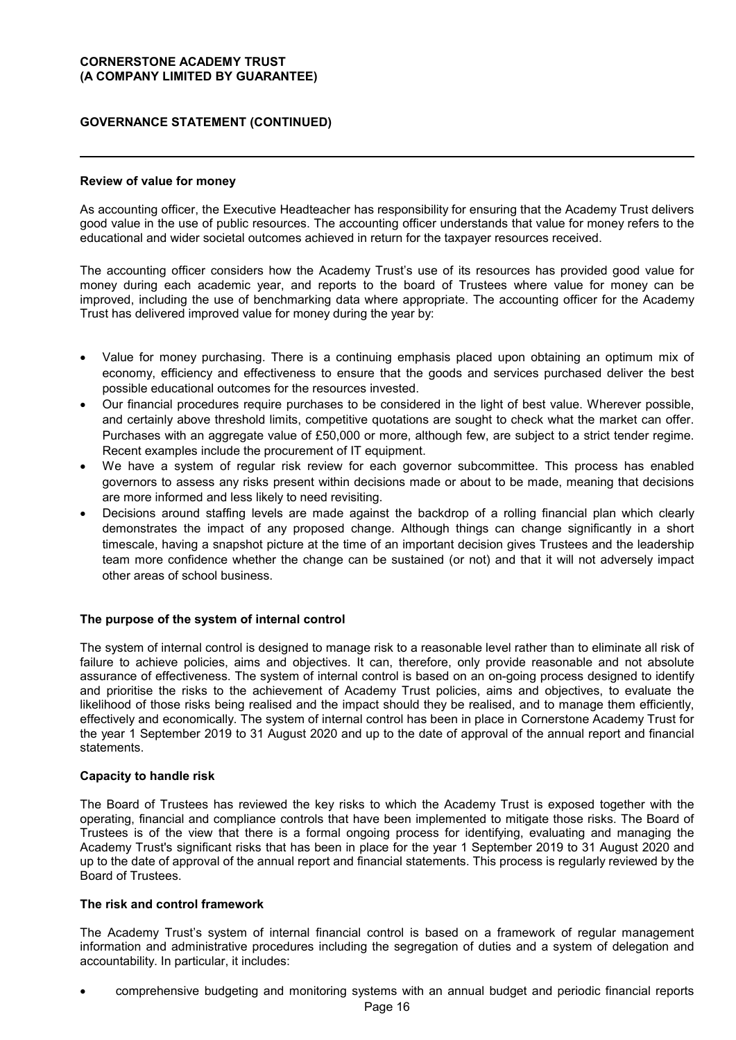## **GOVERNANCE STATEMENT (CONTINUED)**

## **Review of value for money**

As accounting officer, the Executive Headteacher has responsibility for ensuring that the Academy Trust delivers good value in the use of public resources. The accounting officer understands that value for money refers to the educational and wider societal outcomes achieved in return for the taxpayer resources received.

The accounting officer considers how the Academy Trust's use of its resources has provided good value for money during each academic year, and reports to the board of Trustees where value for money can be improved, including the use of benchmarking data where appropriate. The accounting officer for the Academy Trust has delivered improved value for money during the year by:

- Value for money purchasing. There is a continuing emphasis placed upon obtaining an optimum mix of economy, efficiency and effectiveness to ensure that the goods and services purchased deliver the best possible educational outcomes for the resources invested.
- Our financial procedures require purchases to be considered in the light of best value. Wherever possible, and certainly above threshold limits, competitive quotations are sought to check what the market can offer. Purchases with an aggregate value of £50,000 or more, although few, are subject to a strict tender regime. Recent examples include the procurement of IT equipment.
- We have a system of regular risk review for each governor subcommittee. This process has enabled governors to assess any risks present within decisions made or about to be made, meaning that decisions are more informed and less likely to need revisiting.
- Decisions around staffing levels are made against the backdrop of a rolling financial plan which clearly demonstrates the impact of any proposed change. Although things can change significantly in a short timescale, having a snapshot picture at the time of an important decision gives Trustees and the leadership team more confidence whether the change can be sustained (or not) and that it will not adversely impact other areas of school business.

## **The purpose of the system of internal control**

The system of internal control is designed to manage risk to a reasonable level rather than to eliminate all risk of failure to achieve policies, aims and objectives. It can, therefore, only provide reasonable and not absolute assurance of effectiveness. The system of internal control is based on an on-going process designed to identify and prioritise the risks to the achievement of Academy Trust policies, aims and objectives, to evaluate the likelihood of those risks being realised and the impact should they be realised, and to manage them efficiently, effectively and economically. The system of internal control has been in place in Cornerstone Academy Trust for the year 1 September 2019 to 31 August 2020 and up to the date of approval of the annual report and financial statements.

#### **Capacity to handle risk**

The Board of Trustees has reviewed the key risks to which the Academy Trust is exposed together with the operating, financial and compliance controls that have been implemented to mitigate those risks. The Board of Trustees is of the view that there is a formal ongoing process for identifying, evaluating and managing the Academy Trust's significant risks that has been in place for the year 1 September 2019 to 31 August 2020 and up to the date of approval of the annual report and financial statements. This process is regularly reviewed by the Board of Trustees.

#### **The risk and control framework**

The Academy Trust's system of internal financial control is based on a framework of regular management information and administrative procedures including the segregation of duties and a system of delegation and accountability. In particular, it includes:

comprehensive budgeting and monitoring systems with an annual budget and periodic financial reports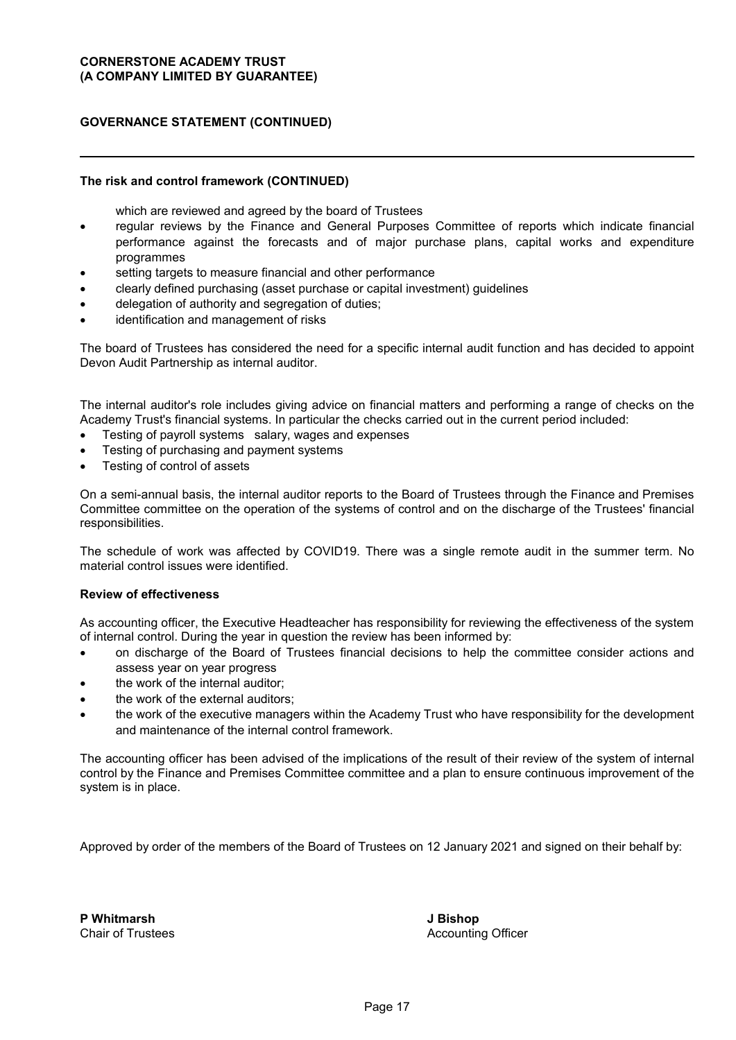## **GOVERNANCE STATEMENT (CONTINUED)**

## **The risk and control framework (CONTINUED)**

which are reviewed and agreed by the board of Trustees

- regular reviews by the Finance and General Purposes Committee of reports which indicate financial performance against the forecasts and of major purchase plans, capital works and expenditure programmes
- setting targets to measure financial and other performance
- clearly defined purchasing (asset purchase or capital investment) guidelines
- delegation of authority and segregation of duties;
- identification and management of risks

The board of Trustees has considered the need for a specific internal audit function and has decided to appoint Devon Audit Partnership as internal auditor.

The internal auditor's role includes giving advice on financial matters and performing a range of checks on the Academy Trust's financial systems. In particular the checks carried out in the current period included:

- Testing of payroll systems salary, wages and expenses
- Testing of purchasing and payment systems
- Testing of control of assets

On a semi-annual basis, the internal auditor reports to the Board of Trustees through the Finance and Premises Committee committee on the operation of the systems of control and on the discharge of the Trustees' financial responsibilities.

The schedule of work was affected by COVID19. There was a single remote audit in the summer term. No material control issues were identified.

## **Review of effectiveness**

As accounting officer, the Executive Headteacher has responsibility for reviewing the effectiveness of the system of internal control. During the year in question the review has been informed by:

- on discharge of the Board of Trustees financial decisions to help the committee consider actions and assess year on year progress
- the work of the internal auditor;
- the work of the external auditors;
- the work of the executive managers within the Academy Trust who have responsibility for the development and maintenance of the internal control framework.

The accounting officer has been advised of the implications of the result of their review of the system of internal control by the Finance and Premises Committee committee and a plan to ensure continuous improvement of the system is in place.

Approved by order of the members of the Board of Trustees on 12 January 2021 and signed on their behalf by:

**P Whitmarsh** Chair of Trustees **J Bishop** Accounting Officer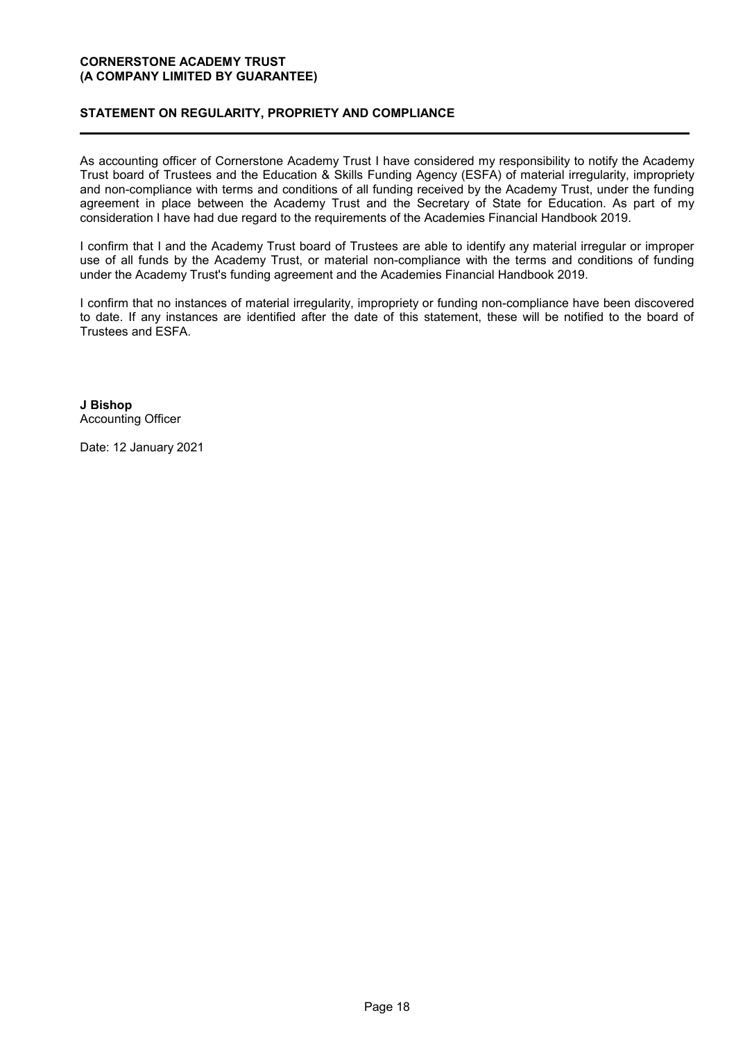# **STATEMENT ON REGULARITY, PROPRIETY AND COMPLIANCE**

As accounting officer of Cornerstone Academy Trust I have considered my responsibility to notify the Academy Trust board of Trustees and the Education & Skills Funding Agency (ESFA) of material irregularity, impropriety and non-compliance with terms and conditions of all funding received by the Academy Trust, under the funding agreement in place between the Academy Trust and the Secretary of State for Education. As part of my consideration I have had due regard to the requirements of the Academies Financial Handbook 2019.

I confirm that I and the Academy Trust board of Trustees are able to identify any material irregular or improper use of all funds by the Academy Trust, or material non-compliance with the terms and conditions of funding under the Academy Trust's funding agreement and the Academies Financial Handbook 2019.

I confirm that no instances of material irregularity, impropriety or funding non-compliance have been discovered to date. If any instances are identified after the date of this statement, these will be notified to the board of Trustees and ESFA.

**J Bishop** Accounting Officer

Date: 12 January 2021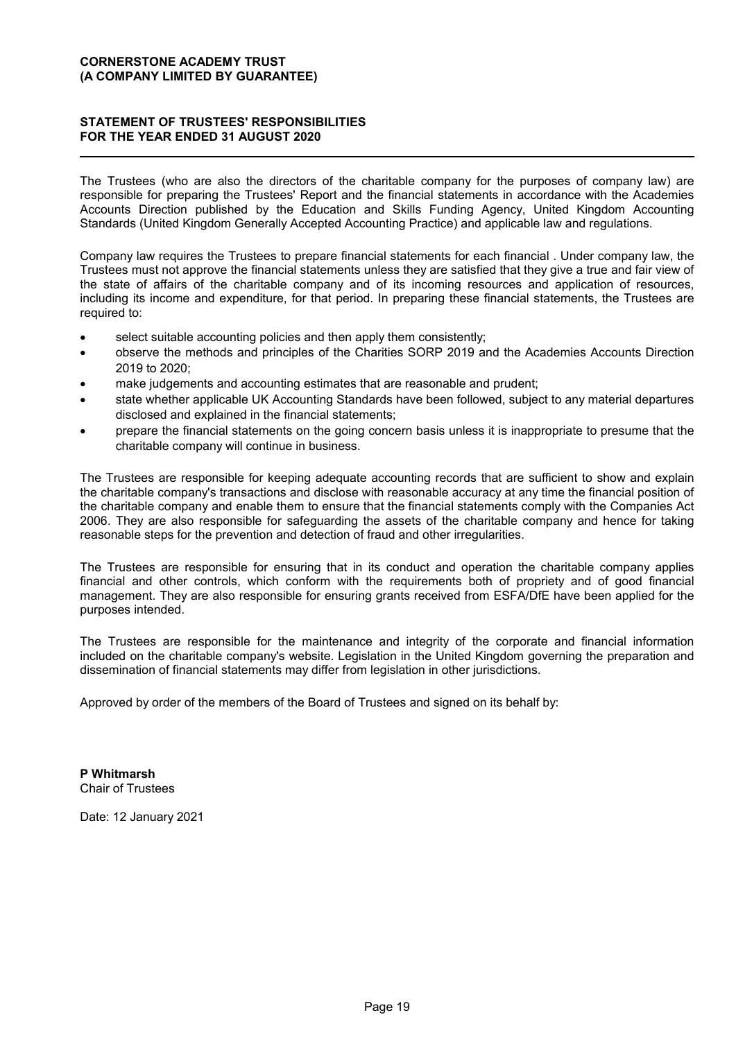## **STATEMENT OF TRUSTEES' RESPONSIBILITIES FOR THE YEAR ENDED 31 AUGUST 2020**

The Trustees (who are also the directors of the charitable company for the purposes of company law) are responsible for preparing the Trustees' Report and the financial statements in accordance with the Academies Accounts Direction published by the Education and Skills Funding Agency, United Kingdom Accounting Standards (United Kingdom Generally Accepted Accounting Practice) and applicable law and regulations.

Company law requires the Trustees to prepare financial statements for each financial . Under company law, the Trustees must not approve the financial statements unless they are satisfied that they give a true and fair view of the state of affairs of the charitable company and of its incoming resources and application of resources, including its income and expenditure, for that period. In preparing these financial statements, the Trustees are required to:

- select suitable accounting policies and then apply them consistently;
- observe the methods and principles of the Charities SORP 2019 and the Academies Accounts Direction 2019 to 2020;
- make judgements and accounting estimates that are reasonable and prudent;
- state whether applicable UK Accounting Standards have been followed, subject to any material departures disclosed and explained in the financial statements;
- prepare the financial statements on the going concern basis unless it is inappropriate to presume that the charitable company will continue in business.

The Trustees are responsible for keeping adequate accounting records that are sufficient to show and explain the charitable company's transactions and disclose with reasonable accuracy at any time the financial position of the charitable company and enable them to ensure that the financial statements comply with the Companies Act 2006. They are also responsible for safeguarding the assets of the charitable company and hence for taking reasonable steps for the prevention and detection of fraud and other irregularities.

The Trustees are responsible for ensuring that in its conduct and operation the charitable company applies financial and other controls, which conform with the requirements both of propriety and of good financial management. They are also responsible for ensuring grants received from ESFA/DfE have been applied for the purposes intended.

The Trustees are responsible for the maintenance and integrity of the corporate and financial information included on the charitable company's website. Legislation in the United Kingdom governing the preparation and dissemination of financial statements may differ from legislation in other jurisdictions.

Approved by order of the members of the Board of Trustees and signed on its behalf by:

**P Whitmarsh** Chair of Trustees

Date: 12 January 2021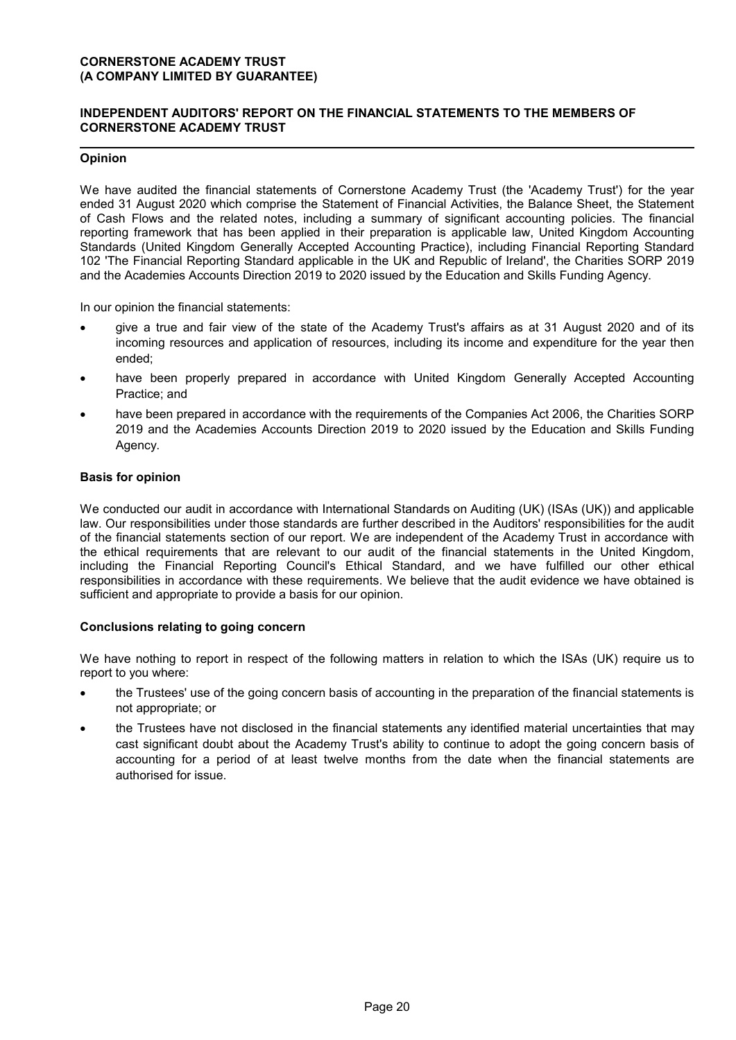## **INDEPENDENT AUDITORS' REPORT ON THE FINANCIAL STATEMENTS TO THE MEMBERS OF CORNERSTONE ACADEMY TRUST**

## **Opinion**

We have audited the financial statements of Cornerstone Academy Trust (the 'Academy Trust') for the year ended 31 August 2020 which comprise the Statement of Financial Activities, the Balance Sheet, the Statement of Cash Flows and the related notes, including a summary of significant accounting policies. The financial reporting framework that has been applied in their preparation is applicable law, United Kingdom Accounting Standards (United Kingdom Generally Accepted Accounting Practice), including Financial Reporting Standard 102 'The Financial Reporting Standard applicable in the UK and Republic of Ireland', the Charities SORP 2019 and the Academies Accounts Direction 2019 to 2020 issued by the Education and Skills Funding Agency.

In our opinion the financial statements:

- give a true and fair view of the state of the Academy Trust's affairs as at 31 August 2020 and of its incoming resources and application of resources, including its income and expenditure for the year then ended;
- have been properly prepared in accordance with United Kingdom Generally Accepted Accounting Practice; and
- have been prepared in accordance with the requirements of the Companies Act 2006, the Charities SORP 2019 and the Academies Accounts Direction 2019 to 2020 issued by the Education and Skills Funding Agency.

#### **Basis for opinion**

We conducted our audit in accordance with International Standards on Auditing (UK) (ISAs (UK)) and applicable law. Our responsibilities under those standards are further described in the Auditors' responsibilities for the audit of the financial statements section of our report. We are independent of the Academy Trust in accordance with the ethical requirements that are relevant to our audit of the financial statements in the United Kingdom, including the Financial Reporting Council's Ethical Standard, and we have fulfilled our other ethical responsibilities in accordance with these requirements. We believe that the audit evidence we have obtained is sufficient and appropriate to provide a basis for our opinion.

#### **Conclusions relating to going concern**

We have nothing to report in respect of the following matters in relation to which the ISAs (UK) require us to report to you where:

- the Trustees' use of the going concern basis of accounting in the preparation of the financial statements is not appropriate; or
- the Trustees have not disclosed in the financial statements any identified material uncertainties that may cast significant doubt about the Academy Trust's ability to continue to adopt the going concern basis of accounting for a period of at least twelve months from the date when the financial statements are authorised for issue.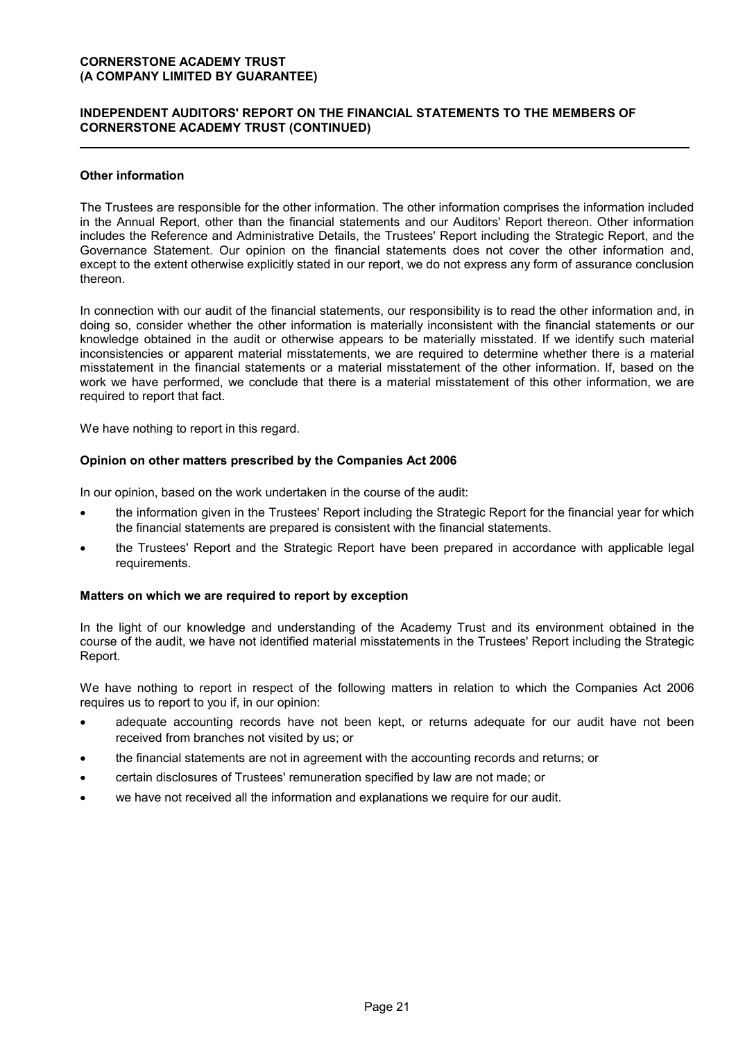## **INDEPENDENT AUDITORS' REPORT ON THE FINANCIAL STATEMENTS TO THE MEMBERS OF CORNERSTONE ACADEMY TRUST (CONTINUED)**

## **Other information**

The Trustees are responsible for the other information. The other information comprises the information included in the Annual Report, other than the financial statements and our Auditors' Report thereon. Other information includes the Reference and Administrative Details, the Trustees' Report including the Strategic Report, and the Governance Statement. Our opinion on the financial statements does not cover the other information and, except to the extent otherwise explicitly stated in our report, we do not express any form of assurance conclusion thereon.

In connection with our audit of the financial statements, our responsibility is to read the other information and, in doing so, consider whether the other information is materially inconsistent with the financial statements or our knowledge obtained in the audit or otherwise appears to be materially misstated. If we identify such material inconsistencies or apparent material misstatements, we are required to determine whether there is a material misstatement in the financial statements or a material misstatement of the other information. If, based on the work we have performed, we conclude that there is a material misstatement of this other information, we are required to report that fact.

We have nothing to report in this regard.

#### **Opinion on other matters prescribed by the Companies Act 2006**

In our opinion, based on the work undertaken in the course of the audit:

- the information given in the Trustees' Report including the Strategic Report for the financial year for which the financial statements are prepared is consistent with the financial statements.
- the Trustees' Report and the Strategic Report have been prepared in accordance with applicable legal requirements.

#### **Matters on which we are required to report by exception**

In the light of our knowledge and understanding of the Academy Trust and its environment obtained in the course of the audit, we have not identified material misstatements in the Trustees' Report including the Strategic Report.

We have nothing to report in respect of the following matters in relation to which the Companies Act 2006 requires us to report to you if, in our opinion:

- adequate accounting records have not been kept, or returns adequate for our audit have not been received from branches not visited by us; or
- the financial statements are not in agreement with the accounting records and returns; or
- certain disclosures of Trustees' remuneration specified by law are not made; or
- we have not received all the information and explanations we require for our audit.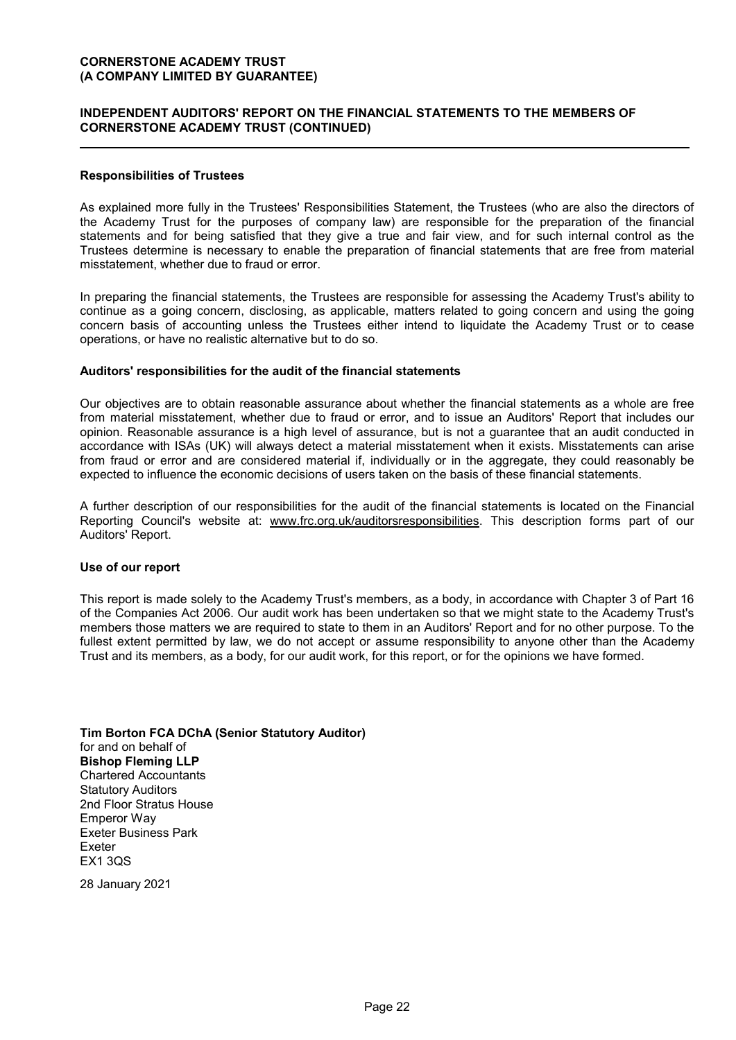## **INDEPENDENT AUDITORS' REPORT ON THE FINANCIAL STATEMENTS TO THE MEMBERS OF CORNERSTONE ACADEMY TRUST (CONTINUED)**

#### **Responsibilities of Trustees**

As explained more fully in the Trustees' Responsibilities Statement, the Trustees (who are also the directors of the Academy Trust for the purposes of company law) are responsible for the preparation of the financial statements and for being satisfied that they give a true and fair view, and for such internal control as the Trustees determine is necessary to enable the preparation of financial statements that are free from material misstatement, whether due to fraud or error.

In preparing the financial statements, the Trustees are responsible for assessing the Academy Trust's ability to continue as a going concern, disclosing, as applicable, matters related to going concern and using the going concern basis of accounting unless the Trustees either intend to liquidate the Academy Trust or to cease operations, or have no realistic alternative but to do so.

#### **Auditors' responsibilities for the audit of the financial statements**

Our objectives are to obtain reasonable assurance about whether the financial statements as a whole are free from material misstatement, whether due to fraud or error, and to issue an Auditors' Report that includes our opinion. Reasonable assurance is a high level of assurance, but is not a guarantee that an audit conducted in accordance with ISAs (UK) will always detect a material misstatement when it exists. Misstatements can arise from fraud or error and are considered material if, individually or in the aggregate, they could reasonably be expected to influence the economic decisions of users taken on the basis of these financial statements.

A further description of our responsibilities for the audit of the financial statements is located on the Financial Reporting Council's website at: www.frc.org.uk/auditorsresponsibilities. This description forms part of our Auditors' Report.

#### **Use of our report**

This report is made solely to the Academy Trust's members, as a body, in accordance with Chapter 3 of Part 16 of the Companies Act 2006. Our audit work has been undertaken so that we might state to the Academy Trust's members those matters we are required to state to them in an Auditors' Report and for no other purpose. To the fullest extent permitted by law, we do not accept or assume responsibility to anyone other than the Academy Trust and its members, as a body, for our audit work, for this report, or for the opinions we have formed.

#### **Tim Borton FCA DChA (Senior Statutory Auditor)**

for and on behalf of **Bishop Fleming LLP** Chartered Accountants Statutory Auditors 2nd Floor Stratus House Emperor Way Exeter Business Park Exeter EX1 3QS

28 January 2021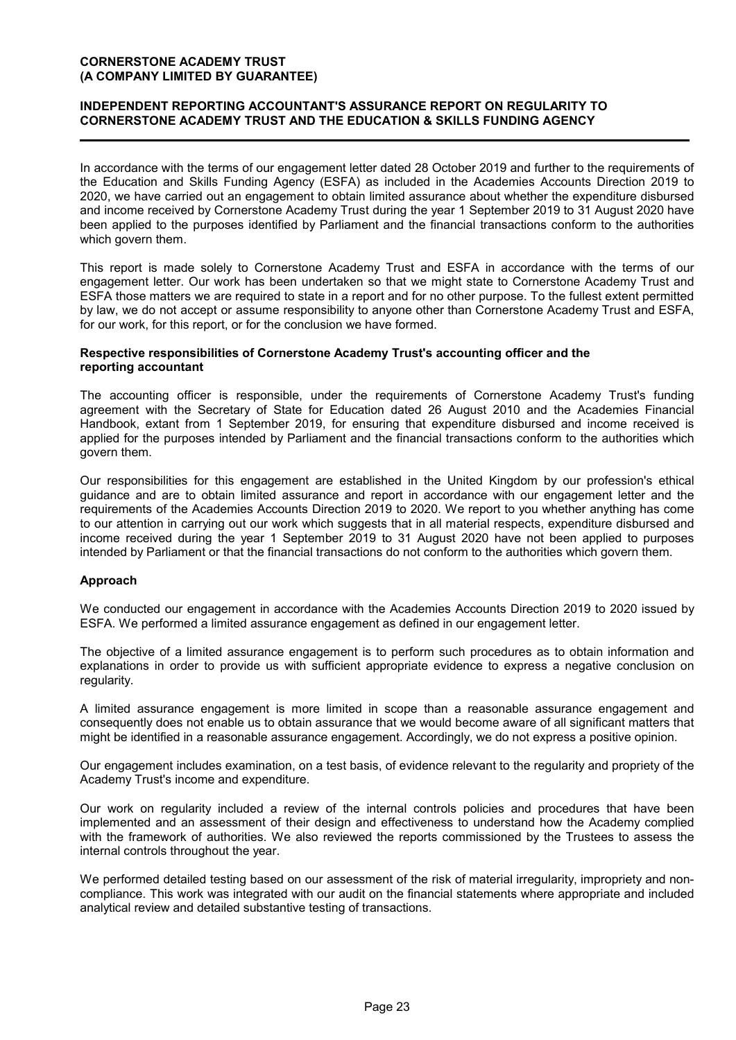## **INDEPENDENT REPORTING ACCOUNTANT'S ASSURANCE REPORT ON REGULARITY TO CORNERSTONE ACADEMY TRUST AND THE EDUCATION & SKILLS FUNDING AGENCY**

In accordance with the terms of our engagement letter dated 28 October 2019 and further to the requirements of the Education and Skills Funding Agency (ESFA) as included in the Academies Accounts Direction 2019 to 2020, we have carried out an engagement to obtain limited assurance about whether the expenditure disbursed and income received by Cornerstone Academy Trust during the year 1 September 2019 to 31 August 2020 have been applied to the purposes identified by Parliament and the financial transactions conform to the authorities which govern them.

This report is made solely to Cornerstone Academy Trust and ESFA in accordance with the terms of our engagement letter. Our work has been undertaken so that we might state to Cornerstone Academy Trust and ESFA those matters we are required to state in a report and for no other purpose. To the fullest extent permitted by law, we do not accept or assume responsibility to anyone other than Cornerstone Academy Trust and ESFA, for our work, for this report, or for the conclusion we have formed.

#### **Respective responsibilities of Cornerstone Academy Trust's accounting officer and the reporting accountant**

The accounting officer is responsible, under the requirements of Cornerstone Academy Trust's funding agreement with the Secretary of State for Education dated 26 August 2010 and the Academies Financial Handbook, extant from 1 September 2019, for ensuring that expenditure disbursed and income received is applied for the purposes intended by Parliament and the financial transactions conform to the authorities which govern them.

Our responsibilities for this engagement are established in the United Kingdom by our profession's ethical guidance and are to obtain limited assurance and report in accordance with our engagement letter and the requirements of the Academies Accounts Direction 2019 to 2020. We report to you whether anything has come to our attention in carrying out our work which suggests that in all material respects, expenditure disbursed and income received during the year 1 September 2019 to 31 August 2020 have not been applied to purposes intended by Parliament or that the financial transactions do not conform to the authorities which govern them.

#### **Approach**

We conducted our engagement in accordance with the Academies Accounts Direction 2019 to 2020 issued by ESFA. We performed a limited assurance engagement as defined in our engagement letter.

The objective of a limited assurance engagement is to perform such procedures as to obtain information and explanations in order to provide us with sufficient appropriate evidence to express a negative conclusion on regularity.

A limited assurance engagement is more limited in scope than a reasonable assurance engagement and consequently does not enable us to obtain assurance that we would become aware of all significant matters that might be identified in a reasonable assurance engagement. Accordingly, we do not express a positive opinion.

Our engagement includes examination, on a test basis, of evidence relevant to the regularity and propriety of the Academy Trust's income and expenditure.

Our work on regularity included a review of the internal controls policies and procedures that have been implemented and an assessment of their design and effectiveness to understand how the Academy complied with the framework of authorities. We also reviewed the reports commissioned by the Trustees to assess the internal controls throughout the year.

We performed detailed testing based on our assessment of the risk of material irregularity, impropriety and noncompliance. This work was integrated with our audit on the financial statements where appropriate and included analytical review and detailed substantive testing of transactions.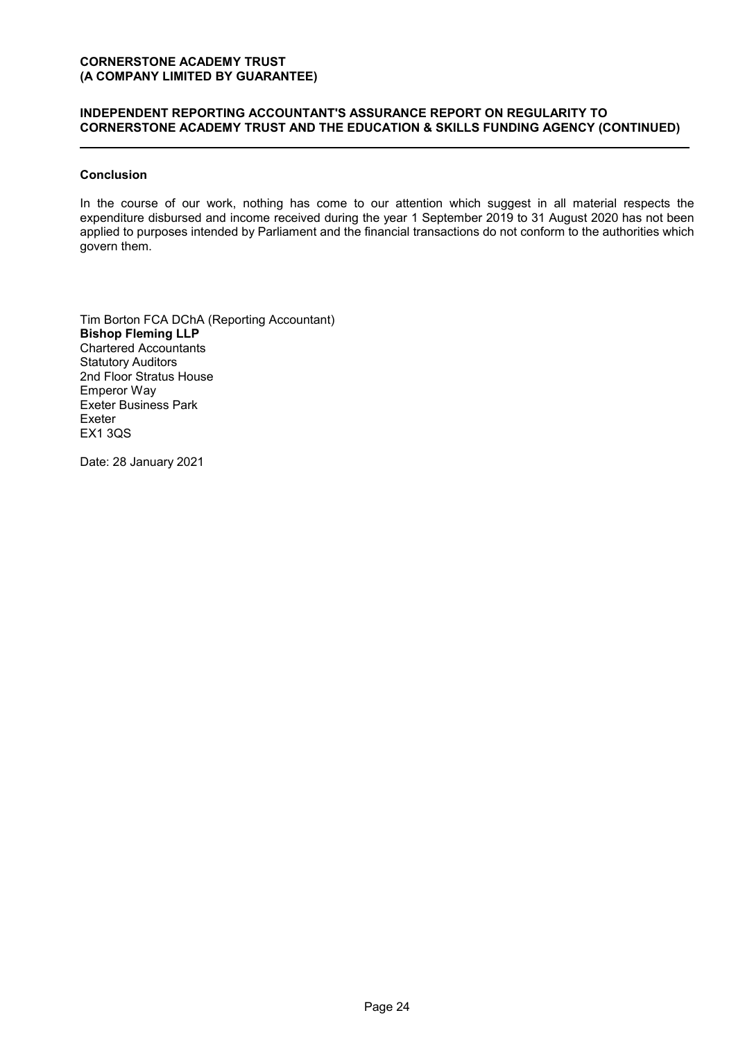# **INDEPENDENT REPORTING ACCOUNTANT'S ASSURANCE REPORT ON REGULARITY TO CORNERSTONE ACADEMY TRUST AND THE EDUCATION & SKILLS FUNDING AGENCY (CONTINUED)**

## **Conclusion**

In the course of our work, nothing has come to our attention which suggest in all material respects the expenditure disbursed and income received during the year 1 September 2019 to 31 August 2020 has not been applied to purposes intended by Parliament and the financial transactions do not conform to the authorities which govern them.

Tim Borton FCA DChA (Reporting Accountant) **Bishop Fleming LLP** Chartered Accountants Statutory Auditors 2nd Floor Stratus House Emperor Way Exeter Business Park Exeter EX1 3QS

Date: 28 January 2021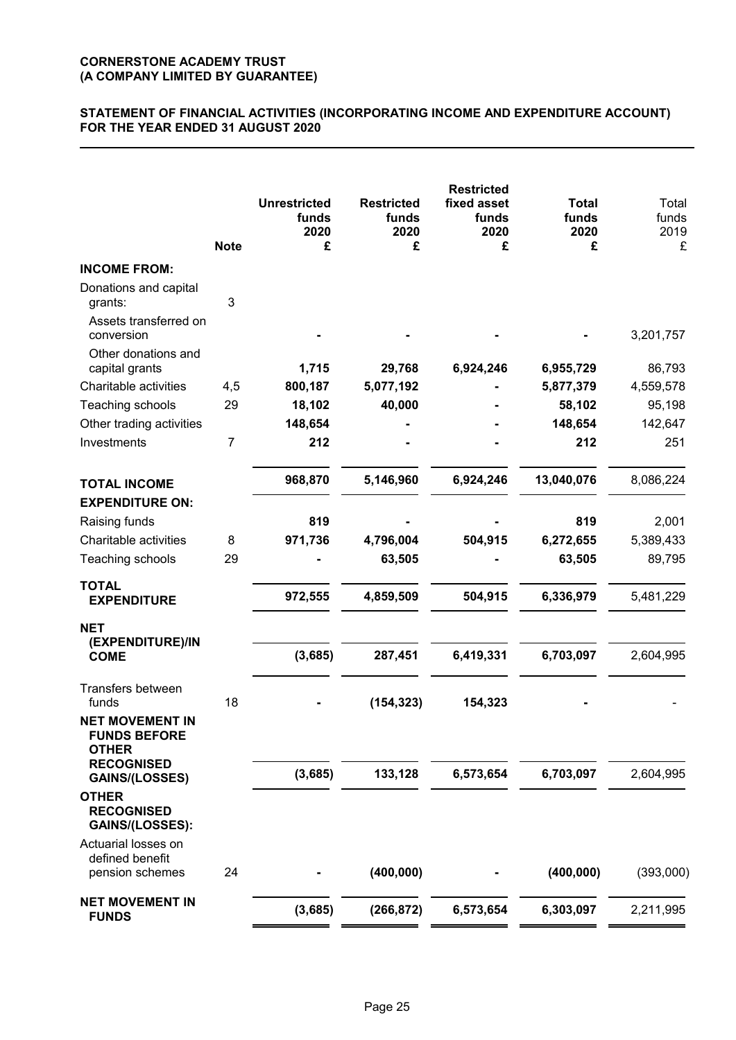# **STATEMENT OF FINANCIAL ACTIVITIES (INCORPORATING INCOME AND EXPENDITURE ACCOUNT) FOR THE YEAR ENDED 31 AUGUST 2020**

|                                                               | <b>Note</b>    | <b>Unrestricted</b><br>funds<br>2020<br>£ | <b>Restricted</b><br>funds<br>2020<br>£ | <b>Restricted</b><br>fixed asset<br>funds<br>2020<br>£ | <b>Total</b><br>funds<br>2020<br>£ | Total<br>funds<br>2019<br>£ |
|---------------------------------------------------------------|----------------|-------------------------------------------|-----------------------------------------|--------------------------------------------------------|------------------------------------|-----------------------------|
| <b>INCOME FROM:</b>                                           |                |                                           |                                         |                                                        |                                    |                             |
| Donations and capital<br>grants:                              | 3              |                                           |                                         |                                                        |                                    |                             |
| Assets transferred on<br>conversion                           |                |                                           |                                         |                                                        |                                    | 3,201,757                   |
| Other donations and<br>capital grants                         |                | 1,715                                     | 29,768                                  | 6,924,246                                              | 6,955,729                          | 86,793                      |
| Charitable activities                                         | 4,5            | 800,187                                   | 5,077,192                               |                                                        | 5,877,379                          | 4,559,578                   |
| Teaching schools                                              | 29             | 18,102                                    | 40,000                                  |                                                        | 58,102                             | 95,198                      |
| Other trading activities                                      |                | 148,654                                   |                                         |                                                        | 148,654                            | 142,647                     |
| Investments                                                   | $\overline{7}$ | 212                                       |                                         |                                                        | 212                                | 251                         |
| <b>TOTAL INCOME</b>                                           |                | 968,870                                   | 5,146,960                               | 6,924,246                                              | 13,040,076                         | 8,086,224                   |
| <b>EXPENDITURE ON:</b>                                        |                |                                           |                                         |                                                        |                                    |                             |
| Raising funds                                                 |                | 819                                       |                                         |                                                        | 819                                | 2,001                       |
| Charitable activities                                         | 8              | 971,736                                   | 4,796,004                               | 504,915                                                | 6,272,655                          | 5,389,433                   |
| Teaching schools                                              | 29             |                                           | 63,505                                  |                                                        | 63,505                             | 89,795                      |
| <b>TOTAL</b><br><b>EXPENDITURE</b>                            |                | 972,555                                   | 4,859,509                               | 504,915                                                | 6,336,979                          | 5,481,229                   |
| <b>NET</b>                                                    |                |                                           |                                         |                                                        |                                    |                             |
| (EXPENDITURE)/IN<br><b>COME</b>                               |                | (3,685)                                   | 287,451                                 | 6,419,331                                              | 6,703,097                          | 2,604,995                   |
| <b>Transfers between</b><br>funds                             | 18             |                                           | (154, 323)                              | 154,323                                                |                                    |                             |
| <b>NET MOVEMENT IN</b><br><b>FUNDS BEFORE</b><br><b>OTHER</b> |                |                                           |                                         |                                                        |                                    |                             |
| <b>RECOGNISED</b><br><b>GAINS/(LOSSES)</b>                    |                | (3,685)                                   | 133,128                                 | 6,573,654                                              | 6,703,097                          | 2,604,995                   |
| <b>OTHER</b><br><b>RECOGNISED</b><br>GAINS/(LOSSES):          |                |                                           |                                         |                                                        |                                    |                             |
| Actuarial losses on<br>defined benefit<br>pension schemes     | 24             |                                           | (400, 000)                              |                                                        | (400, 000)                         | (393,000)                   |
| <b>NET MOVEMENT IN</b><br><b>FUNDS</b>                        |                | (3,685)                                   | (266, 872)                              | 6,573,654                                              | 6,303,097                          | 2,211,995                   |
|                                                               |                |                                           |                                         |                                                        |                                    |                             |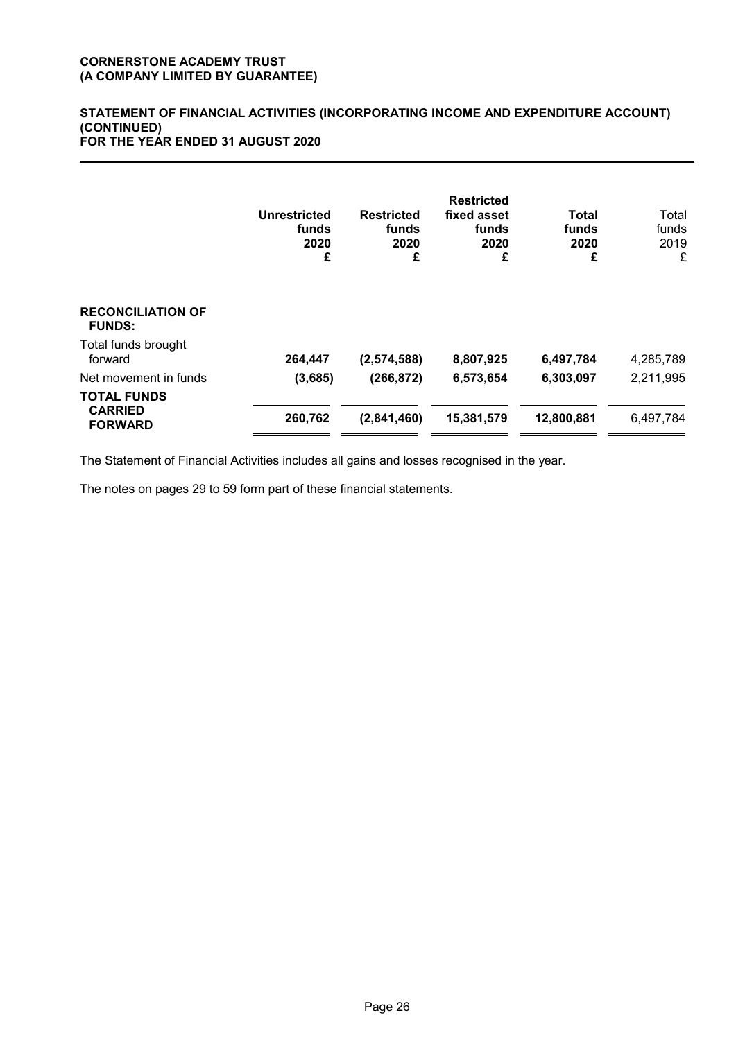#### **STATEMENT OF FINANCIAL ACTIVITIES (INCORPORATING INCOME AND EXPENDITURE ACCOUNT) (CONTINUED) FOR THE YEAR ENDED 31 AUGUST 2020**

|                                                        | Unrestricted<br>funds<br>2020<br>£ | <b>Restricted</b><br>funds<br>2020<br>£ | <b>Restricted</b><br>fixed asset<br>funds<br>2020<br>£ | Total<br>funds<br>2020<br>£ | Total<br>funds<br>2019<br>£ |
|--------------------------------------------------------|------------------------------------|-----------------------------------------|--------------------------------------------------------|-----------------------------|-----------------------------|
| <b>RECONCILIATION OF</b><br><b>FUNDS:</b>              |                                    |                                         |                                                        |                             |                             |
| Total funds brought<br>forward                         | 264,447                            | (2,574,588)                             | 8,807,925                                              | 6,497,784                   | 4,285,789                   |
| Net movement in funds                                  | (3,685)                            | (266, 872)                              | 6,573,654                                              | 6,303,097                   | 2,211,995                   |
| <b>TOTAL FUNDS</b><br><b>CARRIED</b><br><b>FORWARD</b> | 260,762                            | (2,841,460)                             | 15,381,579                                             | 12,800,881                  | 6,497,784                   |

The Statement of Financial Activities includes all gains and losses recognised in the year.

The notes on pages 29 to 59 form part of these financial statements.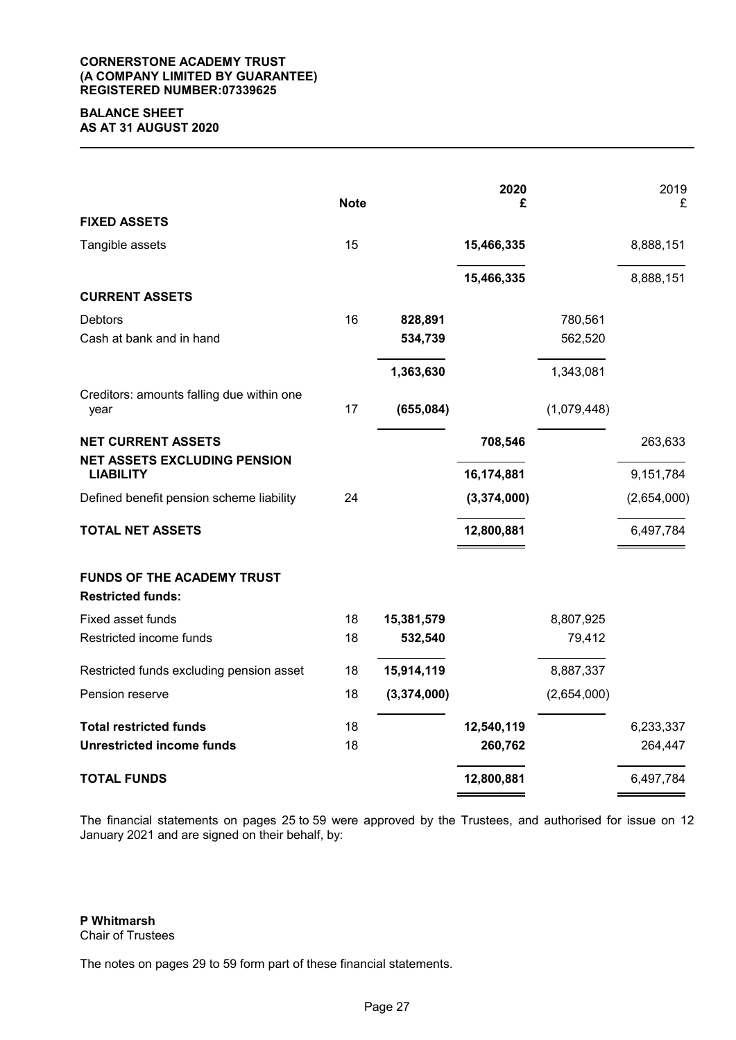## **CORNERSTONE ACADEMY TRUST (A COMPANY LIMITED BY GUARANTEE) REGISTERED NUMBER:07339625**

## **BALANCE SHEET AS AT 31 AUGUST 2020**

|                                                         | <b>Note</b> |             | 2020<br>£   |             | 2019<br>£   |
|---------------------------------------------------------|-------------|-------------|-------------|-------------|-------------|
| <b>FIXED ASSETS</b>                                     |             |             |             |             |             |
| Tangible assets                                         | 15          |             | 15,466,335  |             | 8,888,151   |
|                                                         |             |             | 15,466,335  |             | 8,888,151   |
| <b>CURRENT ASSETS</b>                                   |             |             |             |             |             |
| Debtors                                                 | 16          | 828,891     |             | 780,561     |             |
| Cash at bank and in hand                                |             | 534,739     |             | 562,520     |             |
|                                                         |             | 1,363,630   |             | 1,343,081   |             |
| Creditors: amounts falling due within one               |             |             |             |             |             |
| year                                                    | 17          | (655,084)   |             | (1,079,448) |             |
| <b>NET CURRENT ASSETS</b>                               |             |             | 708,546     |             | 263,633     |
| <b>NET ASSETS EXCLUDING PENSION</b><br><b>LIABILITY</b> |             |             | 16,174,881  |             | 9,151,784   |
| Defined benefit pension scheme liability                | 24          |             | (3,374,000) |             | (2,654,000) |
| <b>TOTAL NET ASSETS</b>                                 |             |             | 12,800,881  |             | 6,497,784   |
| <b>FUNDS OF THE ACADEMY TRUST</b>                       |             |             |             |             |             |
| <b>Restricted funds:</b>                                |             |             |             |             |             |
| Fixed asset funds                                       | 18          | 15,381,579  |             | 8,807,925   |             |
| Restricted income funds                                 | 18          | 532,540     |             | 79,412      |             |
| Restricted funds excluding pension asset                | 18          | 15,914,119  |             | 8,887,337   |             |
| Pension reserve                                         | 18          | (3,374,000) |             | (2,654,000) |             |
| <b>Total restricted funds</b>                           | 18          |             | 12,540,119  |             | 6,233,337   |
| <b>Unrestricted income funds</b>                        | 18          |             | 260,762     |             | 264,447     |
| <b>TOTAL FUNDS</b>                                      |             |             | 12,800,881  |             | 6,497,784   |

The financial statements on pages 25 to 59 were approved by the Trustees, and authorised for issue on 12 January 2021 and are signed on their behalf, by:

**P Whitmarsh** Chair of Trustees

The notes on pages 29 to 59 form part of these financial statements.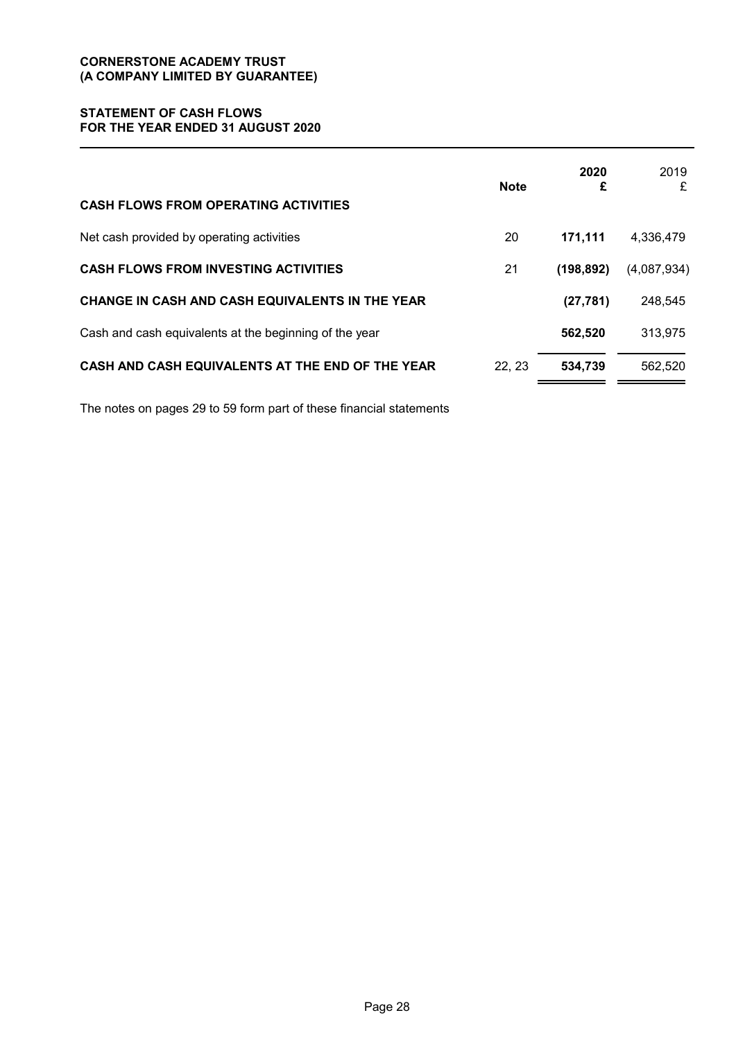# **STATEMENT OF CASH FLOWS FOR THE YEAR ENDED 31 AUGUST 2020**

| <b>CASH FLOWS FROM OPERATING ACTIVITIES</b>            | <b>Note</b> | 2020<br>£  | 2019<br>£   |
|--------------------------------------------------------|-------------|------------|-------------|
| Net cash provided by operating activities              | 20          | 171,111    | 4,336,479   |
| <b>CASH FLOWS FROM INVESTING ACTIVITIES</b>            | 21          | (198, 892) | (4,087,934) |
| CHANGE IN CASH AND CASH EQUIVALENTS IN THE YEAR        |             | (27, 781)  | 248,545     |
| Cash and cash equivalents at the beginning of the year |             | 562,520    | 313,975     |
| CASH AND CASH EQUIVALENTS AT THE END OF THE YEAR       | 22, 23      | 534,739    | 562,520     |

The notes on pages 29 to 59 form part of these financial statements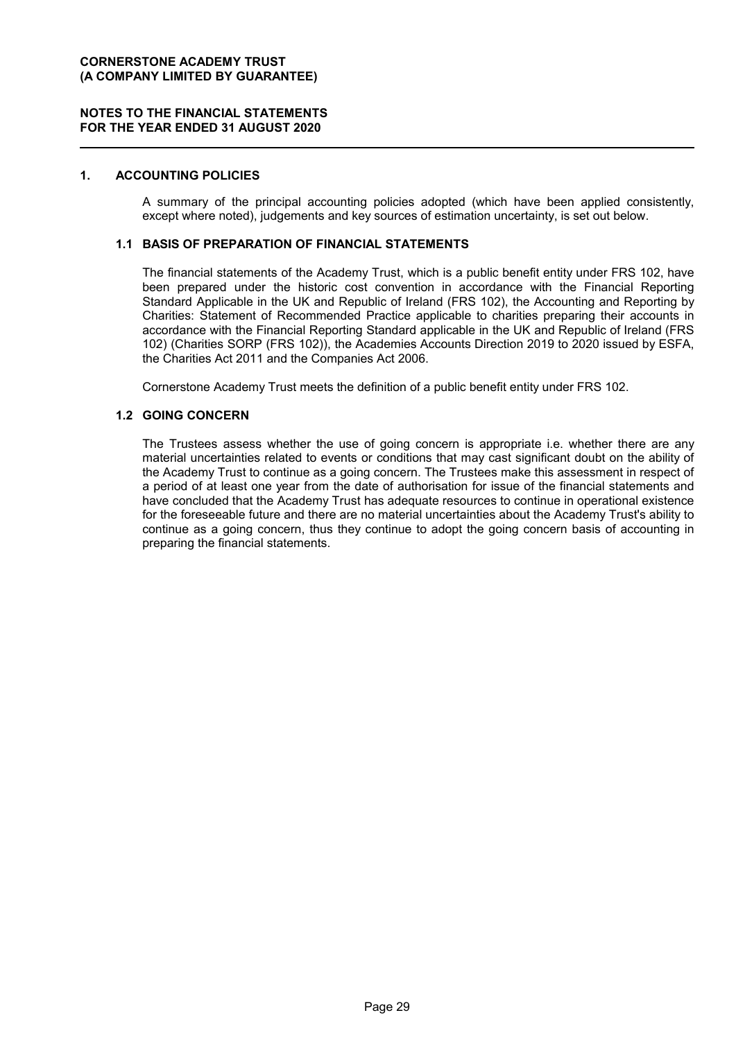### **NOTES TO THE FINANCIAL STATEMENTS FOR THE YEAR ENDED 31 AUGUST 2020**

## **1. ACCOUNTING POLICIES**

A summary of the principal accounting policies adopted (which have been applied consistently, except where noted), judgements and key sources of estimation uncertainty, is set out below.

## **1.1 BASIS OF PREPARATION OF FINANCIAL STATEMENTS**

The financial statements of the Academy Trust, which is a public benefit entity under FRS 102, have been prepared under the historic cost convention in accordance with the Financial Reporting Standard Applicable in the UK and Republic of Ireland (FRS 102), the Accounting and Reporting by Charities: Statement of Recommended Practice applicable to charities preparing their accounts in accordance with the Financial Reporting Standard applicable in the UK and Republic of Ireland (FRS 102) (Charities SORP (FRS 102)), the Academies Accounts Direction 2019 to 2020 issued by ESFA, the Charities Act 2011 and the Companies Act 2006.

Cornerstone Academy Trust meets the definition of a public benefit entity under FRS 102.

#### **1.2 GOING CONCERN**

The Trustees assess whether the use of going concern is appropriate i.e. whether there are any material uncertainties related to events or conditions that may cast significant doubt on the ability of the Academy Trust to continue as a going concern. The Trustees make this assessment in respect of a period of at least one year from the date of authorisation for issue of the financial statements and have concluded that the Academy Trust has adequate resources to continue in operational existence for the foreseeable future and there are no material uncertainties about the Academy Trust's ability to continue as a going concern, thus they continue to adopt the going concern basis of accounting in preparing the financial statements.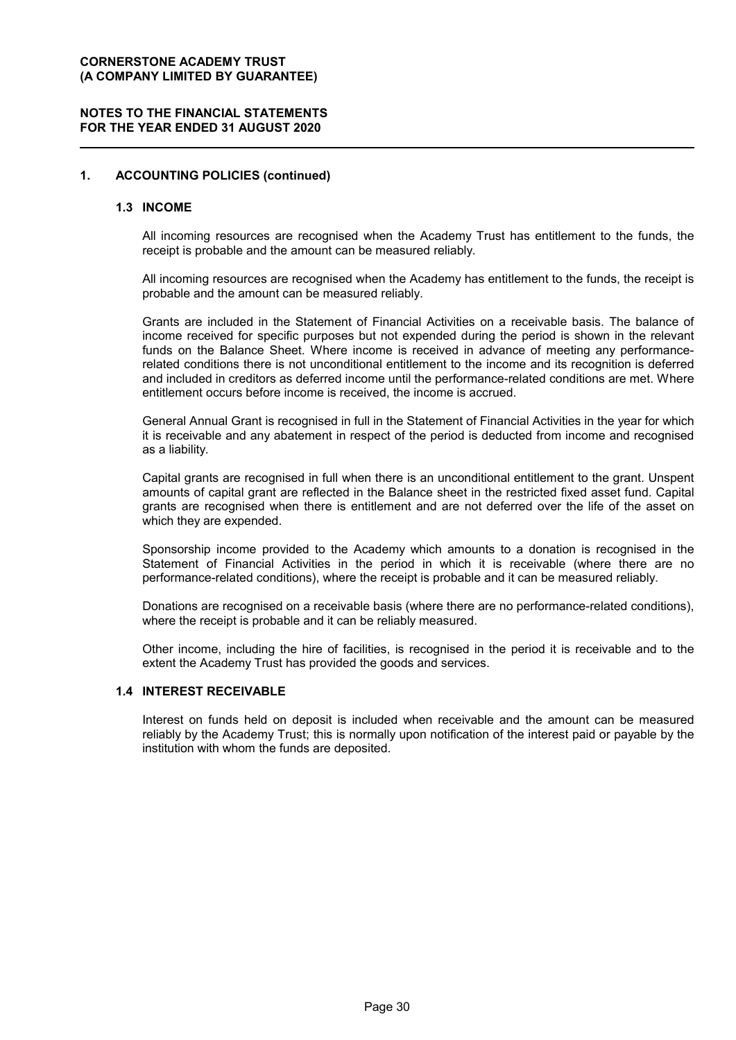## **NOTES TO THE FINANCIAL STATEMENTS FOR THE YEAR ENDED 31 AUGUST 2020**

## **1. ACCOUNTING POLICIES (continued)**

#### **1.3 INCOME**

All incoming resources are recognised when the Academy Trust has entitlement to the funds, the receipt is probable and the amount can be measured reliably.

All incoming resources are recognised when the Academy has entitlement to the funds, the receipt is probable and the amount can be measured reliably.

Grants are included in the Statement of Financial Activities on a receivable basis. The balance of income received for specific purposes but not expended during the period is shown in the relevant funds on the Balance Sheet. Where income is received in advance of meeting any performancerelated conditions there is not unconditional entitlement to the income and its recognition is deferred and included in creditors as deferred income until the performance-related conditions are met. Where entitlement occurs before income is received, the income is accrued.

General Annual Grant is recognised in full in the Statement of Financial Activities in the year for which it is receivable and any abatement in respect of the period is deducted from income and recognised as a liability.

Capital grants are recognised in full when there is an unconditional entitlement to the grant. Unspent amounts of capital grant are reflected in the Balance sheet in the restricted fixed asset fund. Capital grants are recognised when there is entitlement and are not deferred over the life of the asset on which they are expended.

Sponsorship income provided to the Academy which amounts to a donation is recognised in the Statement of Financial Activities in the period in which it is receivable (where there are no performance-related conditions), where the receipt is probable and it can be measured reliably.

Donations are recognised on a receivable basis (where there are no performance-related conditions), where the receipt is probable and it can be reliably measured.

Other income, including the hire of facilities, is recognised in the period it is receivable and to the extent the Academy Trust has provided the goods and services.

#### **1.4 INTEREST RECEIVABLE**

Interest on funds held on deposit is included when receivable and the amount can be measured reliably by the Academy Trust; this is normally upon notification of the interest paid or payable by the institution with whom the funds are deposited.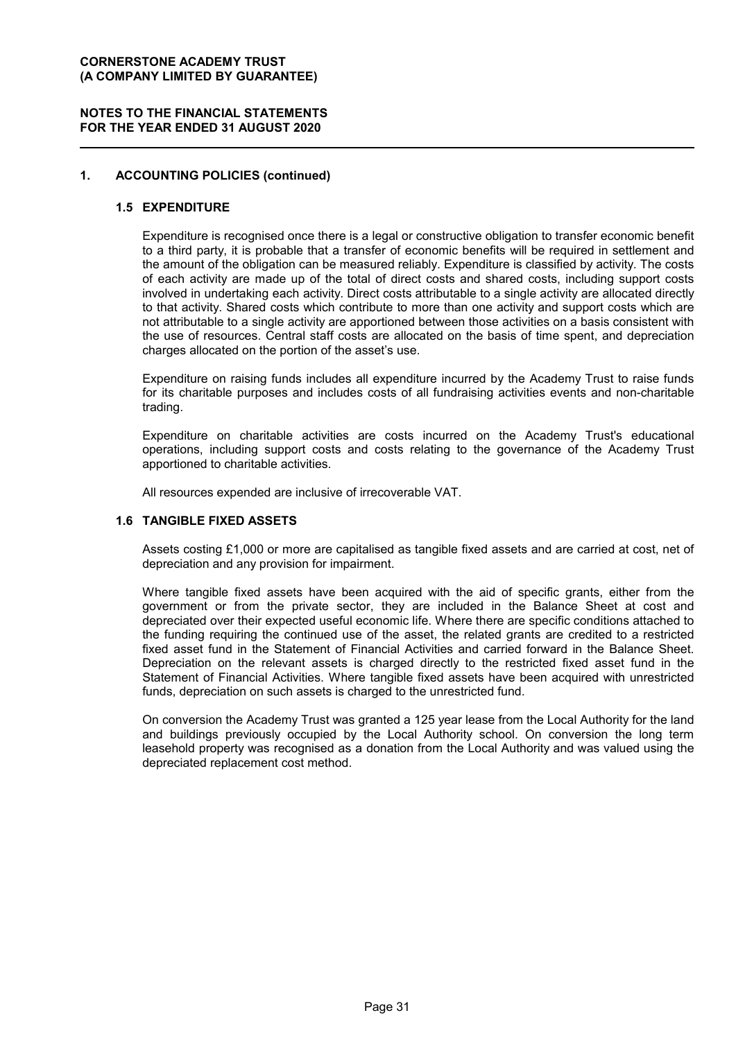## **NOTES TO THE FINANCIAL STATEMENTS FOR THE YEAR ENDED 31 AUGUST 2020**

## **1. ACCOUNTING POLICIES (continued)**

## **1.5 EXPENDITURE**

Expenditure is recognised once there is a legal or constructive obligation to transfer economic benefit to a third party, it is probable that a transfer of economic benefits will be required in settlement and the amount of the obligation can be measured reliably. Expenditure is classified by activity. The costs of each activity are made up of the total of direct costs and shared costs, including support costs involved in undertaking each activity. Direct costs attributable to a single activity are allocated directly to that activity. Shared costs which contribute to more than one activity and support costs which are not attributable to a single activity are apportioned between those activities on a basis consistent with the use of resources. Central staff costs are allocated on the basis of time spent, and depreciation charges allocated on the portion of the asset's use.

Expenditure on raising funds includes all expenditure incurred by the Academy Trust to raise funds for its charitable purposes and includes costs of all fundraising activities events and non-charitable trading.

Expenditure on charitable activities are costs incurred on the Academy Trust's educational operations, including support costs and costs relating to the governance of the Academy Trust apportioned to charitable activities.

All resources expended are inclusive of irrecoverable VAT.

## **1.6 TANGIBLE FIXED ASSETS**

Assets costing £1,000 or more are capitalised as tangible fixed assets and are carried at cost, net of depreciation and any provision for impairment.

Where tangible fixed assets have been acquired with the aid of specific grants, either from the government or from the private sector, they are included in the Balance Sheet at cost and depreciated over their expected useful economic life. Where there are specific conditions attached to the funding requiring the continued use of the asset, the related grants are credited to a restricted fixed asset fund in the Statement of Financial Activities and carried forward in the Balance Sheet. Depreciation on the relevant assets is charged directly to the restricted fixed asset fund in the Statement of Financial Activities. Where tangible fixed assets have been acquired with unrestricted funds, depreciation on such assets is charged to the unrestricted fund.

On conversion the Academy Trust was granted a 125 year lease from the Local Authority for the land and buildings previously occupied by the Local Authority school. On conversion the long term leasehold property was recognised as a donation from the Local Authority and was valued using the depreciated replacement cost method.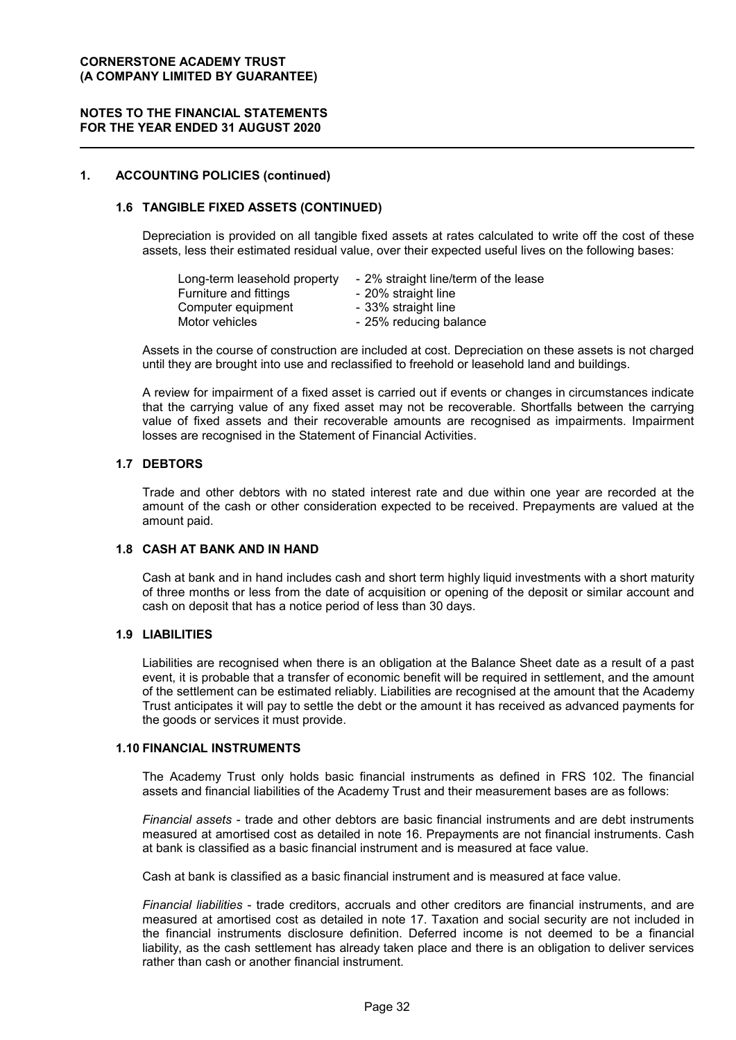## **NOTES TO THE FINANCIAL STATEMENTS FOR THE YEAR ENDED 31 AUGUST 2020**

## **1. ACCOUNTING POLICIES (continued)**

## **1.6 TANGIBLE FIXED ASSETS (CONTINUED)**

Depreciation is provided on all tangible fixed assets at rates calculated to write off the cost of these assets, less their estimated residual value, over their expected useful lives on the following bases:

| Long-term leasehold property | - 2% straight line/term of the lease |
|------------------------------|--------------------------------------|
| Furniture and fittings       | - 20% straight line                  |
| Computer equipment           | - 33% straight line                  |
| Motor vehicles               | - 25% reducing balance               |

Assets in the course of construction are included at cost. Depreciation on these assets is not charged until they are brought into use and reclassified to freehold or leasehold land and buildings.

A review for impairment of a fixed asset is carried out if events or changes in circumstances indicate that the carrying value of any fixed asset may not be recoverable. Shortfalls between the carrying value of fixed assets and their recoverable amounts are recognised as impairments. Impairment losses are recognised in the Statement of Financial Activities.

## **1.7 DEBTORS**

Trade and other debtors with no stated interest rate and due within one year are recorded at the amount of the cash or other consideration expected to be received. Prepayments are valued at the amount paid.

## **1.8 CASH AT BANK AND IN HAND**

Cash at bank and in hand includes cash and short term highly liquid investments with a short maturity of three months or less from the date of acquisition or opening of the deposit or similar account and cash on deposit that has a notice period of less than 30 days.

#### **1.9 LIABILITIES**

Liabilities are recognised when there is an obligation at the Balance Sheet date as a result of a past event, it is probable that a transfer of economic benefit will be required in settlement, and the amount of the settlement can be estimated reliably. Liabilities are recognised at the amount that the Academy Trust anticipates it will pay to settle the debt or the amount it has received as advanced payments for the goods or services it must provide.

#### **1.10 FINANCIAL INSTRUMENTS**

The Academy Trust only holds basic financial instruments as defined in FRS 102. The financial assets and financial liabilities of the Academy Trust and their measurement bases are as follows:

*Financial assets* - trade and other debtors are basic financial instruments and are debt instruments measured at amortised cost as detailed in note 16. Prepayments are not financial instruments. Cash at bank is classified as a basic financial instrument and is measured at face value.

Cash at bank is classified as a basic financial instrument and is measured at face value.

*Financial liabilities* - trade creditors, accruals and other creditors are financial instruments, and are measured at amortised cost as detailed in note 17. Taxation and social security are not included in the financial instruments disclosure definition. Deferred income is not deemed to be a financial liability, as the cash settlement has already taken place and there is an obligation to deliver services rather than cash or another financial instrument.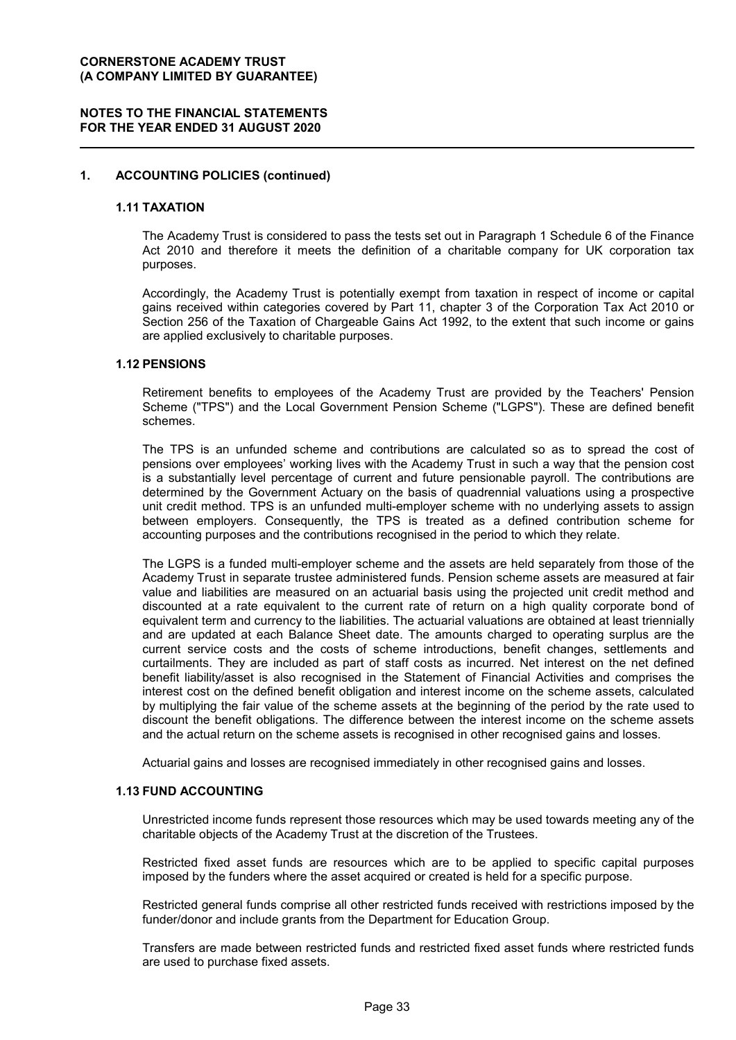## **NOTES TO THE FINANCIAL STATEMENTS FOR THE YEAR ENDED 31 AUGUST 2020**

## **1. ACCOUNTING POLICIES (continued)**

#### **1.11 TAXATION**

The Academy Trust is considered to pass the tests set out in Paragraph 1 Schedule 6 of the Finance Act 2010 and therefore it meets the definition of a charitable company for UK corporation tax purposes.

Accordingly, the Academy Trust is potentially exempt from taxation in respect of income or capital gains received within categories covered by Part 11, chapter 3 of the Corporation Tax Act 2010 or Section 256 of the Taxation of Chargeable Gains Act 1992, to the extent that such income or gains are applied exclusively to charitable purposes.

#### **1.12 PENSIONS**

Retirement benefits to employees of the Academy Trust are provided by the Teachers' Pension Scheme ("TPS") and the Local Government Pension Scheme ("LGPS"). These are defined benefit schemes.

The TPS is an unfunded scheme and contributions are calculated so as to spread the cost of pensions over employees' working lives with the Academy Trust in such a way that the pension cost is a substantially level percentage of current and future pensionable payroll. The contributions are determined by the Government Actuary on the basis of quadrennial valuations using a prospective unit credit method. TPS is an unfunded multi-employer scheme with no underlying assets to assign between employers. Consequently, the TPS is treated as a defined contribution scheme for accounting purposes and the contributions recognised in the period to which they relate.

The LGPS is a funded multi-employer scheme and the assets are held separately from those of the Academy Trust in separate trustee administered funds. Pension scheme assets are measured at fair value and liabilities are measured on an actuarial basis using the projected unit credit method and discounted at a rate equivalent to the current rate of return on a high quality corporate bond of equivalent term and currency to the liabilities. The actuarial valuations are obtained at least triennially and are updated at each Balance Sheet date. The amounts charged to operating surplus are the current service costs and the costs of scheme introductions, benefit changes, settlements and curtailments. They are included as part of staff costs as incurred. Net interest on the net defined benefit liability/asset is also recognised in the Statement of Financial Activities and comprises the interest cost on the defined benefit obligation and interest income on the scheme assets, calculated by multiplying the fair value of the scheme assets at the beginning of the period by the rate used to discount the benefit obligations. The difference between the interest income on the scheme assets and the actual return on the scheme assets is recognised in other recognised gains and losses.

Actuarial gains and losses are recognised immediately in other recognised gains and losses.

# **1.13 FUND ACCOUNTING**

Unrestricted income funds represent those resources which may be used towards meeting any of the charitable objects of the Academy Trust at the discretion of the Trustees.

Restricted fixed asset funds are resources which are to be applied to specific capital purposes imposed by the funders where the asset acquired or created is held for a specific purpose.

Restricted general funds comprise all other restricted funds received with restrictions imposed by the funder/donor and include grants from the Department for Education Group.

Transfers are made between restricted funds and restricted fixed asset funds where restricted funds are used to purchase fixed assets.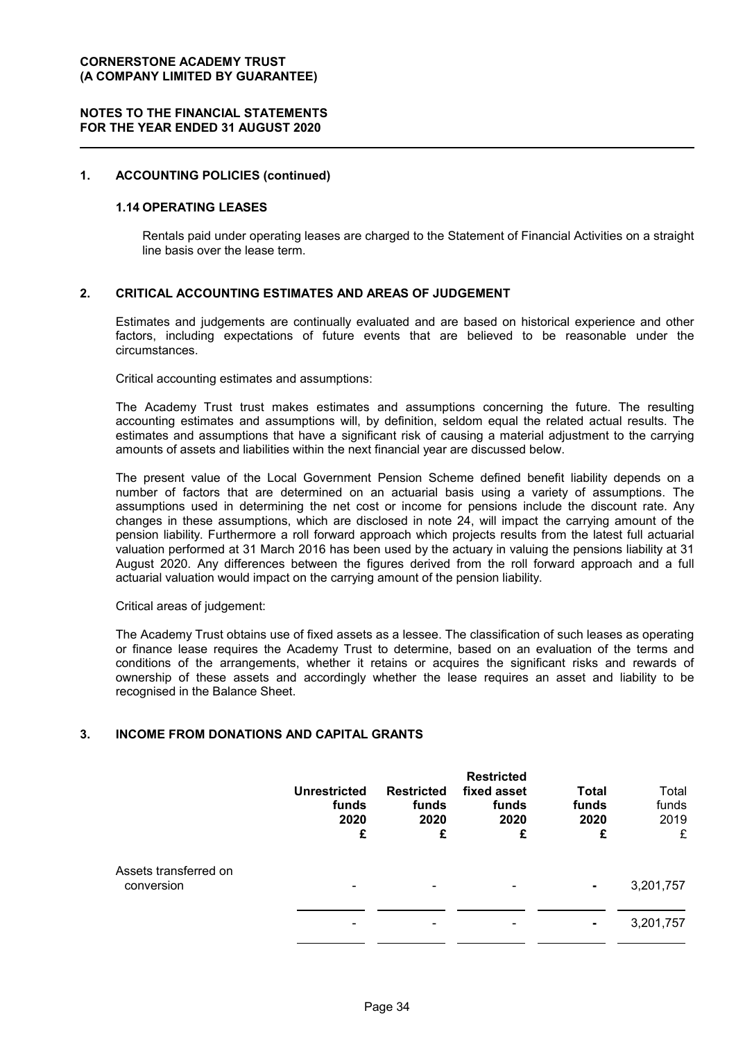#### **1. ACCOUNTING POLICIES (continued)**

#### **1.14 OPERATING LEASES**

Rentals paid under operating leases are charged to the Statement of Financial Activities on a straight line basis over the lease term.

#### **2. CRITICAL ACCOUNTING ESTIMATES AND AREAS OF JUDGEMENT**

Estimates and judgements are continually evaluated and are based on historical experience and other factors, including expectations of future events that are believed to be reasonable under the circumstances.

Critical accounting estimates and assumptions:

The Academy Trust trust makes estimates and assumptions concerning the future. The resulting accounting estimates and assumptions will, by definition, seldom equal the related actual results. The estimates and assumptions that have a significant risk of causing a material adjustment to the carrying amounts of assets and liabilities within the next financial year are discussed below.

The present value of the Local Government Pension Scheme defined benefit liability depends on a number of factors that are determined on an actuarial basis using a variety of assumptions. The assumptions used in determining the net cost or income for pensions include the discount rate. Any changes in these assumptions, which are disclosed in note 24, will impact the carrying amount of the pension liability. Furthermore a roll forward approach which projects results from the latest full actuarial valuation performed at 31 March 2016 has been used by the actuary in valuing the pensions liability at 31 August 2020. Any differences between the figures derived from the roll forward approach and a full actuarial valuation would impact on the carrying amount of the pension liability.

Critical areas of judgement:

The Academy Trust obtains use of fixed assets as a lessee. The classification of such leases as operating or finance lease requires the Academy Trust to determine, based on an evaluation of the terms and conditions of the arrangements, whether it retains or acquires the significant risks and rewards of ownership of these assets and accordingly whether the lease requires an asset and liability to be recognised in the Balance Sheet.

#### **3. INCOME FROM DONATIONS AND CAPITAL GRANTS**

|                                     | <b>Unrestricted</b><br>funds<br>2020<br>£ | <b>Restricted</b><br>funds<br>2020<br>£ | <b>Restricted</b><br>fixed asset<br>funds<br>2020<br>£ | <b>Total</b><br>funds<br>2020<br>£ | Total<br>funds<br>2019<br>£ |
|-------------------------------------|-------------------------------------------|-----------------------------------------|--------------------------------------------------------|------------------------------------|-----------------------------|
| Assets transferred on<br>conversion | $\overline{\phantom{0}}$                  | -                                       | ۰                                                      | $\blacksquare$                     | 3,201,757                   |
|                                     |                                           |                                         |                                                        | $\blacksquare$                     | 3,201,757                   |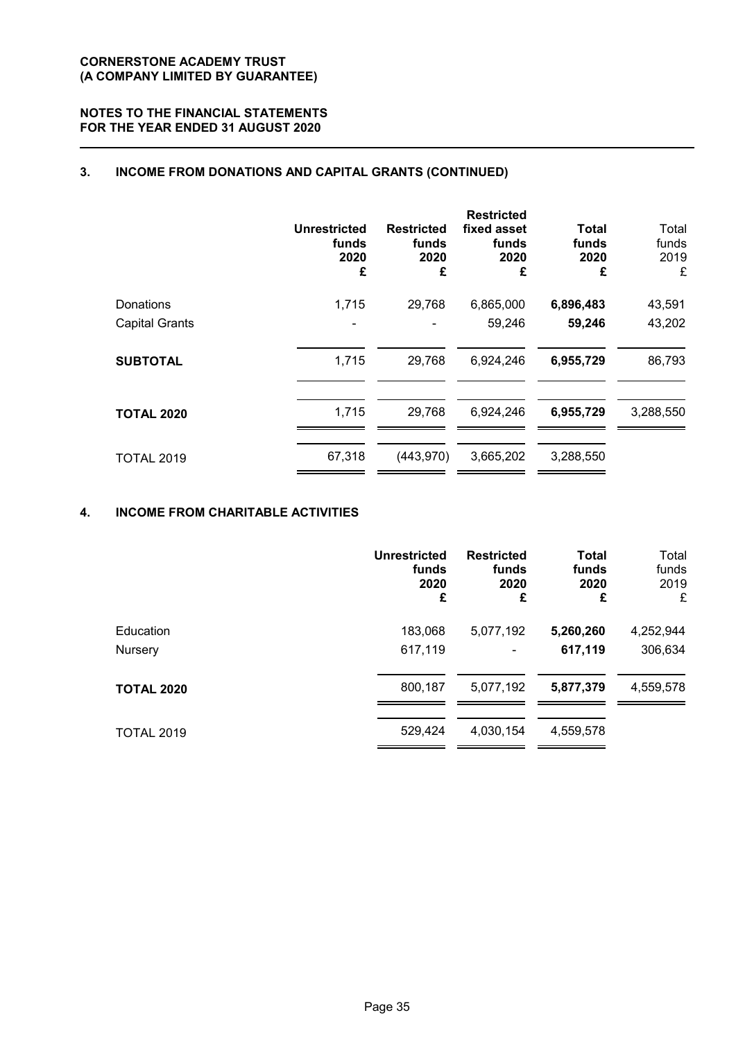# **NOTES TO THE FINANCIAL STATEMENTS FOR THE YEAR ENDED 31 AUGUST 2020**

# **3. INCOME FROM DONATIONS AND CAPITAL GRANTS (CONTINUED)**

|                       | <b>Unrestricted</b><br>funds<br>2020<br>£ | <b>Restricted</b><br>funds<br>2020<br>£ | <b>Restricted</b><br>fixed asset<br>funds<br>2020<br>£ | <b>Total</b><br>funds<br>2020<br>£ | Total<br>funds<br>2019<br>£ |
|-----------------------|-------------------------------------------|-----------------------------------------|--------------------------------------------------------|------------------------------------|-----------------------------|
| Donations             | 1,715                                     | 29,768                                  | 6,865,000                                              | 6,896,483                          | 43,591                      |
| <b>Capital Grants</b> |                                           |                                         | 59,246                                                 | 59,246                             | 43,202                      |
| <b>SUBTOTAL</b>       | 1,715                                     | 29,768                                  | 6,924,246                                              | 6,955,729                          | 86,793                      |
| <b>TOTAL 2020</b>     | 1,715                                     | 29,768                                  | 6,924,246                                              | 6,955,729                          | 3,288,550                   |
| <b>TOTAL 2019</b>     | 67,318                                    | (443, 970)                              | 3,665,202                                              | 3,288,550                          |                             |

# **4. INCOME FROM CHARITABLE ACTIVITIES**

|                   | <b>Unrestricted</b> | <b>Restricted</b> | <b>Total</b> | Total     |
|-------------------|---------------------|-------------------|--------------|-----------|
|                   | funds               | funds             | funds        | funds     |
|                   | 2020                | 2020              | 2020         | 2019      |
|                   | £                   | £                 | £            | £         |
| Education         | 183,068             | 5,077,192         | 5,260,260    | 4,252,944 |
| Nursery           | 617,119             | ۰                 | 617,119      | 306,634   |
| <b>TOTAL 2020</b> | 800,187             | 5,077,192         | 5,877,379    | 4,559,578 |
| <b>TOTAL 2019</b> | 529,424             | 4,030,154         | 4,559,578    |           |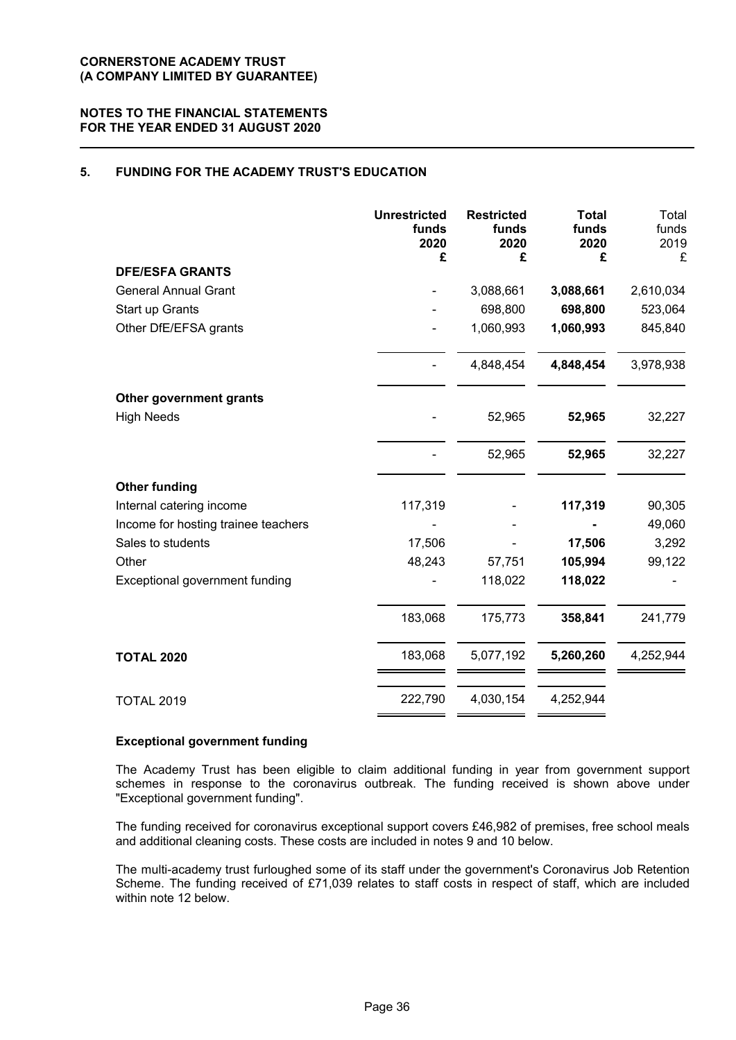# **5. FUNDING FOR THE ACADEMY TRUST'S EDUCATION**

|                                     | <b>Unrestricted</b><br>funds<br>2020<br>£ | <b>Restricted</b><br>funds<br>2020<br>£ | <b>Total</b><br>funds<br>2020<br>£ | Total<br>funds<br>2019<br>£ |
|-------------------------------------|-------------------------------------------|-----------------------------------------|------------------------------------|-----------------------------|
| <b>DFE/ESFA GRANTS</b>              |                                           |                                         |                                    |                             |
| <b>General Annual Grant</b>         |                                           | 3,088,661                               | 3,088,661                          | 2,610,034                   |
| Start up Grants                     |                                           | 698,800                                 | 698,800                            | 523,064                     |
| Other DfE/EFSA grants               |                                           | 1,060,993                               | 1,060,993                          | 845,840                     |
|                                     |                                           | 4,848,454                               | 4,848,454                          | 3,978,938                   |
| Other government grants             |                                           |                                         |                                    |                             |
| <b>High Needs</b>                   |                                           | 52,965                                  | 52,965                             | 32,227                      |
|                                     |                                           | 52,965                                  | 52,965                             | 32,227                      |
| <b>Other funding</b>                |                                           |                                         |                                    |                             |
| Internal catering income            | 117,319                                   |                                         | 117,319                            | 90,305                      |
| Income for hosting trainee teachers |                                           |                                         |                                    | 49,060                      |
| Sales to students                   | 17,506                                    |                                         | 17,506                             | 3,292                       |
| Other                               | 48,243                                    | 57,751                                  | 105,994                            | 99,122                      |
| Exceptional government funding      |                                           | 118,022                                 | 118,022                            |                             |
|                                     | 183,068                                   | 175,773                                 | 358,841                            | 241,779                     |
| <b>TOTAL 2020</b>                   | 183,068                                   | 5,077,192                               | 5,260,260                          | 4,252,944                   |
| <b>TOTAL 2019</b>                   | 222,790                                   | 4,030,154                               | 4,252,944                          |                             |

#### **Exceptional government funding**

The Academy Trust has been eligible to claim additional funding in year from government support schemes in response to the coronavirus outbreak. The funding received is shown above under "Exceptional government funding".

The funding received for coronavirus exceptional support covers £46,982 of premises, free school meals and additional cleaning costs. These costs are included in notes 9 and 10 below.

The multi-academy trust furloughed some of its staff under the government's Coronavirus Job Retention Scheme. The funding received of £71,039 relates to staff costs in respect of staff, which are included within note 12 below.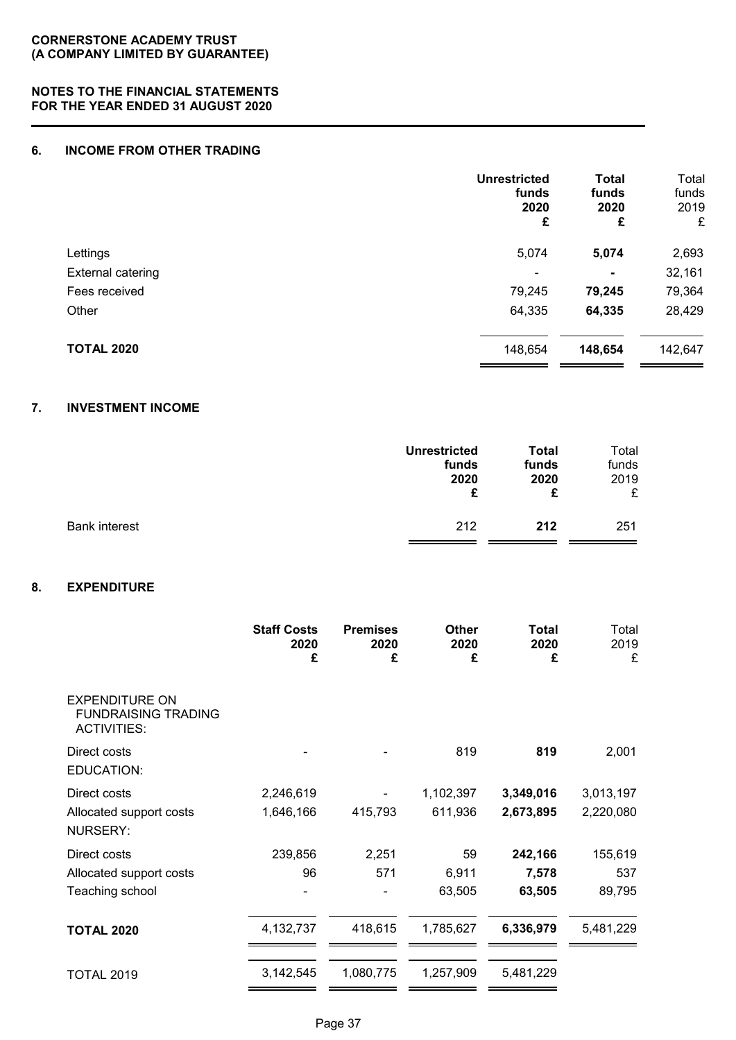## **6. INCOME FROM OTHER TRADING**

|                   | <b>Unrestricted</b><br>funds<br>2020<br>£ | <b>Total</b><br>funds<br>2020<br>£ | Total<br>funds<br>2019<br>£ |
|-------------------|-------------------------------------------|------------------------------------|-----------------------------|
| Lettings          | 5,074                                     | 5,074                              | 2,693                       |
| External catering | $\blacksquare$                            | $\blacksquare$                     | 32,161                      |
| Fees received     | 79,245                                    | 79,245                             | 79,364                      |
| Other             | 64,335                                    | 64,335                             | 28,429                      |
| <b>TOTAL 2020</b> | 148,654                                   | 148,654                            | 142,647                     |

# **7. INVESTMENT INCOME**

|                      | <b>Unrestricted</b> | <b>Total</b> | Total |
|----------------------|---------------------|--------------|-------|
|                      | funds               | funds        | funds |
|                      | 2020                | 2020         | 2019  |
|                      | £                   | £            | £     |
| <b>Bank interest</b> | 212                 | 212          | 251   |

# **8. EXPENDITURE**

|                                                                           | <b>Staff Costs</b><br>2020<br>£ | <b>Premises</b><br>2020<br>£ | <b>Other</b><br>2020<br>£ | <b>Total</b><br>2020<br>£ | Total<br>2019<br>£ |
|---------------------------------------------------------------------------|---------------------------------|------------------------------|---------------------------|---------------------------|--------------------|
| <b>EXPENDITURE ON</b><br><b>FUNDRAISING TRADING</b><br><b>ACTIVITIES:</b> |                                 |                              |                           |                           |                    |
| Direct costs<br>EDUCATION:                                                |                                 |                              | 819                       | 819                       | 2,001              |
| Direct costs                                                              | 2,246,619                       |                              | 1,102,397                 | 3,349,016                 | 3,013,197          |
| Allocated support costs<br><b>NURSERY:</b>                                | 1,646,166                       | 415,793                      | 611,936                   | 2,673,895                 | 2,220,080          |
| Direct costs                                                              | 239,856                         | 2,251                        | 59                        | 242,166                   | 155,619            |
| Allocated support costs                                                   | 96                              | 571                          | 6,911                     | 7,578                     | 537                |
| Teaching school                                                           |                                 |                              | 63,505                    | 63,505                    | 89,795             |
| <b>TOTAL 2020</b>                                                         | 4,132,737                       | 418,615                      | 1,785,627                 | 6,336,979                 | 5,481,229          |
| <b>TOTAL 2019</b>                                                         | 3,142,545                       | 1,080,775                    | 1,257,909                 | 5,481,229                 |                    |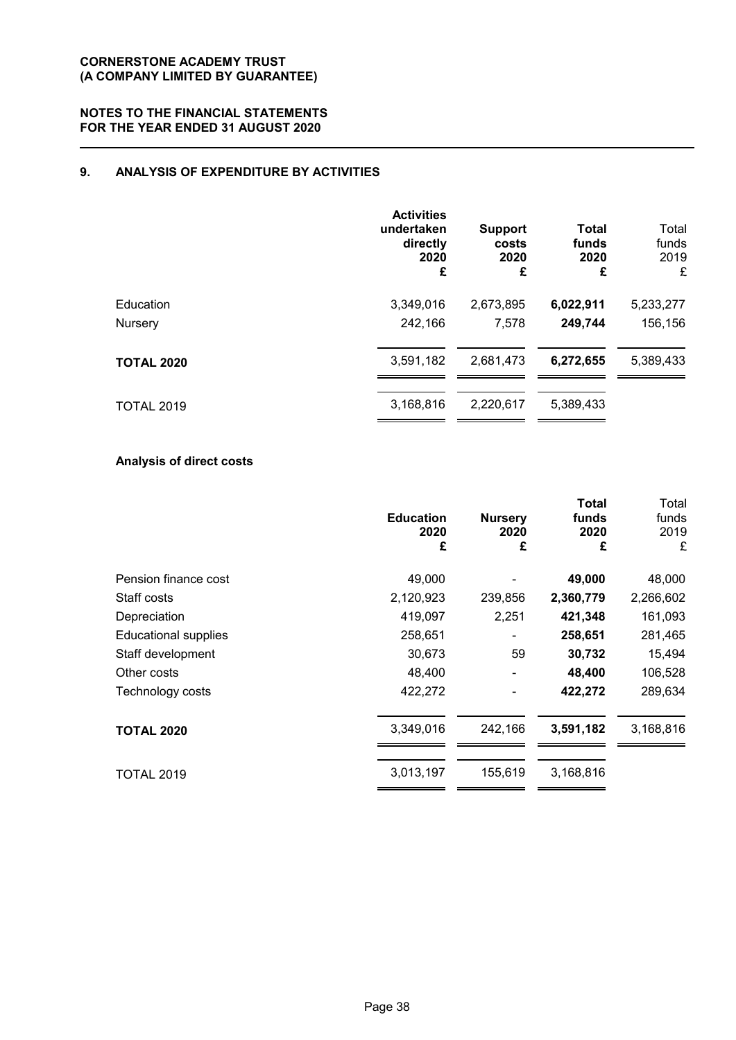# **9. ANALYSIS OF EXPENDITURE BY ACTIVITIES**

|                   | <b>Activities</b><br>undertaken<br>directly<br>2020<br>£ | <b>Support</b><br>costs<br>2020<br>£ | <b>Total</b><br>funds<br>2020<br>£ | Total<br>funds<br>2019<br>£ |
|-------------------|----------------------------------------------------------|--------------------------------------|------------------------------------|-----------------------------|
| Education         | 3,349,016                                                | 2,673,895                            | 6,022,911                          | 5,233,277                   |
| Nursery           | 242,166                                                  | 7,578                                | 249,744                            | 156,156                     |
| <b>TOTAL 2020</b> | 3,591,182                                                | 2,681,473                            | 6,272,655                          | 5,389,433                   |
| <b>TOTAL 2019</b> | 3,168,816                                                | 2,220,617                            | 5,389,433                          |                             |

# **Analysis of direct costs**

|                             | <b>Education</b><br>2020<br>£ | <b>Nursery</b><br>2020<br>£ | Total<br>funds<br>2020<br>£ | Total<br>funds<br>2019<br>£ |
|-----------------------------|-------------------------------|-----------------------------|-----------------------------|-----------------------------|
| Pension finance cost        | 49,000                        |                             | 49,000                      | 48,000                      |
| Staff costs                 | 2,120,923                     | 239,856                     | 2,360,779                   | 2,266,602                   |
| Depreciation                | 419,097                       | 2,251                       | 421,348                     | 161,093                     |
| <b>Educational supplies</b> | 258,651                       |                             | 258,651                     | 281,465                     |
| Staff development           | 30,673                        | 59                          | 30,732                      | 15,494                      |
| Other costs                 | 48,400                        |                             | 48,400                      | 106,528                     |
| Technology costs            | 422,272                       |                             | 422,272                     | 289,634                     |
| <b>TOTAL 2020</b>           | 3,349,016                     | 242,166                     | 3,591,182                   | 3,168,816                   |
| <b>TOTAL 2019</b>           | 3,013,197                     | 155,619                     | 3,168,816                   |                             |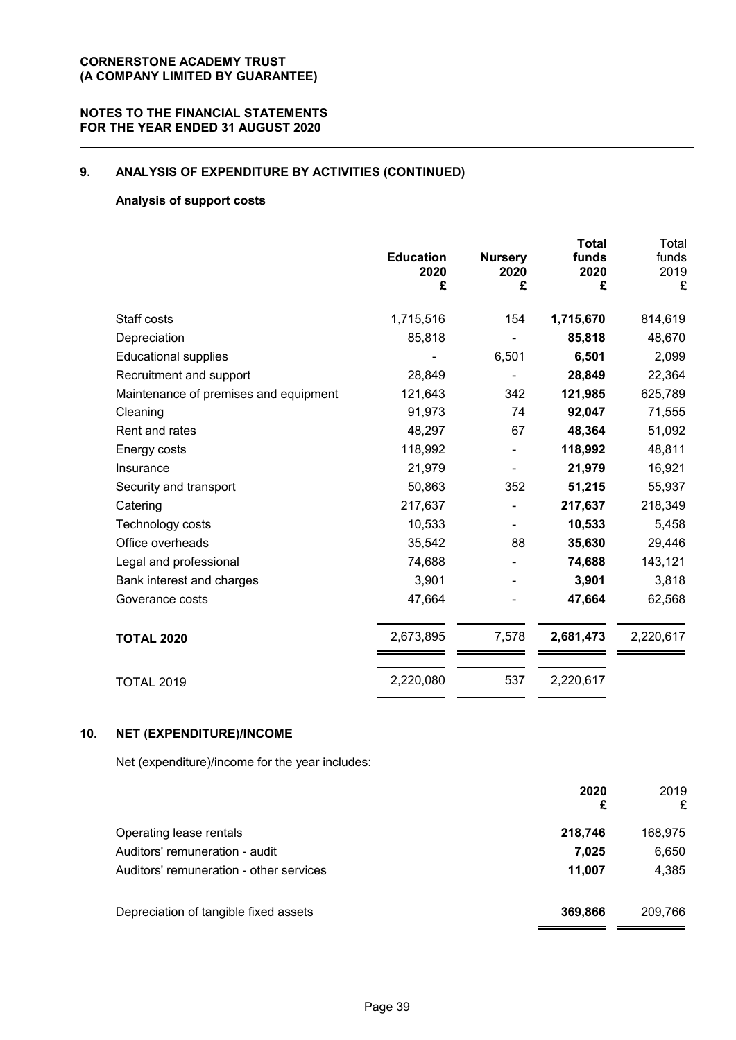# **9. ANALYSIS OF EXPENDITURE BY ACTIVITIES (CONTINUED)**

## **Analysis of support costs**

|                                       | <b>Education</b><br>2020<br>£ | <b>Nursery</b><br>2020<br>£ | <b>Total</b><br>funds<br>2020<br>£ | Total<br>funds<br>2019<br>£ |
|---------------------------------------|-------------------------------|-----------------------------|------------------------------------|-----------------------------|
| Staff costs                           | 1,715,516                     | 154                         | 1,715,670                          | 814,619                     |
| Depreciation                          | 85,818                        |                             | 85,818                             | 48,670                      |
| <b>Educational supplies</b>           |                               | 6,501                       | 6,501                              | 2,099                       |
| Recruitment and support               | 28,849                        |                             | 28,849                             | 22,364                      |
| Maintenance of premises and equipment | 121,643                       | 342                         | 121,985                            | 625,789                     |
| Cleaning                              | 91,973                        | 74                          | 92,047                             | 71,555                      |
| Rent and rates                        | 48,297                        | 67                          | 48,364                             | 51,092                      |
| Energy costs                          | 118,992                       |                             | 118,992                            | 48,811                      |
| Insurance                             | 21,979                        |                             | 21,979                             | 16,921                      |
| Security and transport                | 50,863                        | 352                         | 51,215                             | 55,937                      |
| Catering                              | 217,637                       |                             | 217,637                            | 218,349                     |
| Technology costs                      | 10,533                        |                             | 10,533                             | 5,458                       |
| Office overheads                      | 35,542                        | 88                          | 35,630                             | 29,446                      |
| Legal and professional                | 74,688                        |                             | 74,688                             | 143,121                     |
| Bank interest and charges             | 3,901                         |                             | 3,901                              | 3,818                       |
| Goverance costs                       | 47,664                        |                             | 47,664                             | 62,568                      |
| <b>TOTAL 2020</b>                     | 2,673,895                     | 7,578                       | 2,681,473                          | 2,220,617                   |
| <b>TOTAL 2019</b>                     | 2,220,080                     | 537                         | 2,220,617                          |                             |

## **10. NET (EXPENDITURE)/INCOME**

Net (expenditure)/income for the year includes:

|                                         | 2020<br>£ | 2019<br>£ |
|-----------------------------------------|-----------|-----------|
| Operating lease rentals                 | 218,746   | 168,975   |
| Auditors' remuneration - audit          | 7.025     | 6,650     |
| Auditors' remuneration - other services | 11,007    | 4,385     |
| Depreciation of tangible fixed assets   | 369,866   | 209,766   |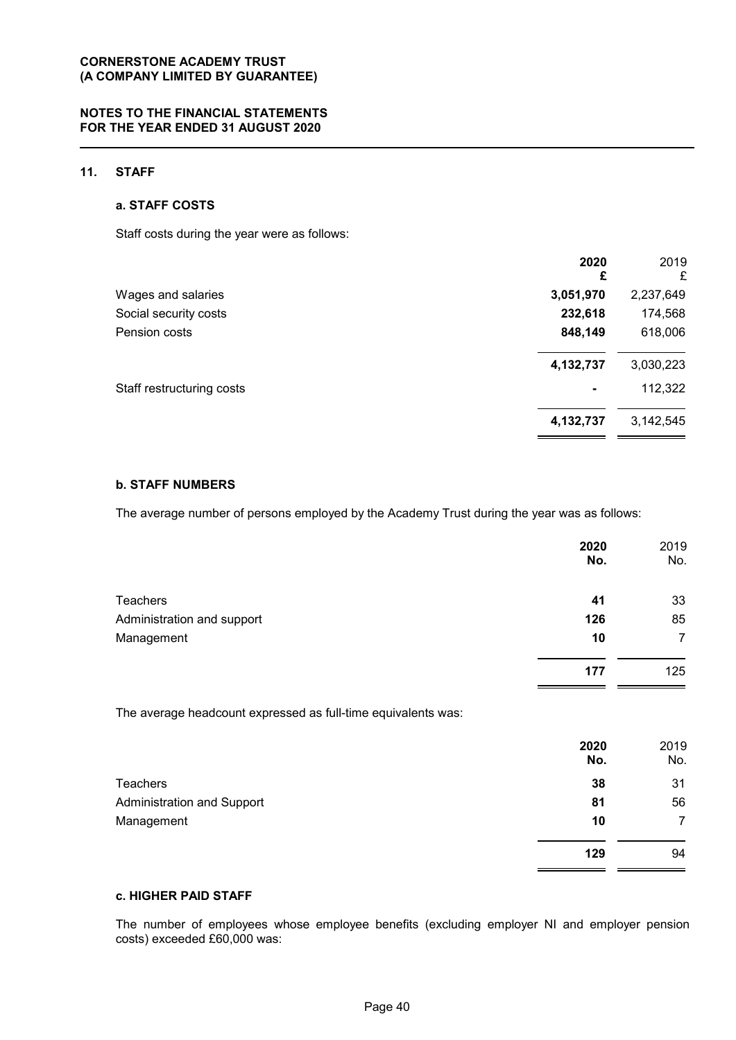# **11. STAFF**

## **a. STAFF COSTS**

Staff costs during the year were as follows:

|                           | 2020<br>£      | 2019<br>£ |
|---------------------------|----------------|-----------|
| Wages and salaries        | 3,051,970      | 2,237,649 |
| Social security costs     | 232,618        | 174,568   |
| Pension costs             | 848,149        | 618,006   |
|                           | 4,132,737      | 3,030,223 |
| Staff restructuring costs | $\blacksquare$ | 112,322   |
|                           | 4,132,737      | 3,142,545 |

# **b. STAFF NUMBERS**

The average number of persons employed by the Academy Trust during the year was as follows:

|                                                               | 2020        | 2019        |
|---------------------------------------------------------------|-------------|-------------|
|                                                               | No.         | No.         |
| <b>Teachers</b>                                               | 41          | 33          |
| Administration and support                                    | 126         | 85          |
| Management                                                    | 10          | 7           |
|                                                               | 177         | 125         |
| The average headcount expressed as full-time equivalents was: |             |             |
|                                                               | 2020<br>No. | 2019<br>No. |
| <b>Teachers</b>                                               | 38          | 31          |
| <b>Administration and Support</b>                             | 81          | 56          |
| Management                                                    | 10          | 7           |
|                                                               | 129         | 94          |

## **c. HIGHER PAID STAFF**

The number of employees whose employee benefits (excluding employer NI and employer pension costs) exceeded £60,000 was: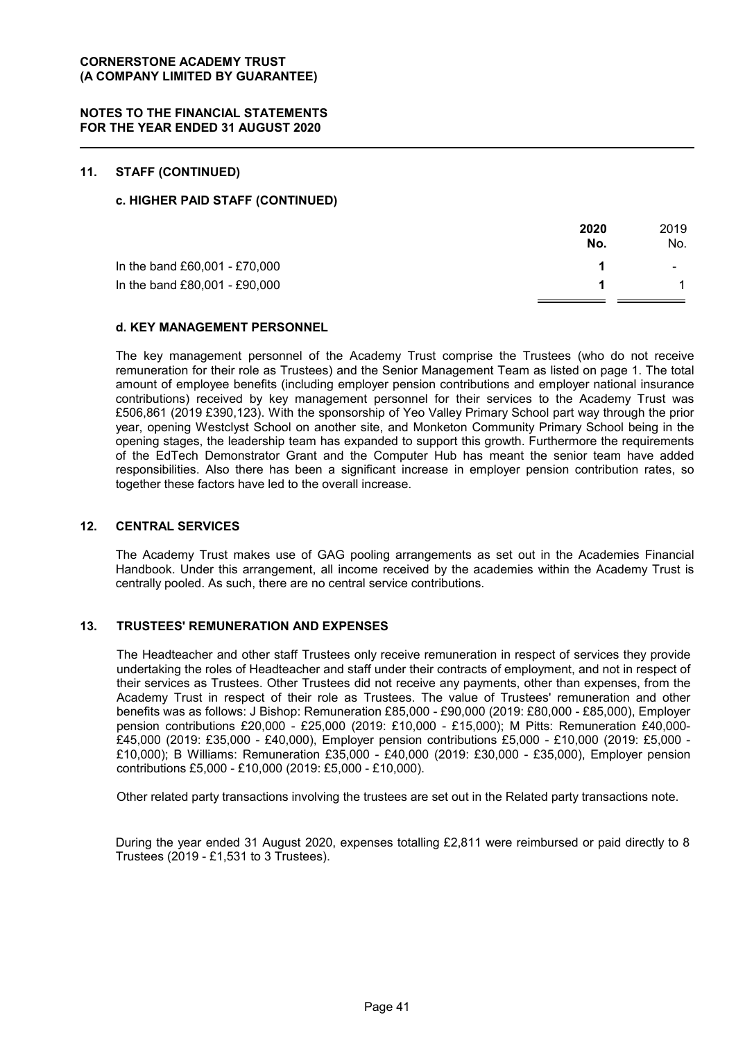## **11. STAFF (CONTINUED)**

#### **c. HIGHER PAID STAFF (CONTINUED)**

| 2020<br>No. | 2019<br>No. |
|-------------|-------------|
|             | ۰.          |
|             |             |
|             |             |

#### **d. KEY MANAGEMENT PERSONNEL**

The key management personnel of the Academy Trust comprise the Trustees (who do not receive remuneration for their role as Trustees) and the Senior Management Team as listed on page 1. The total amount of employee benefits (including employer pension contributions and employer national insurance contributions) received by key management personnel for their services to the Academy Trust was £506,861 (2019 £390,123). With the sponsorship of Yeo Valley Primary School part way through the prior year, opening Westclyst School on another site, and Monketon Community Primary School being in the opening stages, the leadership team has expanded to support this growth. Furthermore the requirements of the EdTech Demonstrator Grant and the Computer Hub has meant the senior team have added responsibilities. Also there has been a significant increase in employer pension contribution rates, so together these factors have led to the overall increase.

## **12. CENTRAL SERVICES**

The Academy Trust makes use of GAG pooling arrangements as set out in the Academies Financial Handbook. Under this arrangement, all income received by the academies within the Academy Trust is centrally pooled. As such, there are no central service contributions.

#### **13. TRUSTEES' REMUNERATION AND EXPENSES**

The Headteacher and other staff Trustees only receive remuneration in respect of services they provide undertaking the roles of Headteacher and staff under their contracts of employment, and not in respect of their services as Trustees. Other Trustees did not receive any payments, other than expenses, from the Academy Trust in respect of their role as Trustees. The value of Trustees' remuneration and other benefits was as follows: J Bishop: Remuneration £85,000 - £90,000 (2019: £80,000 - £85,000), Employer pension contributions £20,000 - £25,000 (2019: £10,000 - £15,000); M Pitts: Remuneration £40,000- £45,000 (2019: £35,000 - £40,000), Employer pension contributions £5,000 - £10,000 (2019: £5,000 - £10,000); B Williams: Remuneration £35,000 - £40,000 (2019: £30,000 - £35,000), Employer pension contributions £5,000 - £10,000 (2019: £5,000 - £10,000).

Other related party transactions involving the trustees are set out in the Related party transactions note.

During the year ended 31 August 2020, expenses totalling £2,811 were reimbursed or paid directly to 8 Trustees (2019 - £1,531 to 3 Trustees).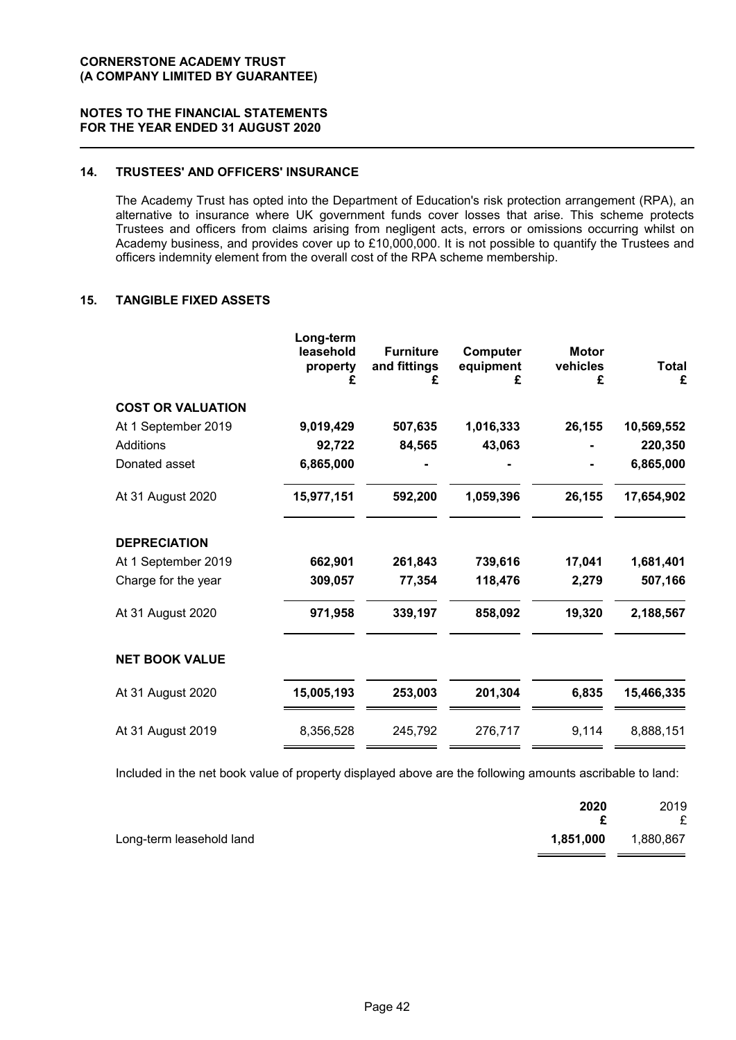## **NOTES TO THE FINANCIAL STATEMENTS FOR THE YEAR ENDED 31 AUGUST 2020**

# **14. TRUSTEES' AND OFFICERS' INSURANCE**

The Academy Trust has opted into the Department of Education's risk protection arrangement (RPA), an alternative to insurance where UK government funds cover losses that arise. This scheme protects Trustees and officers from claims arising from negligent acts, errors or omissions occurring whilst on Academy business, and provides cover up to £10,000,000. It is not possible to quantify the Trustees and officers indemnity element from the overall cost of the RPA scheme membership.

## **15. TANGIBLE FIXED ASSETS**

|                          | Long-term<br>leasehold<br>property<br>£ | <b>Furniture</b><br>and fittings<br>£ | Computer<br>equipment<br>£ | <b>Motor</b><br>vehicles<br>£ | Total<br>£ |
|--------------------------|-----------------------------------------|---------------------------------------|----------------------------|-------------------------------|------------|
| <b>COST OR VALUATION</b> |                                         |                                       |                            |                               |            |
| At 1 September 2019      | 9,019,429                               | 507,635                               | 1,016,333                  | 26,155                        | 10,569,552 |
| <b>Additions</b>         | 92,722                                  | 84,565                                | 43,063                     |                               | 220,350    |
| Donated asset            | 6,865,000                               |                                       |                            |                               | 6,865,000  |
| At 31 August 2020        | 15,977,151                              | 592,200                               | 1,059,396                  | 26,155                        | 17,654,902 |
| <b>DEPRECIATION</b>      |                                         |                                       |                            |                               |            |
| At 1 September 2019      | 662,901                                 | 261,843                               | 739,616                    | 17,041                        | 1,681,401  |
| Charge for the year      | 309,057                                 | 77,354                                | 118,476                    | 2,279                         | 507,166    |
| At 31 August 2020        | 971,958                                 | 339,197                               | 858,092                    | 19,320                        | 2,188,567  |
| <b>NET BOOK VALUE</b>    |                                         |                                       |                            |                               |            |
| At 31 August 2020        | 15,005,193                              | 253,003                               | 201,304                    | 6,835                         | 15,466,335 |
| At 31 August 2019        | 8,356,528                               | 245,792                               | 276,717                    | 9,114                         | 8,888,151  |

Included in the net book value of property displayed above are the following amounts ascribable to land:

|                          | 2020      | 2019      |
|--------------------------|-----------|-----------|
|                          |           | £         |
| Long-term leasehold land | 1,851,000 | 1,880,867 |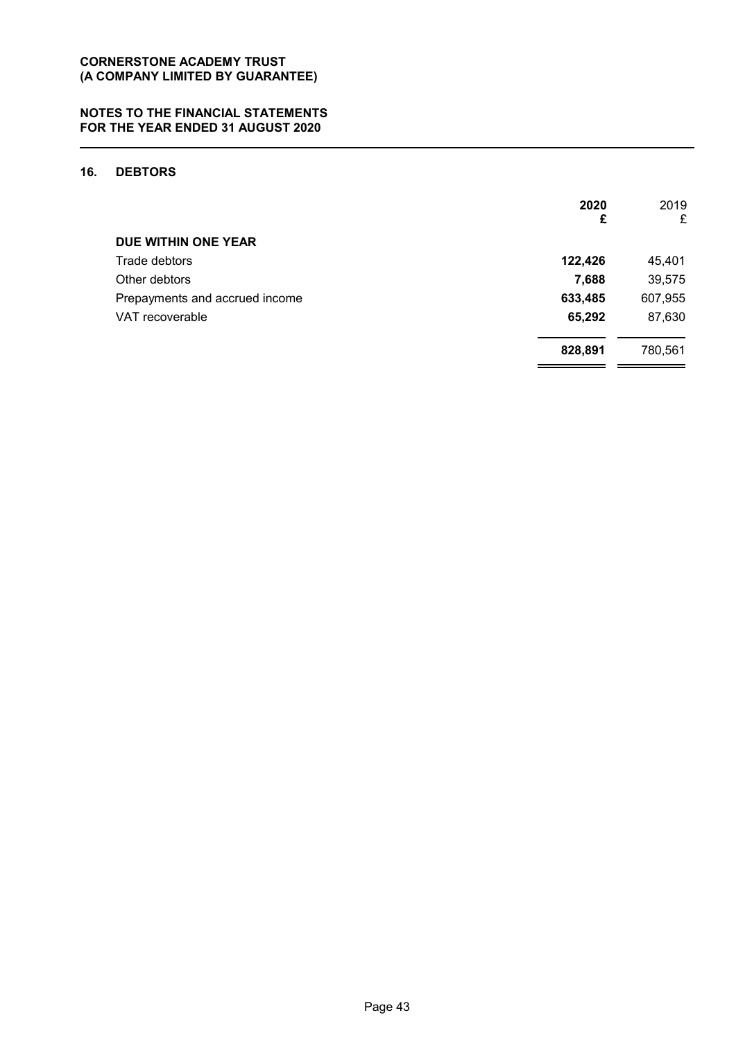# **16. DEBTORS**

|                                | 2020<br>£ | 2019<br>£ |
|--------------------------------|-----------|-----------|
| DUE WITHIN ONE YEAR            |           |           |
| Trade debtors                  | 122,426   | 45,401    |
| Other debtors                  | 7,688     | 39,575    |
| Prepayments and accrued income | 633,485   | 607,955   |
| VAT recoverable                | 65,292    | 87,630    |
|                                | 828,891   | 780,561   |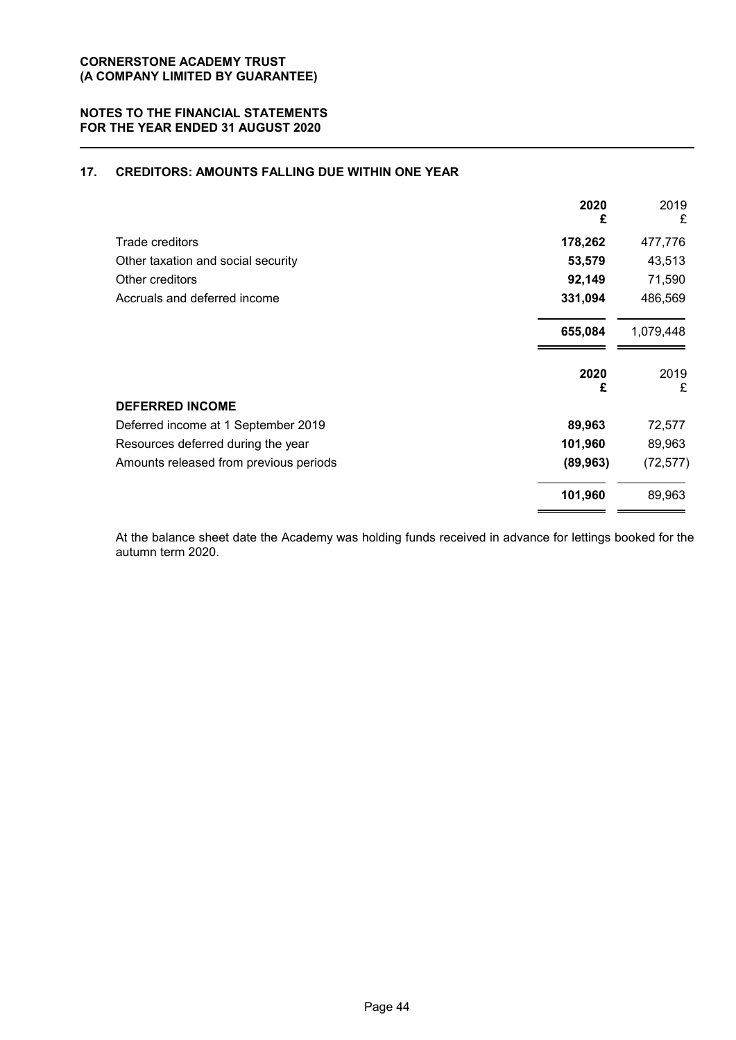# **17. CREDITORS: AMOUNTS FALLING DUE WITHIN ONE YEAR**

| 2020<br>£ | 2019<br>£ |
|-----------|-----------|
| 178,262   | 477,776   |
| 53,579    | 43,513    |
| 92,149    | 71,590    |
| 331,094   | 486,569   |
| 655,084   | 1,079,448 |
| 2020      | 2019<br>£ |
|           |           |
| 89,963    | 72,577    |
| 101,960   | 89,963    |
| (89, 963) | (72, 577) |
| 101,960   | 89,963    |
|           | £         |

At the balance sheet date the Academy was holding funds received in advance for lettings booked for the autumn term 2020.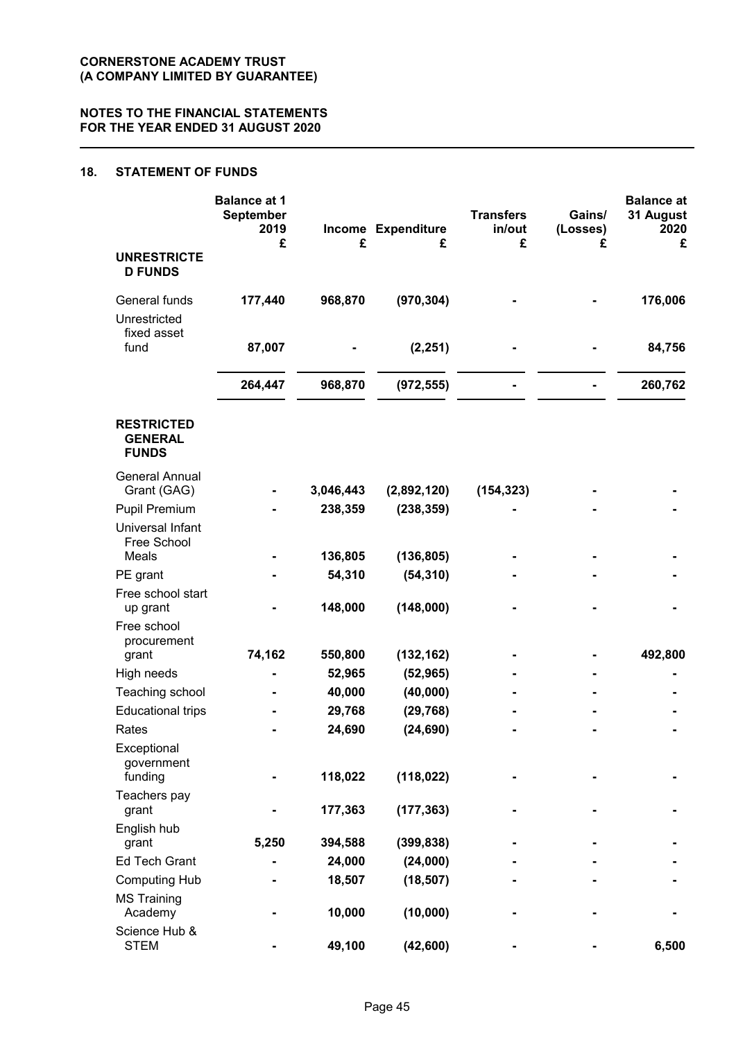# **18. STATEMENT OF FUNDS**

|                                                     | <b>Balance at 1</b><br><b>September</b><br>2019 |           | Income Expenditure | <b>Transfers</b><br>in/out | Gains/<br>(Losses) | <b>Balance at</b><br>31 August<br>2020 |
|-----------------------------------------------------|-------------------------------------------------|-----------|--------------------|----------------------------|--------------------|----------------------------------------|
| <b>UNRESTRICTE</b><br><b>D FUNDS</b>                | £                                               | £         | £                  | £                          | £                  | £                                      |
| General funds<br>Unrestricted                       | 177,440                                         | 968,870   | (970, 304)         |                            |                    | 176,006                                |
| fixed asset<br>fund                                 | 87,007                                          |           | (2, 251)           |                            |                    | 84,756                                 |
|                                                     | 264,447                                         | 968,870   | (972, 555)         |                            |                    | 260,762                                |
| <b>RESTRICTED</b><br><b>GENERAL</b><br><b>FUNDS</b> |                                                 |           |                    |                            |                    |                                        |
| <b>General Annual</b><br>Grant (GAG)                |                                                 | 3,046,443 | (2,892,120)        | (154, 323)                 |                    |                                        |
| <b>Pupil Premium</b>                                |                                                 | 238,359   | (238, 359)         |                            |                    |                                        |
| <b>Universal Infant</b><br>Free School              |                                                 |           |                    |                            |                    |                                        |
| Meals                                               |                                                 | 136,805   | (136, 805)         |                            |                    |                                        |
| PE grant                                            |                                                 | 54,310    | (54, 310)          |                            |                    |                                        |
| Free school start<br>up grant                       |                                                 | 148,000   | (148,000)          |                            |                    |                                        |
| Free school<br>procurement                          |                                                 |           |                    |                            |                    |                                        |
| grant                                               | 74,162                                          | 550,800   | (132, 162)         |                            |                    | 492,800                                |
| High needs                                          |                                                 | 52,965    | (52, 965)          |                            |                    |                                        |
| Teaching school                                     |                                                 | 40,000    | (40,000)           |                            |                    |                                        |
| <b>Educational trips</b>                            |                                                 | 29,768    | (29, 768)          |                            |                    |                                        |
| Rates                                               |                                                 | 24,690    | (24, 690)          |                            |                    |                                        |
| Exceptional<br>government                           |                                                 |           |                    |                            |                    |                                        |
| funding                                             |                                                 | 118,022   | (118, 022)         |                            |                    |                                        |
| Teachers pay<br>grant                               |                                                 | 177,363   | (177, 363)         |                            |                    |                                        |
| English hub                                         |                                                 |           |                    |                            |                    |                                        |
| grant                                               | 5,250                                           | 394,588   | (399, 838)         |                            |                    |                                        |
| <b>Ed Tech Grant</b>                                |                                                 | 24,000    | (24,000)           |                            |                    |                                        |
| <b>Computing Hub</b><br><b>MS Training</b>          |                                                 | 18,507    | (18, 507)          |                            |                    |                                        |
| Academy                                             |                                                 | 10,000    | (10,000)           |                            |                    |                                        |
| Science Hub &<br><b>STEM</b>                        |                                                 | 49,100    | (42, 600)          |                            |                    | 6,500                                  |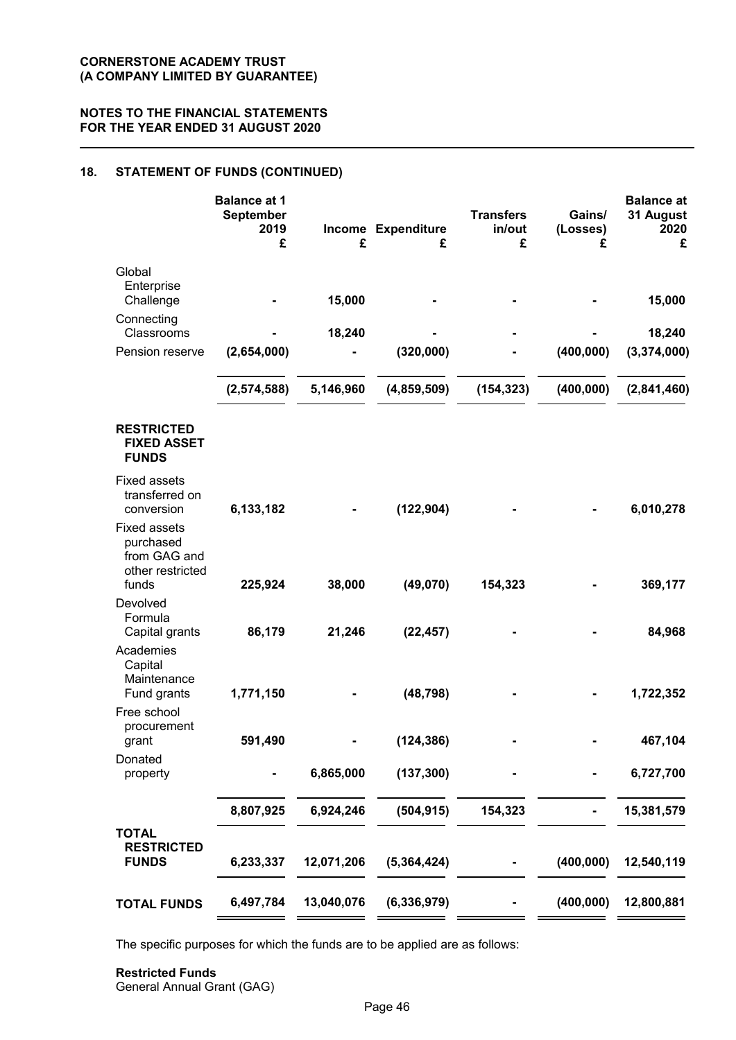# **18. STATEMENT OF FUNDS (CONTINUED)**

| <b>Balance at 1</b><br>September<br>2019<br>£ | £          | £             | <b>Transfers</b><br>in/out<br>£ | Gains/<br>(Losses)<br>£ | <b>Balance at</b><br>31 August<br>2020<br>£ |
|-----------------------------------------------|------------|---------------|---------------------------------|-------------------------|---------------------------------------------|
|                                               | 15,000     |               |                                 |                         | 15,000                                      |
|                                               | 18,240     |               |                                 |                         | 18,240                                      |
| (2,654,000)                                   |            | (320,000)     |                                 | (400, 000)              | (3,374,000)                                 |
| (2,574,588)                                   | 5,146,960  | (4,859,509)   | (154, 323)                      | (400, 000)              | (2,841,460)                                 |
|                                               |            |               |                                 |                         |                                             |
| 6,133,182                                     |            | (122, 904)    |                                 |                         | 6,010,278                                   |
|                                               |            |               |                                 |                         | 369,177                                     |
| 86,179                                        | 21,246     | (22, 457)     |                                 |                         | 84,968                                      |
| 1,771,150                                     |            | (48, 798)     |                                 |                         | 1,722,352                                   |
| 591,490                                       |            | (124, 386)    |                                 |                         | 467,104                                     |
|                                               | 6,865,000  | (137, 300)    |                                 |                         | 6,727,700                                   |
| 8,807,925                                     | 6,924,246  | (504, 915)    | 154,323                         |                         | 15,381,579                                  |
| 6,233,337                                     | 12,071,206 | (5,364,424)   |                                 | (400, 000)              | 12,540,119                                  |
| 6,497,784                                     | 13,040,076 | (6, 336, 979) |                                 | (400, 000)              | 12,800,881                                  |
|                                               | 225,924    | 38,000        | Income Expenditure<br>(49,070)  | 154,323                 |                                             |

The specific purposes for which the funds are to be applied are as follows:

#### **Restricted Funds** General Annual Grant (GAG)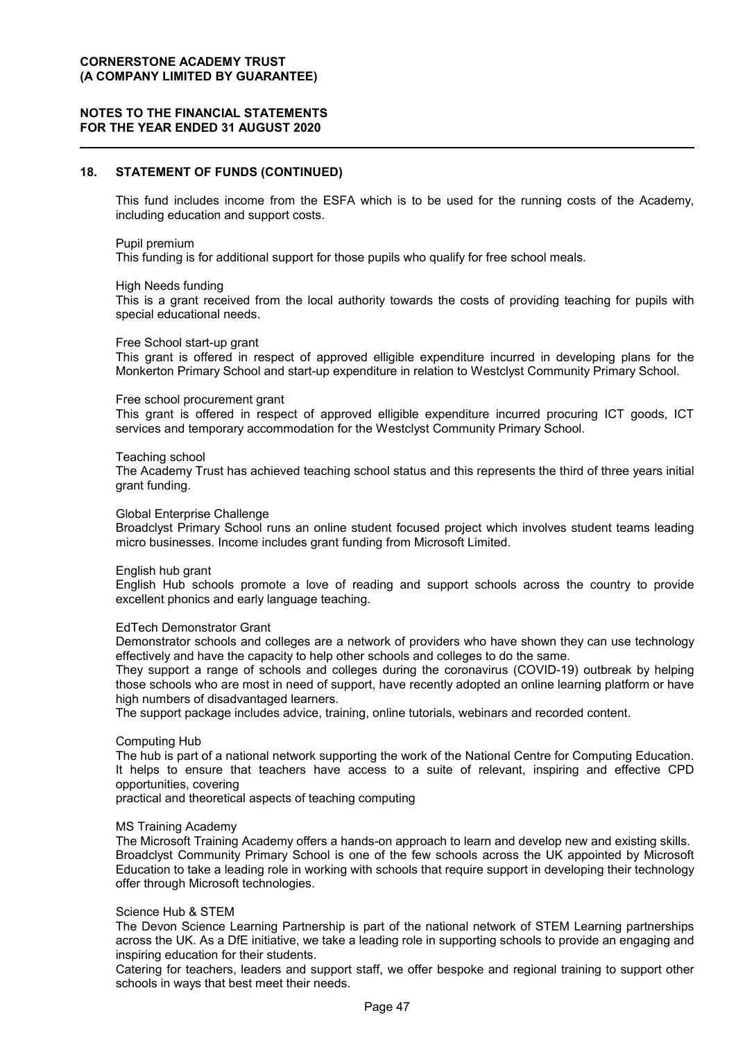## **NOTES TO THE FINANCIAL STATEMENTS FOR THE YEAR ENDED 31 AUGUST 2020**

#### **18. STATEMENT OF FUNDS (CONTINUED)**

This fund includes income from the ESFA which is to be used for the running costs of the Academy, including education and support costs.

#### Pupil premium

This funding is for additional support for those pupils who qualify for free school meals.

#### High Needs funding

This is a grant received from the local authority towards the costs of providing teaching for pupils with special educational needs.

#### Free School start-up grant

This grant is offered in respect of approved elligible expenditure incurred in developing plans for the Monkerton Primary School and start-up expenditure in relation to Westclyst Community Primary School.

#### Free school procurement grant

This grant is offered in respect of approved elligible expenditure incurred procuring ICT goods, ICT services and temporary accommodation for the Westclyst Community Primary School.

#### Teaching school

The Academy Trust has achieved teaching school status and this represents the third of three years initial grant funding.

#### Global Enterprise Challenge

Broadclyst Primary School runs an online student focused project which involves student teams leading micro businesses. Income includes grant funding from Microsoft Limited.

#### English hub grant

English Hub schools promote a love of reading and support schools across the country to provide excellent phonics and early language teaching.

#### EdTech Demonstrator Grant

Demonstrator schools and colleges are a network of providers who have shown they can use technology effectively and have the capacity to help other schools and colleges to do the same.

They support a range of schools and colleges during the coronavirus (COVID-19) outbreak by helping those schools who are most in need of support, have recently adopted an online learning platform or have high numbers of disadvantaged learners.

The support package includes advice, training, online tutorials, webinars and recorded content.

#### Computing Hub

The hub is part of a national network supporting the work of the National Centre for Computing Education. It helps to ensure that teachers have access to a suite of relevant, inspiring and effective CPD opportunities, covering

practical and theoretical aspects of teaching computing

#### MS Training Academy

The Microsoft Training Academy offers a hands-on approach to learn and develop new and existing skills. Broadclyst Community Primary School is one of the few schools across the UK appointed by Microsoft Education to take a leading role in working with schools that require support in developing their technology offer through Microsoft technologies.

#### Science Hub & STEM

The Devon Science Learning Partnership is part of the national network of STEM Learning partnerships across the UK. As a DfE initiative, we take a leading role in supporting schools to provide an engaging and inspiring education for their students.

Catering for teachers, leaders and support staff, we offer bespoke and regional training to support other schools in ways that best meet their needs.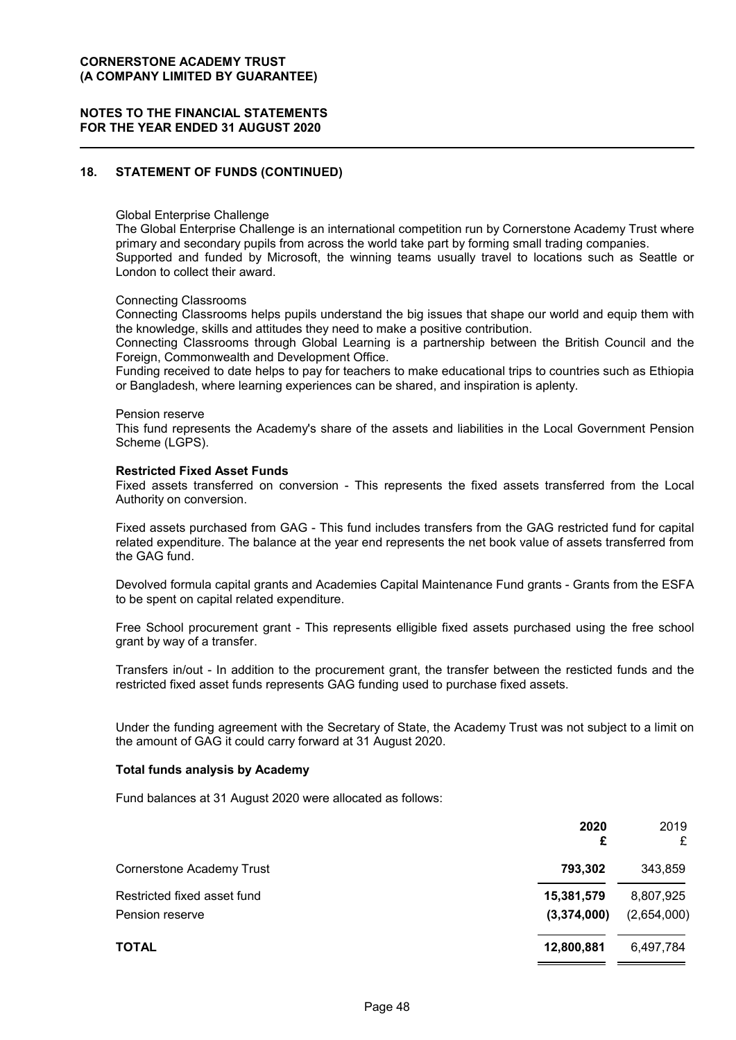## **NOTES TO THE FINANCIAL STATEMENTS FOR THE YEAR ENDED 31 AUGUST 2020**

## **18. STATEMENT OF FUNDS (CONTINUED)**

#### Global Enterprise Challenge

The Global Enterprise Challenge is an international competition run by Cornerstone Academy Trust where primary and secondary pupils from across the world take part by forming small trading companies. Supported and funded by Microsoft, the winning teams usually travel to locations such as Seattle or London to collect their award.

#### Connecting Classrooms

Connecting Classrooms helps pupils understand the big issues that shape our world and equip them with the knowledge, skills and attitudes they need to make a positive contribution.

Connecting Classrooms through Global Learning is a partnership between the British Council and the Foreign, Commonwealth and Development Office.

Funding received to date helps to pay for teachers to make educational trips to countries such as Ethiopia or Bangladesh, where learning experiences can be shared, and inspiration is aplenty.

#### Pension reserve

This fund represents the Academy's share of the assets and liabilities in the Local Government Pension Scheme (LGPS).

#### **Restricted Fixed Asset Funds**

Fixed assets transferred on conversion - This represents the fixed assets transferred from the Local Authority on conversion.

Fixed assets purchased from GAG - This fund includes transfers from the GAG restricted fund for capital related expenditure. The balance at the year end represents the net book value of assets transferred from the GAG fund.

Devolved formula capital grants and Academies Capital Maintenance Fund grants - Grants from the ESFA to be spent on capital related expenditure.

Free School procurement grant - This represents elligible fixed assets purchased using the free school grant by way of a transfer.

Transfers in/out - In addition to the procurement grant, the transfer between the resticted funds and the restricted fixed asset funds represents GAG funding used to purchase fixed assets.

Under the funding agreement with the Secretary of State, the Academy Trust was not subject to a limit on the amount of GAG it could carry forward at 31 August 2020.

#### **Total funds analysis by Academy**

Fund balances at 31 August 2020 were allocated as follows:

|                             | 2020<br>£   | 2019<br>£   |
|-----------------------------|-------------|-------------|
| Cornerstone Academy Trust   | 793,302     | 343,859     |
| Restricted fixed asset fund | 15,381,579  | 8,807,925   |
| Pension reserve             | (3,374,000) | (2,654,000) |
| <b>TOTAL</b>                | 12,800,881  | 6,497,784   |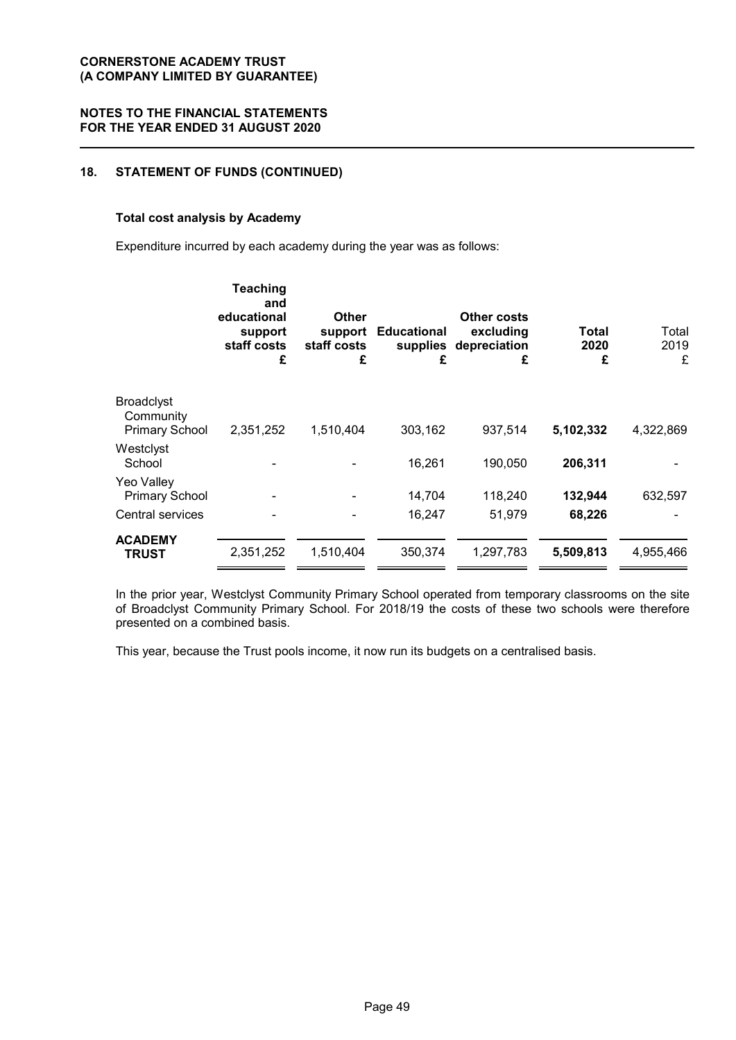# **18. STATEMENT OF FUNDS (CONTINUED)**

#### **Total cost analysis by Academy**

Expenditure incurred by each academy during the year was as follows:

|                                | <b>Teaching</b><br>and<br>educational<br>support<br>staff costs<br>£ | <b>Other</b><br>support<br>staff costs<br>£ | <b>Educational</b><br>£ | <b>Other costs</b><br>excluding<br>supplies depreciation<br>£ | Total<br>2020<br>£ | Total<br>2019<br>£ |
|--------------------------------|----------------------------------------------------------------------|---------------------------------------------|-------------------------|---------------------------------------------------------------|--------------------|--------------------|
| <b>Broadclyst</b><br>Community |                                                                      |                                             |                         |                                                               |                    |                    |
| <b>Primary School</b>          | 2,351,252                                                            | 1,510,404                                   | 303,162                 | 937,514                                                       | 5,102,332          | 4,322,869          |
| Westclyst<br>School            |                                                                      |                                             | 16,261                  | 190,050                                                       | 206,311            |                    |
| Yeo Valley                     |                                                                      |                                             |                         |                                                               |                    |                    |
| <b>Primary School</b>          |                                                                      |                                             | 14,704                  | 118,240                                                       | 132,944            | 632,597            |
| Central services               |                                                                      |                                             | 16,247                  | 51,979                                                        | 68,226             |                    |
| <b>ACADEMY</b><br><b>TRUST</b> | 2,351,252                                                            | 1,510,404                                   | 350,374                 | 1,297,783                                                     | 5,509,813          | 4,955,466          |
|                                |                                                                      |                                             |                         |                                                               |                    |                    |

In the prior year, Westclyst Community Primary School operated from temporary classrooms on the site of Broadclyst Community Primary School. For 2018/19 the costs of these two schools were therefore presented on a combined basis.

This year, because the Trust pools income, it now run its budgets on a centralised basis.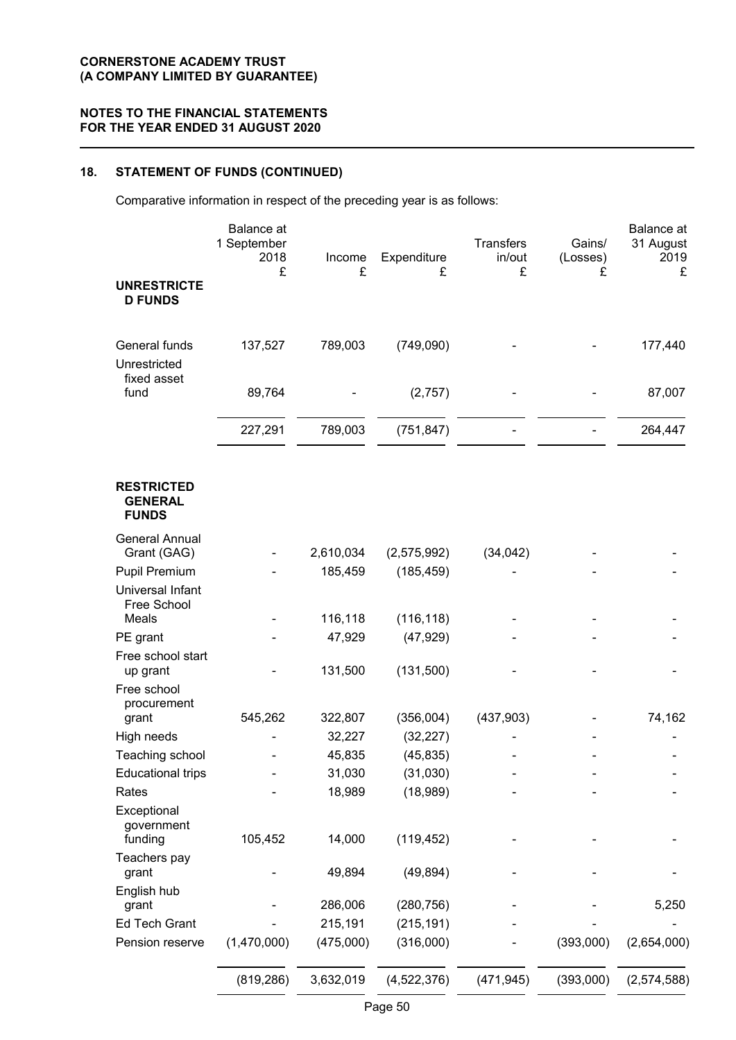# **18. STATEMENT OF FUNDS (CONTINUED)**

Comparative information in respect of the preceding year is as follows:

|                                                     | <b>Balance</b> at<br>1 September<br>2018<br>£ | Income<br>£       | Expenditure<br>£       | <b>Transfers</b><br>in/out<br>£ | Gains/<br>(Losses)<br>£ | Balance at<br>31 August<br>2019<br>£ |
|-----------------------------------------------------|-----------------------------------------------|-------------------|------------------------|---------------------------------|-------------------------|--------------------------------------|
| <b>UNRESTRICTE</b><br><b>D FUNDS</b>                |                                               |                   |                        |                                 |                         |                                      |
| General funds<br>Unrestricted                       | 137,527                                       | 789,003           | (749,090)              |                                 |                         | 177,440                              |
| fixed asset<br>fund                                 | 89,764                                        |                   | (2,757)                |                                 |                         | 87,007                               |
|                                                     | 227,291                                       | 789,003           | (751, 847)             |                                 |                         | 264,447                              |
| <b>RESTRICTED</b><br><b>GENERAL</b><br><b>FUNDS</b> |                                               |                   |                        |                                 |                         |                                      |
| <b>General Annual</b><br>Grant (GAG)                |                                               | 2,610,034         | (2,575,992)            | (34, 042)                       |                         |                                      |
| <b>Pupil Premium</b>                                |                                               | 185,459           | (185, 459)             |                                 |                         |                                      |
| Universal Infant<br>Free School                     |                                               |                   |                        |                                 |                         |                                      |
| Meals                                               |                                               | 116,118           | (116, 118)             |                                 |                         |                                      |
| PE grant                                            |                                               | 47,929            | (47, 929)              |                                 |                         |                                      |
| Free school start<br>up grant                       |                                               | 131,500           | (131,500)              |                                 |                         |                                      |
| Free school<br>procurement                          | 545,262                                       |                   |                        |                                 |                         | 74,162                               |
| grant<br>High needs                                 |                                               | 322,807<br>32,227 | (356,004)<br>(32, 227) | (437,903)                       |                         |                                      |
| Teaching school                                     |                                               | 45,835            | (45, 835)              |                                 |                         |                                      |
| <b>Educational trips</b>                            |                                               | 31,030            | (31,030)               |                                 |                         |                                      |
| Rates                                               |                                               | 18,989            | (18,989)               |                                 |                         |                                      |
| Exceptional<br>government<br>funding                | 105,452                                       | 14,000            | (119, 452)             |                                 |                         |                                      |
| Teachers pay<br>grant                               |                                               | 49,894            | (49, 894)              |                                 |                         |                                      |
| English hub<br>grant                                |                                               | 286,006           | (280, 756)             |                                 |                         | 5,250                                |
| <b>Ed Tech Grant</b>                                |                                               | 215,191           | (215, 191)             |                                 |                         |                                      |
| Pension reserve                                     | (1,470,000)                                   | (475,000)         | (316,000)              |                                 | (393,000)               | (2,654,000)                          |
|                                                     | (819, 286)                                    | 3,632,019         | (4,522,376)            | (471, 945)                      | (393,000)               | (2, 574, 588)                        |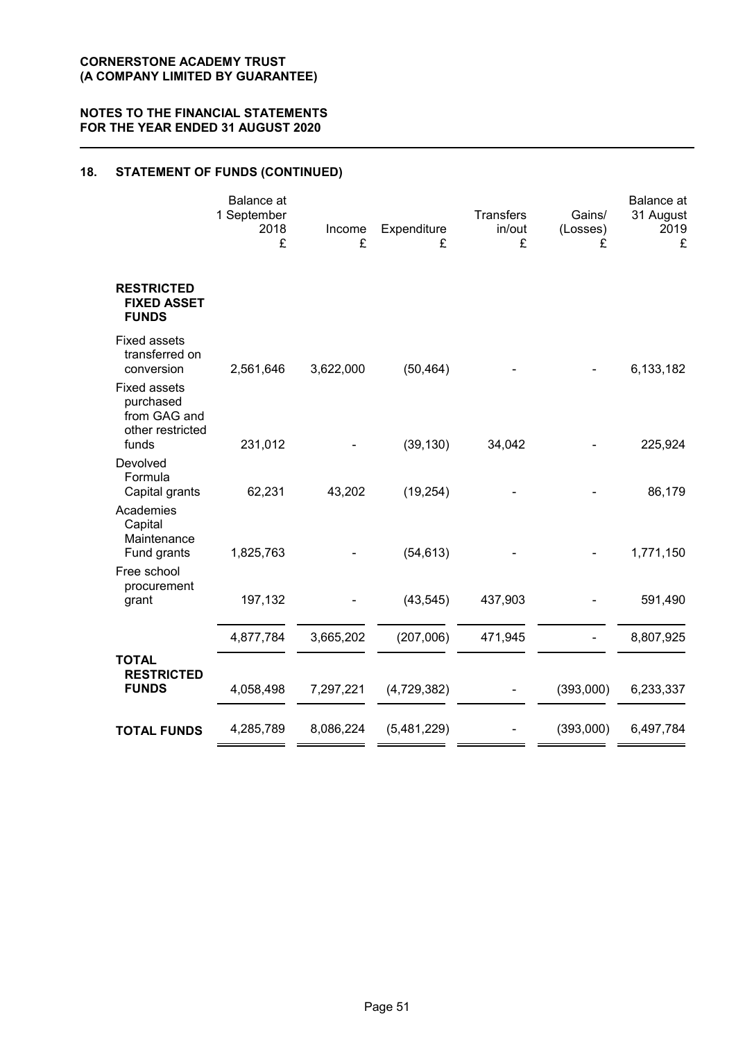# **18. STATEMENT OF FUNDS (CONTINUED)**

|                                                                      | Balance at<br>1 September<br>2018<br>£ | Income<br>£ | Expenditure<br>£ | Transfers<br>in/out<br>£ | Gains/<br>(Losses)<br>£ | Balance at<br>31 August<br>2019<br>£ |
|----------------------------------------------------------------------|----------------------------------------|-------------|------------------|--------------------------|-------------------------|--------------------------------------|
| <b>RESTRICTED</b><br><b>FIXED ASSET</b><br><b>FUNDS</b>              |                                        |             |                  |                          |                         |                                      |
| <b>Fixed assets</b><br>transferred on<br>conversion                  | 2,561,646                              | 3,622,000   | (50, 464)        |                          |                         | 6,133,182                            |
| <b>Fixed assets</b><br>purchased<br>from GAG and<br>other restricted |                                        |             |                  |                          |                         |                                      |
| funds<br>Devolved                                                    | 231,012                                |             | (39, 130)        | 34,042                   |                         | 225,924                              |
| Formula<br>Capital grants                                            | 62,231                                 | 43,202      | (19, 254)        |                          |                         | 86,179                               |
| Academies<br>Capital<br>Maintenance<br>Fund grants                   | 1,825,763                              |             | (54, 613)        |                          |                         | 1,771,150                            |
| Free school<br>procurement<br>grant                                  | 197,132                                |             | (43, 545)        | 437,903                  |                         | 591,490                              |
|                                                                      | 4,877,784                              | 3,665,202   | (207,006)        | 471,945                  |                         | 8,807,925                            |
| <b>TOTAL</b><br><b>RESTRICTED</b><br><b>FUNDS</b>                    | 4,058,498                              | 7,297,221   | (4,729,382)      |                          | (393,000)               | 6,233,337                            |
| <b>TOTAL FUNDS</b>                                                   | 4,285,789                              | 8,086,224   | (5,481,229)      |                          | (393,000)               | 6,497,784                            |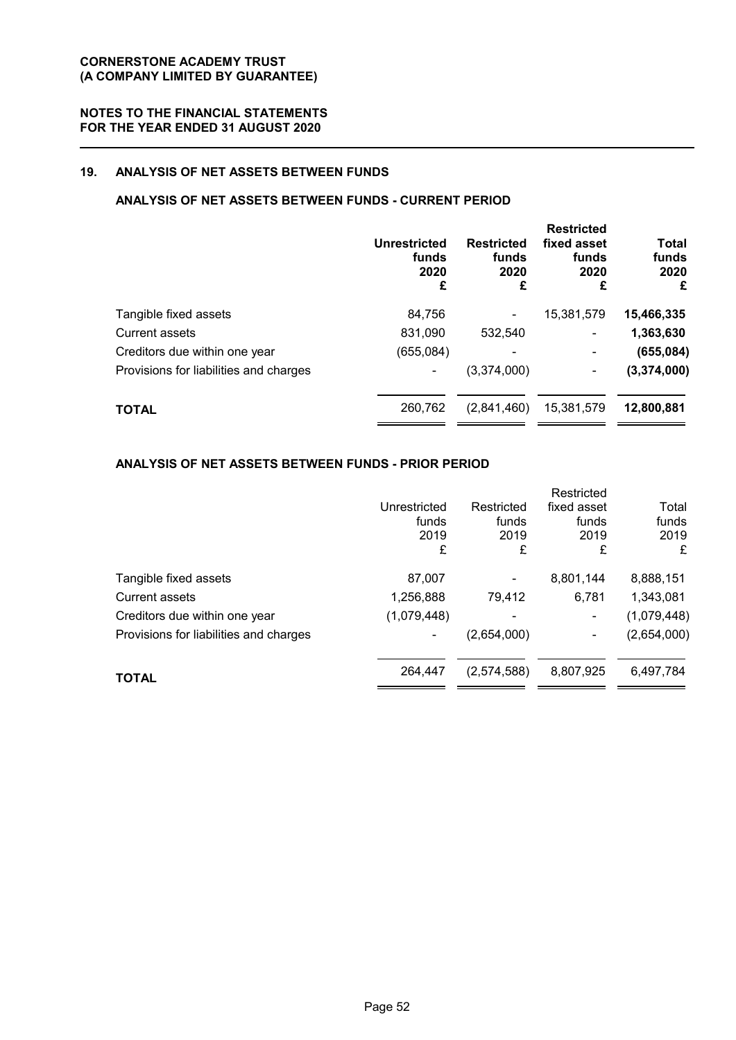# **19. ANALYSIS OF NET ASSETS BETWEEN FUNDS**

# **ANALYSIS OF NET ASSETS BETWEEN FUNDS - CURRENT PERIOD**

|                                        | <b>Unrestricted</b><br>funds<br>2020<br>£ | <b>Restricted</b><br>funds<br>2020<br>£ | <b>Restricted</b><br>fixed asset<br>funds<br>2020<br>£ | <b>Total</b><br>funds<br>2020<br>£ |
|----------------------------------------|-------------------------------------------|-----------------------------------------|--------------------------------------------------------|------------------------------------|
| Tangible fixed assets                  | 84,756                                    |                                         | 15,381,579                                             | 15,466,335                         |
| Current assets                         | 831,090                                   | 532.540                                 | ۰                                                      | 1,363,630                          |
| Creditors due within one year          | (655,084)                                 |                                         |                                                        | (655, 084)                         |
| Provisions for liabilities and charges |                                           | (3,374,000)                             | ۰                                                      | (3, 374, 000)                      |
| <b>TOTAL</b>                           | 260,762                                   | (2,841,460)                             | 15,381,579                                             | 12,800,881                         |

## **ANALYSIS OF NET ASSETS BETWEEN FUNDS - PRIOR PERIOD**

|                                        |              |             | Restricted  |             |
|----------------------------------------|--------------|-------------|-------------|-------------|
|                                        | Unrestricted | Restricted  | fixed asset | Total       |
|                                        | funds        | funds       | funds       | funds       |
|                                        | 2019         | 2019        | 2019        | 2019        |
|                                        | £            | £           | £           | £           |
| Tangible fixed assets                  | 87,007       |             | 8,801,144   | 8,888,151   |
| <b>Current assets</b>                  | 1,256,888    | 79,412      | 6,781       | 1,343,081   |
| Creditors due within one year          | (1,079,448)  |             | ۰           | (1,079,448) |
| Provisions for liabilities and charges | ۰            | (2,654,000) | ۰           | (2,654,000) |
|                                        | 264,447      | (2,574,588) | 8,807,925   | 6,497,784   |
| <b>TOTAL</b>                           |              |             |             |             |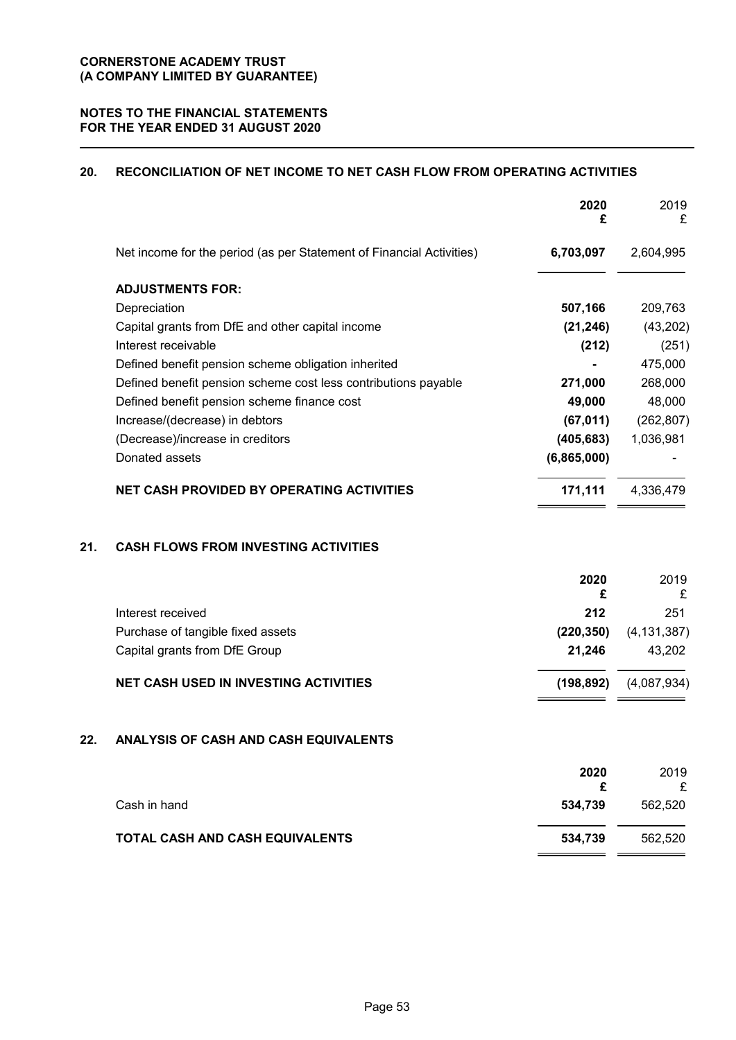# **20. RECONCILIATION OF NET INCOME TO NET CASH FLOW FROM OPERATING ACTIVITIES**

|     |                                                                      | 2020<br>£    | 2019<br>£     |
|-----|----------------------------------------------------------------------|--------------|---------------|
|     | Net income for the period (as per Statement of Financial Activities) | 6,703,097    | 2,604,995     |
|     | <b>ADJUSTMENTS FOR:</b>                                              |              |               |
|     | Depreciation                                                         | 507,166      | 209,763       |
|     | Capital grants from DfE and other capital income                     | (21, 246)    | (43, 202)     |
|     | Interest receivable                                                  | (212)        | (251)         |
|     | Defined benefit pension scheme obligation inherited                  |              | 475,000       |
|     | Defined benefit pension scheme cost less contributions payable       | 271,000      | 268,000       |
|     | Defined benefit pension scheme finance cost                          | 49,000       | 48,000        |
|     | Increase/(decrease) in debtors                                       | (67, 011)    | (262, 807)    |
|     | (Decrease)/increase in creditors                                     | (405, 683)   | 1,036,981     |
|     | Donated assets                                                       | (6,865,000)  |               |
|     | <b>NET CASH PROVIDED BY OPERATING ACTIVITIES</b>                     | 171,111      | 4,336,479     |
| 21. | <b>CASH FLOWS FROM INVESTING ACTIVITIES</b>                          |              |               |
|     |                                                                      | 2020<br>£    | 2019<br>£     |
|     | Interest received                                                    | 212          | 251           |
|     | Purchase of tangible fixed assets                                    | (220, 350)   | (4, 131, 387) |
|     | Capital grants from DfE Group                                        | 21,246       | 43,202        |
|     | <b>NET CASH USED IN INVESTING ACTIVITIES</b>                         | (198, 892)   | (4,087,934)   |
| 22. | ANALYSIS OF CASH AND CASH EQUIVALENTS                                |              |               |
|     |                                                                      | 2020         | 2019          |
|     | Cash in hand                                                         | £<br>534,739 | £<br>562,520  |
|     |                                                                      |              |               |

# **TOTAL CASH AND CASH EQUIVALENTS** 534,739 562,520

 $=$   $=$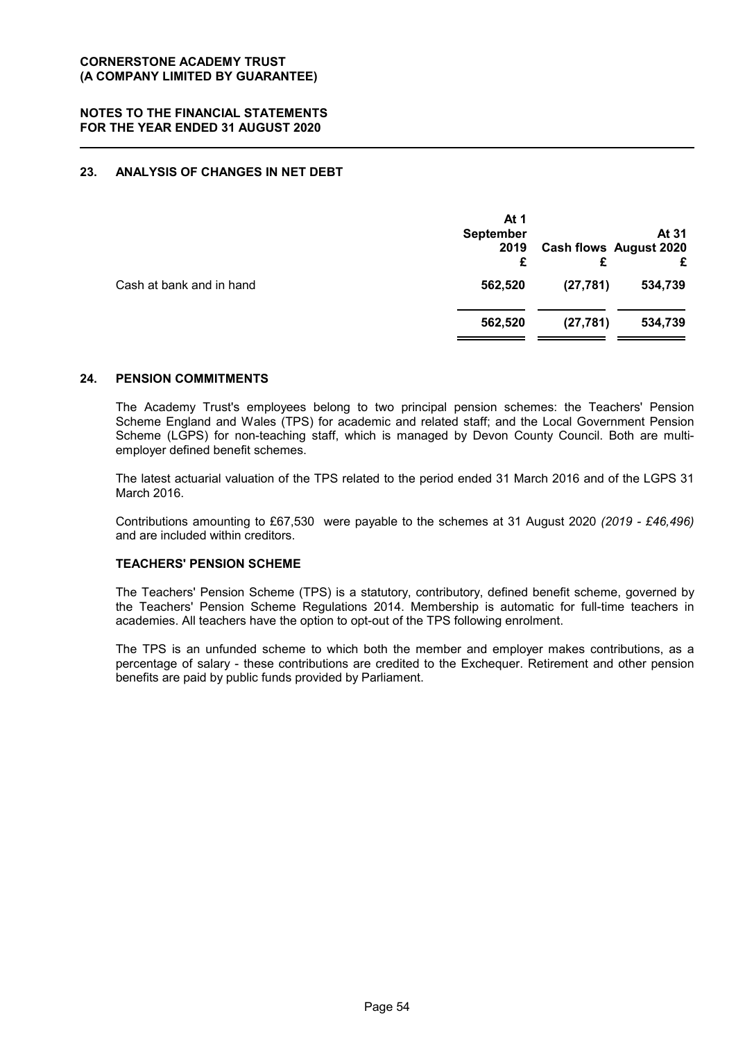# **23. ANALYSIS OF CHANGES IN NET DEBT**

|                          | At 1<br><b>September</b><br>2019<br>£ |           | At 31<br><b>Cash flows August 2020</b><br>£ |
|--------------------------|---------------------------------------|-----------|---------------------------------------------|
| Cash at bank and in hand | 562,520                               | (27, 781) | 534,739                                     |
|                          | 562,520                               | (27, 781) | 534,739                                     |
|                          |                                       |           |                                             |

#### **24. PENSION COMMITMENTS**

The Academy Trust's employees belong to two principal pension schemes: the Teachers' Pension Scheme England and Wales (TPS) for academic and related staff; and the Local Government Pension Scheme (LGPS) for non-teaching staff, which is managed by Devon County Council. Both are multiemployer defined benefit schemes.

The latest actuarial valuation of the TPS related to the period ended 31 March 2016 and of the LGPS 31 March 2016.

Contributions amounting to £67,530 were payable to the schemes at 31 August 2020 *(2019 - £46,496)* and are included within creditors.

# **TEACHERS' PENSION SCHEME**

The Teachers' Pension Scheme (TPS) is a statutory, contributory, defined benefit scheme, governed by the Teachers' Pension Scheme Regulations 2014. Membership is automatic for full-time teachers in academies. All teachers have the option to opt-out of the TPS following enrolment.

The TPS is an unfunded scheme to which both the member and employer makes contributions, as a percentage of salary - these contributions are credited to the Exchequer. Retirement and other pension benefits are paid by public funds provided by Parliament.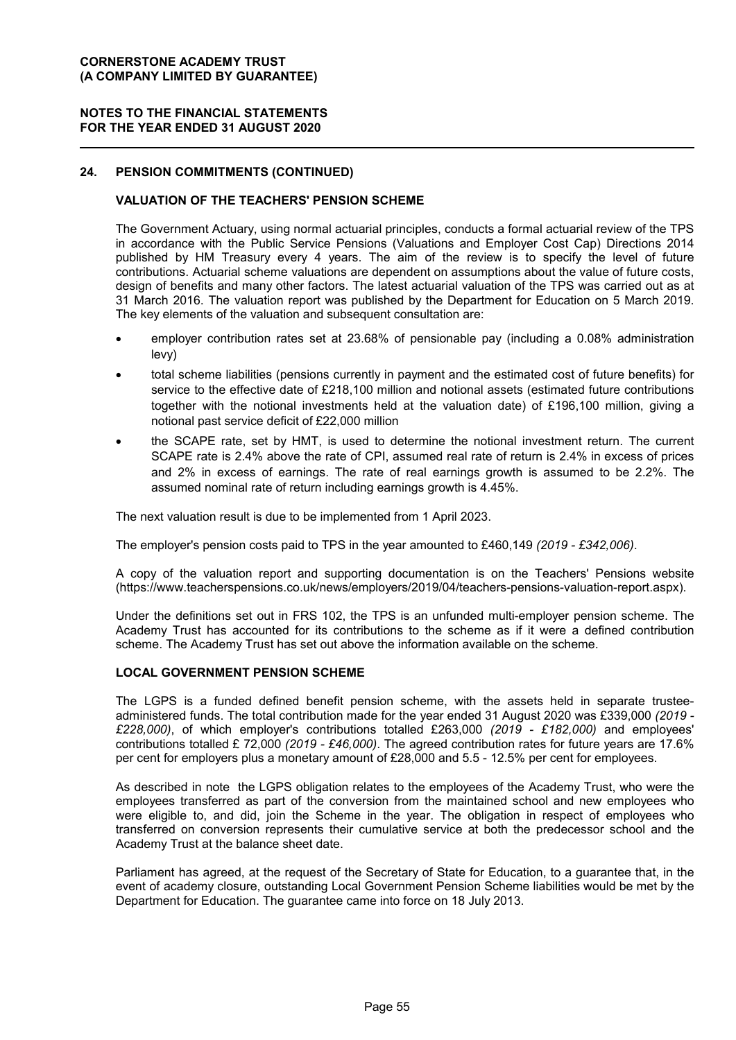## **NOTES TO THE FINANCIAL STATEMENTS FOR THE YEAR ENDED 31 AUGUST 2020**

## **24. PENSION COMMITMENTS (CONTINUED)**

## **VALUATION OF THE TEACHERS' PENSION SCHEME**

The Government Actuary, using normal actuarial principles, conducts a formal actuarial review of the TPS in accordance with the Public Service Pensions (Valuations and Employer Cost Cap) Directions 2014 published by HM Treasury every 4 years. The aim of the review is to specify the level of future contributions. Actuarial scheme valuations are dependent on assumptions about the value of future costs, design of benefits and many other factors. The latest actuarial valuation of the TPS was carried out as at 31 March 2016. The valuation report was published by the Department for Education on 5 March 2019. The key elements of the valuation and subsequent consultation are:

- employer contribution rates set at 23.68% of pensionable pay (including a 0.08% administration levy)
- total scheme liabilities (pensions currently in payment and the estimated cost of future benefits) for service to the effective date of £218,100 million and notional assets (estimated future contributions together with the notional investments held at the valuation date) of £196,100 million, giving a notional past service deficit of £22,000 million
- the SCAPE rate, set by HMT, is used to determine the notional investment return. The current SCAPE rate is 2.4% above the rate of CPI, assumed real rate of return is 2.4% in excess of prices and 2% in excess of earnings. The rate of real earnings growth is assumed to be 2.2%. The assumed nominal rate of return including earnings growth is 4.45%.

The next valuation result is due to be implemented from 1 April 2023.

The employer's pension costs paid to TPS in the year amounted to £460,149 *(2019 - £342,006)*.

A copy of the valuation report and supporting documentation is on the Teachers' Pensions website (https://www.teacherspensions.co.uk/news/employers/2019/04/teachers-pensions-valuation-report.aspx).

Under the definitions set out in FRS 102, the TPS is an unfunded multi-employer pension scheme. The Academy Trust has accounted for its contributions to the scheme as if it were a defined contribution scheme. The Academy Trust has set out above the information available on the scheme.

#### **LOCAL GOVERNMENT PENSION SCHEME**

The LGPS is a funded defined benefit pension scheme, with the assets held in separate trusteeadministered funds. The total contribution made for the year ended 31 August 2020 was £339,000 *(2019 - £228,000)*, of which employer's contributions totalled £263,000 *(2019 - £182,000)* and employees' contributions totalled £ 72,000 *(2019 - £46,000)*. The agreed contribution rates for future years are 17.6% per cent for employers plus a monetary amount of £28,000 and 5.5 - 12.5% per cent for employees.

As described in note the LGPS obligation relates to the employees of the Academy Trust, who were the employees transferred as part of the conversion from the maintained school and new employees who were eligible to, and did, join the Scheme in the year. The obligation in respect of employees who transferred on conversion represents their cumulative service at both the predecessor school and the Academy Trust at the balance sheet date.

Parliament has agreed, at the request of the Secretary of State for Education, to a guarantee that, in the event of academy closure, outstanding Local Government Pension Scheme liabilities would be met by the Department for Education. The guarantee came into force on 18 July 2013.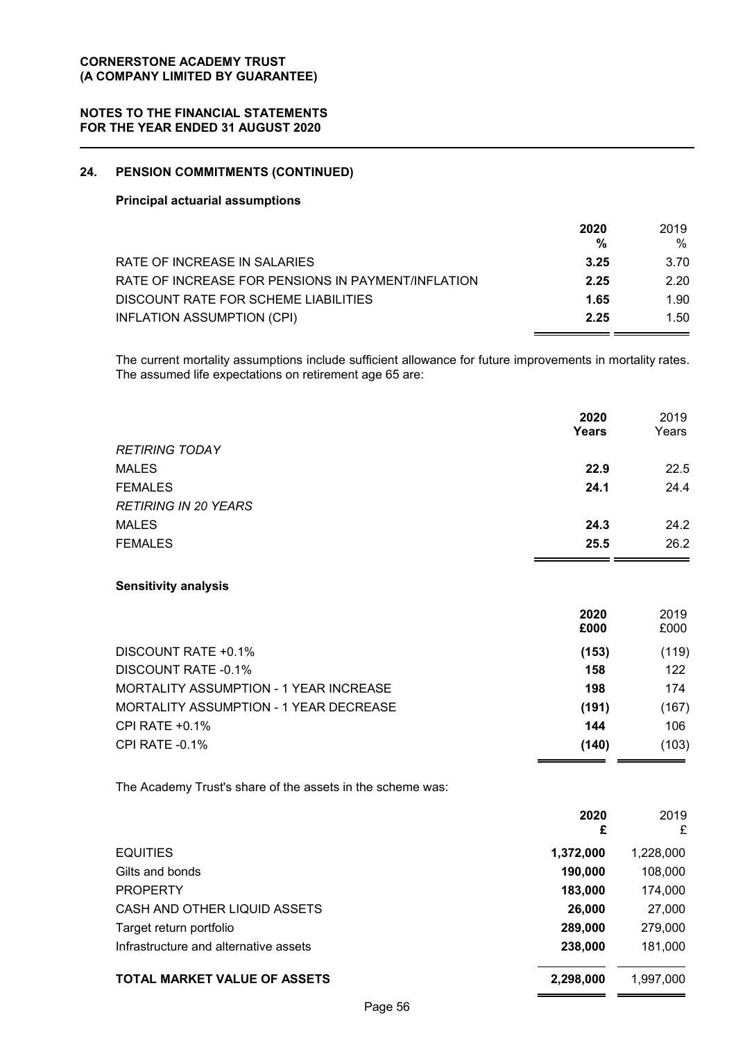## **NOTES TO THE FINANCIAL STATEMENTS FOR THE YEAR ENDED 31 AUGUST 2020**

# **24. PENSION COMMITMENTS (CONTINUED)**

## **Principal actuarial assumptions**

|                                                    | 2020 | 2019 |
|----------------------------------------------------|------|------|
|                                                    | %    | $\%$ |
| RATE OF INCREASE IN SALARIES                       | 3.25 | 3.70 |
| RATE OF INCREASE FOR PENSIONS IN PAYMENT/INFLATION | 2.25 | 2.20 |
| DISCOUNT RATE FOR SCHEME LIABILITIES               | 1.65 | 1.90 |
| INFLATION ASSUMPTION (CPI)                         | 2.25 | 1.50 |

The current mortality assumptions include sufficient allowance for future improvements in mortality rates. The assumed life expectations on retirement age 65 are:

|                                                            | 2020<br>Years | 2019<br>Years |
|------------------------------------------------------------|---------------|---------------|
| <b>RETIRING TODAY</b>                                      |               |               |
| <b>MALES</b>                                               | 22.9          | 22.5          |
| <b>FEMALES</b>                                             | 24.1          | 24.4          |
| <b>RETIRING IN 20 YEARS</b>                                |               |               |
| <b>MALES</b>                                               | 24.3          | 24.2          |
| <b>FEMALES</b>                                             | 25.5          | 26.2          |
| <b>Sensitivity analysis</b>                                |               |               |
|                                                            | 2020<br>£000  | 2019<br>£000  |
| DISCOUNT RATE +0.1%                                        | (153)         | (119)         |
| <b>DISCOUNT RATE -0.1%</b>                                 | 158           | 122           |
| <b>MORTALITY ASSUMPTION - 1 YEAR INCREASE</b>              | 198           | 174           |
| <b>MORTALITY ASSUMPTION - 1 YEAR DECREASE</b>              | (191)         | (167)         |
| CPI RATE +0.1%                                             | 144           | 106           |
| <b>CPI RATE -0.1%</b>                                      | (140)         | (103)         |
| The Academy Trust's share of the assets in the scheme was: |               |               |

|                                       | 2020<br>£ | 2019<br>£ |
|---------------------------------------|-----------|-----------|
| <b>EQUITIES</b>                       | 1,372,000 | 1,228,000 |
| Gilts and bonds                       | 190,000   | 108,000   |
| <b>PROPERTY</b>                       | 183,000   | 174,000   |
| CASH AND OTHER LIQUID ASSETS          | 26,000    | 27,000    |
| Target return portfolio               | 289,000   | 279,000   |
| Infrastructure and alternative assets | 238,000   | 181,000   |
| <b>TOTAL MARKET VALUE OF ASSETS</b>   | 2,298,000 | 1.997.000 |

 $=$   $=$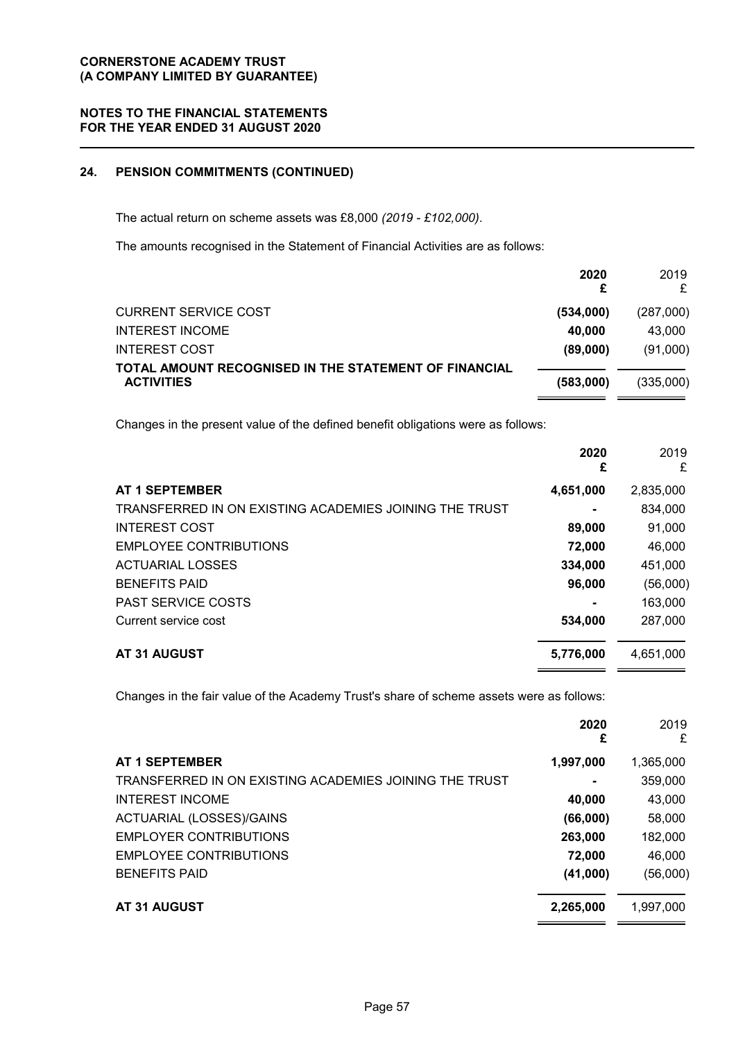## **NOTES TO THE FINANCIAL STATEMENTS FOR THE YEAR ENDED 31 AUGUST 2020**

# **24. PENSION COMMITMENTS (CONTINUED)**

The actual return on scheme assets was £8,000 *(2019 - £102,000)*.

The amounts recognised in the Statement of Financial Activities are as follows:

|                                                                            | 2020      | 2019      |
|----------------------------------------------------------------------------|-----------|-----------|
| <b>CURRENT SERVICE COST</b>                                                | (534,000) | (287,000) |
| <b>INTEREST INCOME</b>                                                     | 40,000    | 43.000    |
| <b>INTEREST COST</b>                                                       | (89,000)  | (91,000)  |
| TOTAL AMOUNT RECOGNISED IN THE STATEMENT OF FINANCIAL<br><b>ACTIVITIES</b> | (583.000) | (335,000) |

Changes in the present value of the defined benefit obligations were as follows:

|                                                        | 2020<br>£ | 2019<br>£ |
|--------------------------------------------------------|-----------|-----------|
| <b>AT 1 SEPTEMBER</b>                                  | 4,651,000 | 2,835,000 |
| TRANSFERRED IN ON EXISTING ACADEMIES JOINING THE TRUST |           | 834,000   |
| <b>INTEREST COST</b>                                   | 89,000    | 91,000    |
| EMPLOYEE CONTRIBUTIONS                                 | 72,000    | 46,000    |
| <b>ACTUARIAL LOSSES</b>                                | 334,000   | 451,000   |
| <b>BENEFITS PAID</b>                                   | 96,000    | (56,000)  |
| <b>PAST SERVICE COSTS</b>                              |           | 163,000   |
| Current service cost                                   | 534,000   | 287,000   |
| AT 31 AUGUST                                           | 5,776,000 | 4,651,000 |

Changes in the fair value of the Academy Trust's share of scheme assets were as follows:

|                                                        | 2020<br>£ | 2019<br>£ |
|--------------------------------------------------------|-----------|-----------|
| <b>AT 1 SEPTEMBER</b>                                  | 1,997,000 | 1,365,000 |
| TRANSFERRED IN ON EXISTING ACADEMIES JOINING THE TRUST |           | 359,000   |
| <b>INTEREST INCOME</b>                                 | 40,000    | 43,000    |
| ACTUARIAL (LOSSES)/GAINS                               | (66,000)  | 58,000    |
| <b>EMPLOYER CONTRIBUTIONS</b>                          | 263,000   | 182,000   |
| <b>EMPLOYEE CONTRIBUTIONS</b>                          | 72,000    | 46,000    |
| <b>BENEFITS PAID</b>                                   | (41,000)  | (56,000)  |
| <b>AT 31 AUGUST</b>                                    | 2,265,000 | 1,997,000 |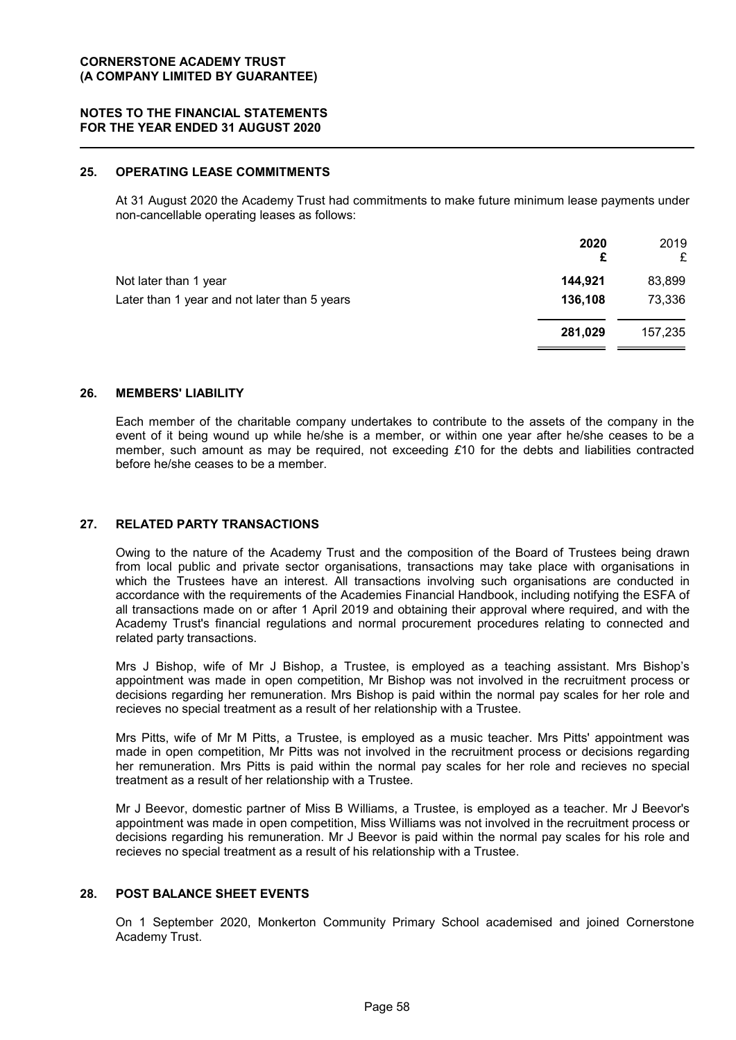## **25. OPERATING LEASE COMMITMENTS**

At 31 August 2020 the Academy Trust had commitments to make future minimum lease payments under non-cancellable operating leases as follows:

|                                              | 2020<br>£ | 2019<br>£ |
|----------------------------------------------|-----------|-----------|
| Not later than 1 year                        | 144,921   | 83,899    |
| Later than 1 year and not later than 5 years | 136,108   | 73,336    |
|                                              | 281,029   | 157,235   |

## **26. MEMBERS' LIABILITY**

Each member of the charitable company undertakes to contribute to the assets of the company in the event of it being wound up while he/she is a member, or within one year after he/she ceases to be a member, such amount as may be required, not exceeding *£*10 for the debts and liabilities contracted before he/she ceases to be a member.

## **27. RELATED PARTY TRANSACTIONS**

Owing to the nature of the Academy Trust and the composition of the Board of Trustees being drawn from local public and private sector organisations, transactions may take place with organisations in which the Trustees have an interest. All transactions involving such organisations are conducted in accordance with the requirements of the Academies Financial Handbook, including notifying the ESFA of all transactions made on or after 1 April 2019 and obtaining their approval where required, and with the Academy Trust's financial regulations and normal procurement procedures relating to connected and related party transactions.

Mrs J Bishop, wife of Mr J Bishop, a Trustee, is employed as a teaching assistant. Mrs Bishop's appointment was made in open competition, Mr Bishop was not involved in the recruitment process or decisions regarding her remuneration. Mrs Bishop is paid within the normal pay scales for her role and recieves no special treatment as a result of her relationship with a Trustee.

Mrs Pitts, wife of Mr M Pitts, a Trustee, is employed as a music teacher. Mrs Pitts' appointment was made in open competition, Mr Pitts was not involved in the recruitment process or decisions regarding her remuneration. Mrs Pitts is paid within the normal pay scales for her role and recieves no special treatment as a result of her relationship with a Trustee.

Mr J Beevor, domestic partner of Miss B Williams, a Trustee, is employed as a teacher. Mr J Beevor's appointment was made in open competition, Miss Williams was not involved in the recruitment process or decisions regarding his remuneration. Mr J Beevor is paid within the normal pay scales for his role and recieves no special treatment as a result of his relationship with a Trustee.

#### **28. POST BALANCE SHEET EVENTS**

On 1 September 2020, Monkerton Community Primary School academised and joined Cornerstone Academy Trust.